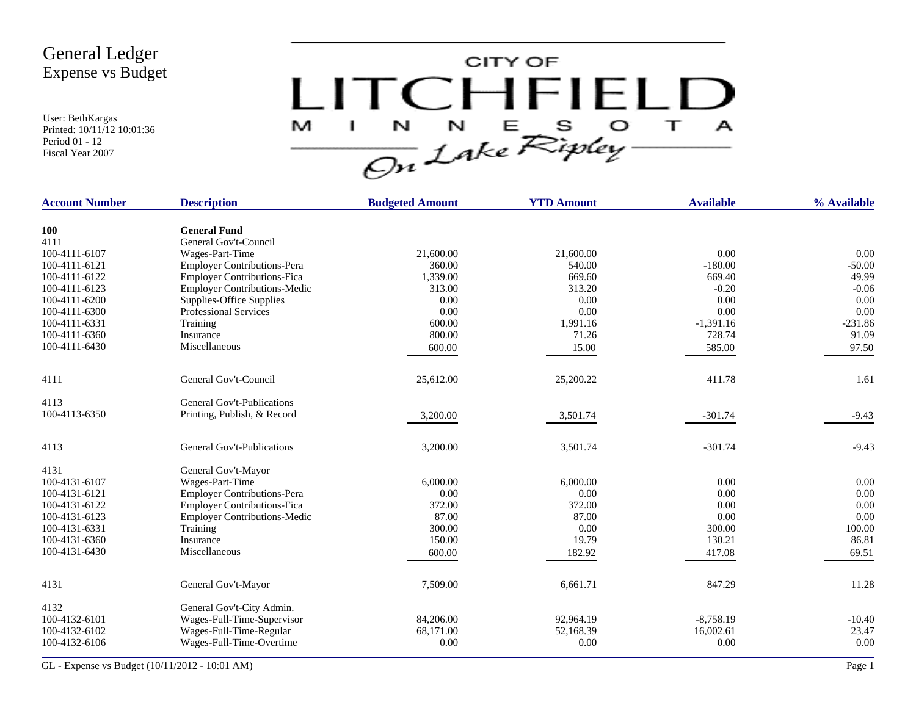User: BethKargas Printed: 10/11/12 10:01:36 Period 01 - 12 Fiscal Year 2007



| <b>Description</b>                                                                 | <b>Budgeted Amount</b>                                                                                                                                                                                                                                                  | <b>YTD Amount</b>                       | <b>Available</b>                                  | % Available                                        |
|------------------------------------------------------------------------------------|-------------------------------------------------------------------------------------------------------------------------------------------------------------------------------------------------------------------------------------------------------------------------|-----------------------------------------|---------------------------------------------------|----------------------------------------------------|
|                                                                                    |                                                                                                                                                                                                                                                                         |                                         |                                                   |                                                    |
|                                                                                    |                                                                                                                                                                                                                                                                         |                                         |                                                   |                                                    |
|                                                                                    |                                                                                                                                                                                                                                                                         |                                         |                                                   | 0.00                                               |
|                                                                                    |                                                                                                                                                                                                                                                                         |                                         |                                                   | $-50.00$                                           |
|                                                                                    |                                                                                                                                                                                                                                                                         |                                         |                                                   | 49.99                                              |
|                                                                                    | 313.00                                                                                                                                                                                                                                                                  | 313.20                                  | $-0.20$                                           | $-0.06$                                            |
|                                                                                    | 0.00                                                                                                                                                                                                                                                                    | 0.00                                    | 0.00                                              | 0.00                                               |
| <b>Professional Services</b>                                                       | 0.00                                                                                                                                                                                                                                                                    | 0.00                                    | 0.00                                              | 0.00                                               |
| Training                                                                           | 600.00                                                                                                                                                                                                                                                                  |                                         |                                                   | $-231.86$                                          |
| Insurance                                                                          | 800.00                                                                                                                                                                                                                                                                  | 71.26                                   | 728.74                                            | 91.09                                              |
| Miscellaneous                                                                      | 600.00                                                                                                                                                                                                                                                                  | 15.00                                   | 585.00                                            | 97.50                                              |
| General Gov't-Council                                                              | 25,612.00                                                                                                                                                                                                                                                               | 25,200.22                               | 411.78                                            | 1.61                                               |
| General Gov't-Publications                                                         |                                                                                                                                                                                                                                                                         |                                         |                                                   |                                                    |
| Printing, Publish, & Record                                                        | 3,200.00                                                                                                                                                                                                                                                                | 3,501.74                                | $-301.74$                                         | $-9.43$                                            |
| <b>General Gov't-Publications</b>                                                  | 3,200.00                                                                                                                                                                                                                                                                | 3,501.74                                | $-301.74$                                         | $-9.43$                                            |
| General Gov't-Mayor                                                                |                                                                                                                                                                                                                                                                         |                                         |                                                   |                                                    |
| Wages-Part-Time                                                                    | 6,000.00                                                                                                                                                                                                                                                                | 6,000.00                                | 0.00                                              | 0.00                                               |
| <b>Employer Contributions-Pera</b>                                                 | 0.00                                                                                                                                                                                                                                                                    | 0.00                                    | 0.00                                              | 0.00                                               |
| <b>Employer Contributions-Fica</b>                                                 | 372.00                                                                                                                                                                                                                                                                  | 372.00                                  | 0.00                                              | 0.00                                               |
| <b>Employer Contributions-Medic</b>                                                | 87.00                                                                                                                                                                                                                                                                   | 87.00                                   | 0.00                                              | 0.00                                               |
|                                                                                    | 300.00                                                                                                                                                                                                                                                                  | 0.00                                    | 300.00                                            | 100.00                                             |
| Insurance                                                                          | 150.00                                                                                                                                                                                                                                                                  | 19.79                                   | 130.21                                            | 86.81                                              |
|                                                                                    | 600.00                                                                                                                                                                                                                                                                  | 182.92                                  | 417.08                                            | 69.51                                              |
| General Gov't-Mayor                                                                | 7,509.00                                                                                                                                                                                                                                                                | 6,661.71                                | 847.29                                            | 11.28                                              |
| General Gov't-City Admin.<br>Wages-Full-Time-Supervisor<br>Wages-Full-Time-Regular | 84,206.00<br>68,171.00                                                                                                                                                                                                                                                  | 92,964.19<br>52,168.39                  | $-8,758.19$<br>16,002.61                          | $-10.40$<br>23.47<br>0.00                          |
|                                                                                    | <b>General Fund</b><br>General Gov't-Council<br>Wages-Part-Time<br><b>Employer Contributions-Pera</b><br><b>Employer Contributions-Fica</b><br><b>Employer Contributions-Medic</b><br>Supplies-Office Supplies<br>Training<br>Miscellaneous<br>Wages-Full-Time-Overtime | 21,600.00<br>360.00<br>1,339.00<br>0.00 | 21,600.00<br>540.00<br>669.60<br>1,991.16<br>0.00 | 0.00<br>$-180.00$<br>669.40<br>$-1,391.16$<br>0.00 |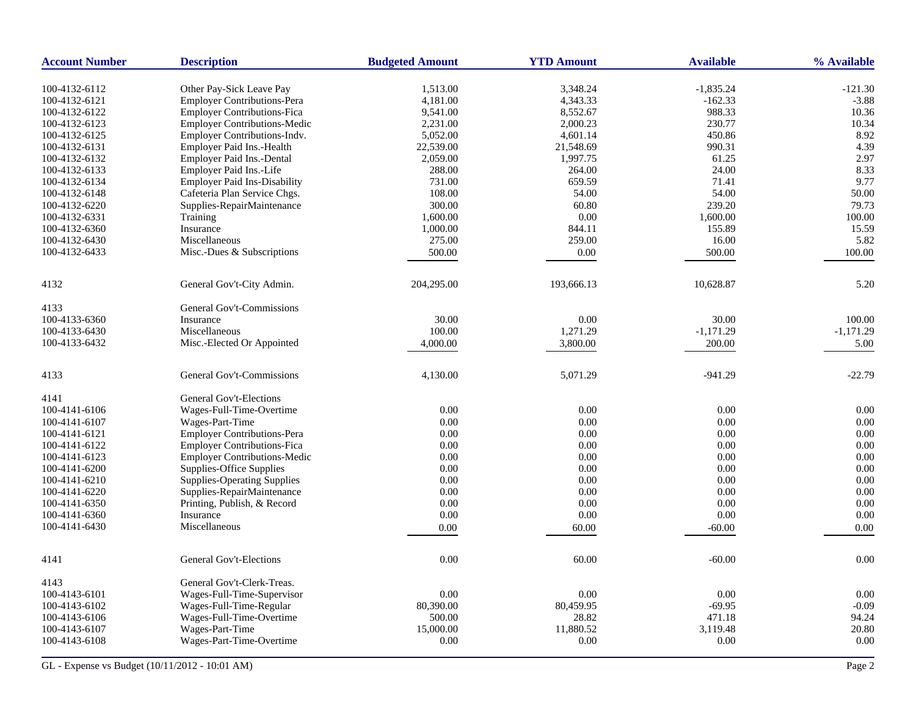| <b>Account Number</b> | <b>Description</b>                                             | <b>Budgeted Amount</b> | <b>YTD Amount</b> | <b>Available</b> | % Available |
|-----------------------|----------------------------------------------------------------|------------------------|-------------------|------------------|-------------|
| 100-4132-6112         |                                                                | 1,513.00               | 3,348.24          | $-1,835.24$      | $-121.30$   |
| 100-4132-6121         | Other Pay-Sick Leave Pay<br><b>Employer Contributions-Pera</b> | 4,181.00               | 4,343.33          | $-162.33$        | $-3.88$     |
| 100-4132-6122         | <b>Employer Contributions-Fica</b>                             | 9,541.00               | 8,552.67          | 988.33           | 10.36       |
| 100-4132-6123         | Employer Contributions-Medic                                   | 2,231.00               | 2,000.23          | 230.77           | 10.34       |
| 100-4132-6125         | Employer Contributions-Indv.                                   | 5,052.00               | 4,601.14          | 450.86           | 8.92        |
| 100-4132-6131         | Employer Paid Ins.-Health                                      | 22,539.00              | 21,548.69         | 990.31           | 4.39        |
| 100-4132-6132         | Employer Paid Ins.-Dental                                      | 2,059.00               | 1,997.75          | 61.25            | 2.97        |
| 100-4132-6133         | Employer Paid Ins.-Life                                        | 288.00                 | 264.00            | 24.00            | 8.33        |
| 100-4132-6134         | <b>Employer Paid Ins-Disability</b>                            | 731.00                 | 659.59            | 71.41            | 9.77        |
| 100-4132-6148         | Cafeteria Plan Service Chgs.                                   | 108.00                 | 54.00             | 54.00            | 50.00       |
| 100-4132-6220         | Supplies-RepairMaintenance                                     | 300.00                 | 60.80             | 239.20           | 79.73       |
| 100-4132-6331         | Training                                                       | 1,600.00               | 0.00              | 1,600.00         | 100.00      |
| 100-4132-6360         | Insurance                                                      | 1,000.00               | 844.11            | 155.89           | 15.59       |
| 100-4132-6430         | Miscellaneous                                                  | 275.00                 | 259.00            | 16.00            | 5.82        |
| 100-4132-6433         | Misc.-Dues & Subscriptions                                     | 500.00                 | 0.00              | 500.00           | 100.00      |
|                       |                                                                |                        |                   |                  |             |
| 4132                  | General Gov't-City Admin.                                      | 204,295.00             | 193,666.13        | 10,628.87        | 5.20        |
| 4133                  | General Gov't-Commissions                                      |                        |                   |                  |             |
| 100-4133-6360         | Insurance                                                      | 30.00                  | 0.00              | 30.00            | 100.00      |
| 100-4133-6430         | Miscellaneous                                                  | 100.00                 | 1,271.29          | $-1,171.29$      | $-1,171.29$ |
| 100-4133-6432         | Misc.-Elected Or Appointed                                     | 4,000.00               | 3,800.00          | 200.00           | 5.00        |
|                       |                                                                |                        |                   |                  |             |
| 4133                  | General Gov't-Commissions                                      | 4,130.00               | 5,071.29          | $-941.29$        | $-22.79$    |
| 4141                  | <b>General Gov't-Elections</b>                                 |                        |                   |                  |             |
| 100-4141-6106         | Wages-Full-Time-Overtime                                       | 0.00                   | 0.00              | 0.00             | 0.00        |
| 100-4141-6107         | Wages-Part-Time                                                | 0.00                   | 0.00              | 0.00             | 0.00        |
| 100-4141-6121         | Employer Contributions-Pera                                    | 0.00                   | 0.00              | 0.00             | 0.00        |
| 100-4141-6122         | <b>Employer Contributions-Fica</b>                             | 0.00                   | 0.00              | 0.00             | 0.00        |
| 100-4141-6123         | <b>Employer Contributions-Medic</b>                            | 0.00                   | 0.00              | 0.00             | 0.00        |
| 100-4141-6200         | Supplies-Office Supplies                                       | 0.00                   | 0.00              | 0.00             | 0.00        |
| 100-4141-6210         | <b>Supplies-Operating Supplies</b>                             | 0.00                   | 0.00              | 0.00             | 0.00        |
| 100-4141-6220         | Supplies-RepairMaintenance                                     | 0.00                   | 0.00              | 0.00             | 0.00        |
| 100-4141-6350         | Printing, Publish, & Record                                    | 0.00                   | 0.00              | 0.00             | 0.00        |
| 100-4141-6360         | Insurance                                                      | 0.00                   | 0.00              | $0.00\,$         | 0.00        |
| 100-4141-6430         | Miscellaneous                                                  | 0.00                   | 60.00             | $-60.00$         | 0.00        |
| 4141                  | <b>General Gov't-Elections</b>                                 | 0.00                   | 60.00             | $-60.00$         | 0.00        |
| 4143                  | General Gov't-Clerk-Treas.                                     |                        |                   |                  |             |
| 100-4143-6101         | Wages-Full-Time-Supervisor                                     | 0.00                   | 0.00              | 0.00             | 0.00        |
| 100-4143-6102         | Wages-Full-Time-Regular                                        | 80,390.00              | 80,459.95         | $-69.95$         | $-0.09$     |
| 100-4143-6106         | Wages-Full-Time-Overtime                                       | 500.00                 | 28.82             | 471.18           | 94.24       |
| 100-4143-6107         | Wages-Part-Time                                                | 15,000.00              | 11,880.52         | 3,119.48         | 20.80       |
| 100-4143-6108         | Wages-Part-Time-Overtime                                       | 0.00                   | 0.00              | 0.00             | 0.00        |
|                       |                                                                |                        |                   |                  |             |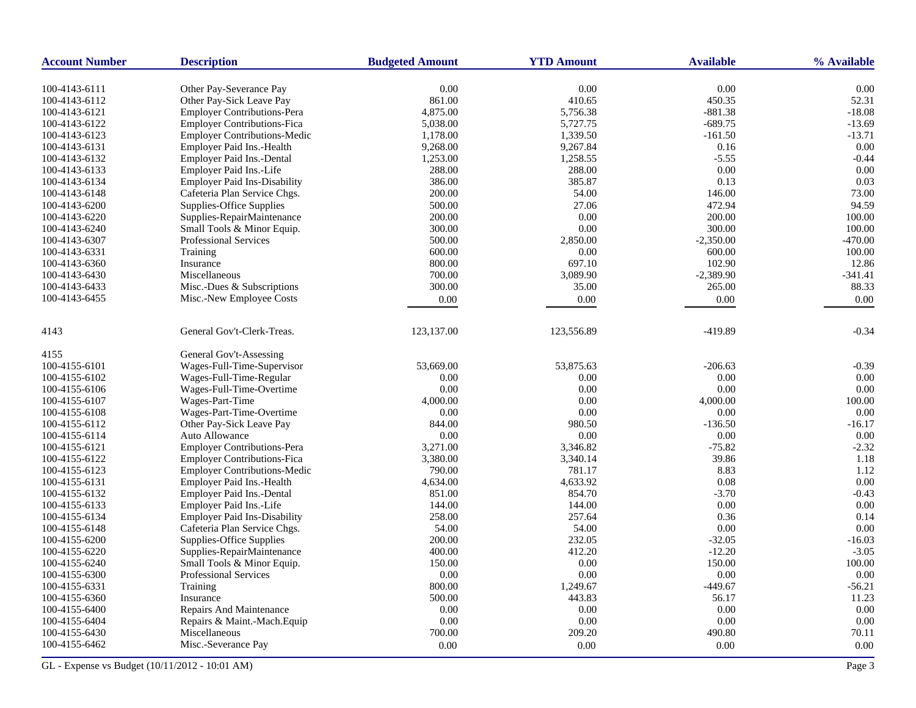| <b>Account Number</b>          | <b>Description</b>                          | <b>Budgeted Amount</b> | <b>YTD Amount</b> | <b>Available</b> | % Available   |
|--------------------------------|---------------------------------------------|------------------------|-------------------|------------------|---------------|
| 100-4143-6111                  | Other Pay-Severance Pay                     | 0.00                   | 0.00              | 0.00             | 0.00          |
| 100-4143-6112                  | Other Pay-Sick Leave Pay                    | 861.00                 | 410.65            | 450.35           | 52.31         |
| 100-4143-6121                  | <b>Employer Contributions-Pera</b>          | 4,875.00               | 5,756.38          | $-881.38$        | $-18.08$      |
| 100-4143-6122                  | <b>Employer Contributions-Fica</b>          | 5,038.00               | 5,727.75          | $-689.75$        | $-13.69$      |
| 100-4143-6123                  | <b>Employer Contributions-Medic</b>         | 1,178.00               | 1,339.50          | $-161.50$        | $-13.71$      |
| 100-4143-6131                  | Employer Paid Ins.-Health                   | 9,268.00               | 9,267.84          | 0.16             | 0.00          |
|                                |                                             | 1,253.00               | 1,258.55          | $-5.55$          | $-0.44$       |
| 100-4143-6132                  | Employer Paid Ins.-Dental                   | 288.00                 | 288.00            | 0.00             | 0.00          |
| 100-4143-6133                  | Employer Paid Ins.-Life                     |                        |                   |                  |               |
| 100-4143-6134                  | <b>Employer Paid Ins-Disability</b>         | 386.00                 | 385.87            | 0.13             | 0.03          |
| 100-4143-6148                  | Cafeteria Plan Service Chgs.                | 200.00                 | 54.00             | 146.00           | 73.00         |
| 100-4143-6200                  | Supplies-Office Supplies                    | 500.00                 | 27.06             | 472.94           | 94.59         |
| 100-4143-6220                  | Supplies-RepairMaintenance                  | 200.00                 | 0.00              | 200.00           | 100.00        |
| 100-4143-6240                  | Small Tools & Minor Equip.                  | 300.00                 | 0.00              | 300.00           | 100.00        |
| 100-4143-6307                  | <b>Professional Services</b>                | 500.00                 | 2,850.00          | $-2,350.00$      | $-470.00$     |
| 100-4143-6331                  | Training                                    | 600.00                 | 0.00              | 600.00           | 100.00        |
| 100-4143-6360                  | Insurance                                   | 800.00                 | 697.10            | 102.90           | 12.86         |
| 100-4143-6430                  | Miscellaneous                               | 700.00                 | 3,089.90          | $-2,389.90$      | -341.41       |
| 100-4143-6433                  | Misc.-Dues & Subscriptions                  | 300.00                 | 35.00             | 265.00           | 88.33         |
| 100-4143-6455                  | Misc.-New Employee Costs                    | 0.00                   | 0.00              | 0.00             | 0.00          |
| 4143                           | General Gov't-Clerk-Treas.                  | 123,137.00             | 123,556.89        | $-419.89$        | $-0.34$       |
| 4155                           | General Gov't-Assessing                     |                        |                   |                  |               |
| 100-4155-6101                  | Wages-Full-Time-Supervisor                  | 53,669.00              | 53,875.63         | $-206.63$        | $-0.39$       |
| 100-4155-6102                  | Wages-Full-Time-Regular                     | 0.00                   | 0.00              | 0.00             | 0.00          |
| 100-4155-6106                  | Wages-Full-Time-Overtime                    | 0.00                   | 0.00              | 0.00             | 0.00          |
| 100-4155-6107                  | Wages-Part-Time                             | 4,000.00               | 0.00              | 4,000.00         | 100.00        |
| 100-4155-6108                  | Wages-Part-Time-Overtime                    | 0.00                   | 0.00              | 0.00             | 0.00          |
| 100-4155-6112                  | Other Pay-Sick Leave Pay                    | 844.00                 | 980.50            | $-136.50$        | $-16.17$      |
| 100-4155-6114                  | Auto Allowance                              | 0.00                   | 0.00              | 0.00             | 0.00          |
| 100-4155-6121                  | Employer Contributions-Pera                 | 3,271.00               | 3,346.82          | $-75.82$         | $-2.32$       |
| 100-4155-6122                  | <b>Employer Contributions-Fica</b>          | 3,380.00               | 3,340.14          | 39.86            | 1.18          |
| 100-4155-6123                  | <b>Employer Contributions-Medic</b>         | 790.00                 | 781.17            | 8.83             | 1.12          |
| 100-4155-6131                  | Employer Paid Ins.-Health                   | 4,634.00               | 4,633.92          | 0.08             | 0.00          |
| 100-4155-6132                  | Employer Paid Ins.-Dental                   | 851.00                 | 854.70            | $-3.70$          | $-0.43$       |
| 100-4155-6133                  | Employer Paid Ins.-Life                     | 144.00                 | 144.00            | 0.00             | 0.00          |
| 100-4155-6134                  | <b>Employer Paid Ins-Disability</b>         | 258.00                 | 257.64            | 0.36             | 0.14          |
| 100-4155-6148                  | Cafeteria Plan Service Chgs.                | 54.00                  | 54.00             | 0.00             | 0.00          |
| 100-4155-6200                  | Supplies-Office Supplies                    | 200.00                 | 232.05            | $-32.05$         | $-16.03$      |
| 100-4155-6220                  | Supplies-RepairMaintenance                  | 400.00                 | 412.20            | $-12.20$         | $-3.05$       |
| 100-4155-6240                  | Small Tools & Minor Equip.                  | 150.00                 | 0.00              | 150.00           | 100.00        |
| 100-4155-6300                  | Professional Services                       | 0.00                   | 0.00              | 0.00             | 0.00          |
| 100-4155-6331                  | Training                                    | 800.00                 | 1,249.67          | $-449.67$        | $-56.21$      |
|                                |                                             | 500.00                 | 443.83            | 56.17            | 11.23         |
| 100-4155-6360                  | Insurance<br><b>Repairs And Maintenance</b> | 0.00                   | 0.00              | 0.00             | 0.00          |
| 100-4155-6400<br>100-4155-6404 |                                             | 0.00                   | 0.00              | 0.00             | 0.00          |
|                                | Repairs & Maint.-Mach.Equip                 |                        |                   |                  |               |
| 100-4155-6430<br>100-4155-6462 | Miscellaneous<br>Misc.-Severance Pay        | 700.00<br>0.00         | 209.20<br>0.00    | 490.80<br>0.00   | 70.11<br>0.00 |
|                                |                                             |                        |                   |                  |               |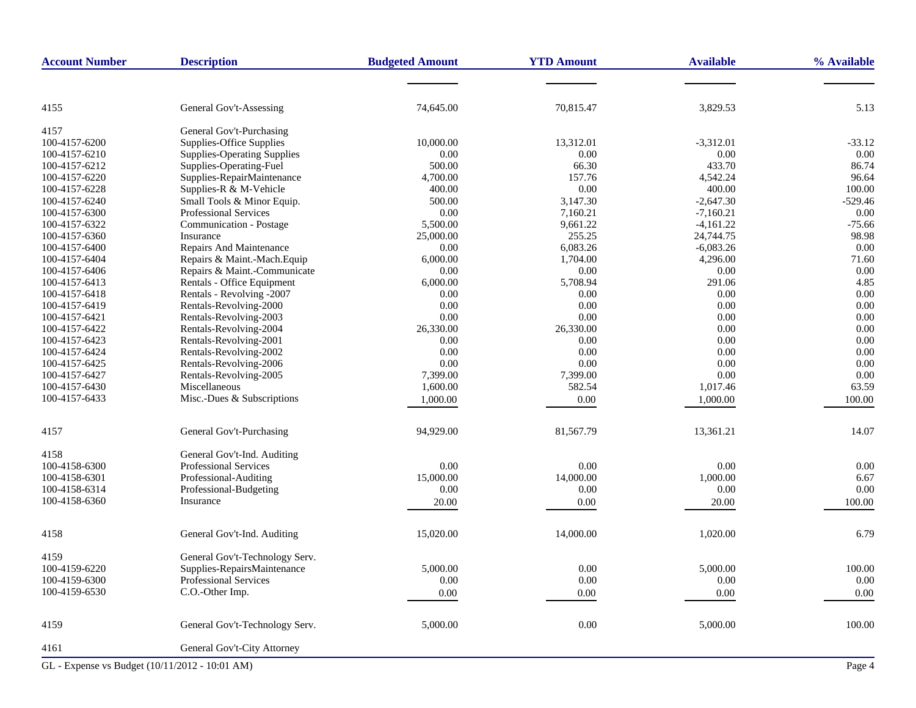| <b>Account Number</b> | <b>Description</b>                      | <b>Budgeted Amount</b> | <b>YTD Amount</b> | <b>Available</b> | % Available |
|-----------------------|-----------------------------------------|------------------------|-------------------|------------------|-------------|
|                       |                                         |                        |                   |                  |             |
| 4155                  | General Gov't-Assessing                 | 74,645.00              | 70,815.47         | 3,829.53         | 5.13        |
|                       |                                         |                        |                   |                  |             |
| 4157                  | General Gov't-Purchasing                |                        |                   |                  |             |
| 100-4157-6200         | Supplies-Office Supplies                | 10,000.00              | 13,312.01         | $-3,312.01$      | $-33.12$    |
| 100-4157-6210         | <b>Supplies-Operating Supplies</b>      | 0.00                   | 0.00              | 0.00             | 0.00        |
| 100-4157-6212         | Supplies-Operating-Fuel                 | 500.00                 | 66.30             | 433.70           | 86.74       |
| 100-4157-6220         | Supplies-RepairMaintenance              | 4,700.00               | 157.76            | 4,542.24         | 96.64       |
| 100-4157-6228         | Supplies-R & M-Vehicle                  | 400.00                 | 0.00              | 400.00           | 100.00      |
| 100-4157-6240         | Small Tools & Minor Equip.              | 500.00                 | 3,147.30          | $-2,647.30$      | $-529.46$   |
| 100-4157-6300         | Professional Services                   | 0.00                   | 7,160.21          | $-7,160.21$      | 0.00        |
| 100-4157-6322         | Communication - Postage                 | 5,500.00               | 9,661.22          | $-4,161.22$      | $-75.66$    |
| 100-4157-6360         | Insurance                               | 25,000.00              | 255.25            | 24,744.75        | 98.98       |
| 100-4157-6400         | Repairs And Maintenance                 | 0.00                   | 6,083.26          | $-6,083.26$      | 0.00        |
| 100-4157-6404         | Repairs & Maint.-Mach.Equip             | 6,000.00               | 1,704.00          | 4,296.00         | 71.60       |
| 100-4157-6406         | Repairs & Maint.-Communicate            | 0.00                   | 0.00              | 0.00             | 0.00        |
| 100-4157-6413         | Rentals - Office Equipment              | 6,000.00               | 5,708.94          | 291.06           | 4.85        |
| 100-4157-6418         | Rentals - Revolving -2007               | 0.00                   | 0.00              | 0.00             | 0.00        |
| 100-4157-6419         | Rentals-Revolving-2000                  | 0.00                   | 0.00              | 0.00             | $0.00\,$    |
| 100-4157-6421         | Rentals-Revolving-2003                  | 0.00                   | 0.00              | 0.00             | 0.00        |
| 100-4157-6422         | Rentals-Revolving-2004                  | 26,330.00              | 26,330.00         | 0.00             | 0.00        |
| 100-4157-6423         | Rentals-Revolving-2001                  | 0.00                   | 0.00              | 0.00             | $0.00\,$    |
| 100-4157-6424         | Rentals-Revolving-2002                  | 0.00                   | 0.00              | 0.00             | 0.00        |
| 100-4157-6425         | Rentals-Revolving-2006                  | 0.00                   | 0.00              | 0.00             | 0.00        |
| 100-4157-6427         |                                         | 7,399.00               | 7,399.00          | 0.00             | 0.00        |
| 100-4157-6430         | Rentals-Revolving-2005<br>Miscellaneous |                        | 582.54            |                  |             |
|                       |                                         | 1,600.00               |                   | 1,017.46         | 63.59       |
| 100-4157-6433         | Misc.-Dues & Subscriptions              | 1,000.00               | 0.00              | 1,000.00         | 100.00      |
| 4157                  | General Gov't-Purchasing                | 94,929.00              | 81,567.79         | 13,361.21        | 14.07       |
| 4158                  | General Gov't-Ind. Auditing             |                        |                   |                  |             |
| 100-4158-6300         | <b>Professional Services</b>            | 0.00                   | 0.00              | 0.00             | 0.00        |
| 100-4158-6301         | Professional-Auditing                   | 15,000.00              | 14,000.00         | 1,000.00         | 6.67        |
| 100-4158-6314         | Professional-Budgeting                  | 0.00                   | 0.00              | 0.00             | $0.00\,$    |
| 100-4158-6360         | Insurance                               | 20.00                  | 0.00              | 20.00            | 100.00      |
| 4158                  | General Gov't-Ind. Auditing             | 15,020.00              | 14,000.00         | 1,020.00         | 6.79        |
| 4159                  | General Gov't-Technology Serv.          |                        |                   |                  |             |
| 100-4159-6220         | Supplies-RepairsMaintenance             | 5,000.00               | $0.00\,$          | 5,000.00         | 100.00      |
| 100-4159-6300         | Professional Services                   | 0.00                   | 0.00              | 0.00             | 0.00        |
| 100-4159-6530         | C.O.-Other Imp.                         | 0.00                   | 0.00              | 0.00             | $0.00\,$    |
|                       |                                         |                        |                   |                  |             |
| 4159                  | General Gov't-Technology Serv.          | 5,000.00               | 0.00              | 5,000.00         | 100.00      |
| 4161                  | General Gov't-City Attorney             |                        |                   |                  |             |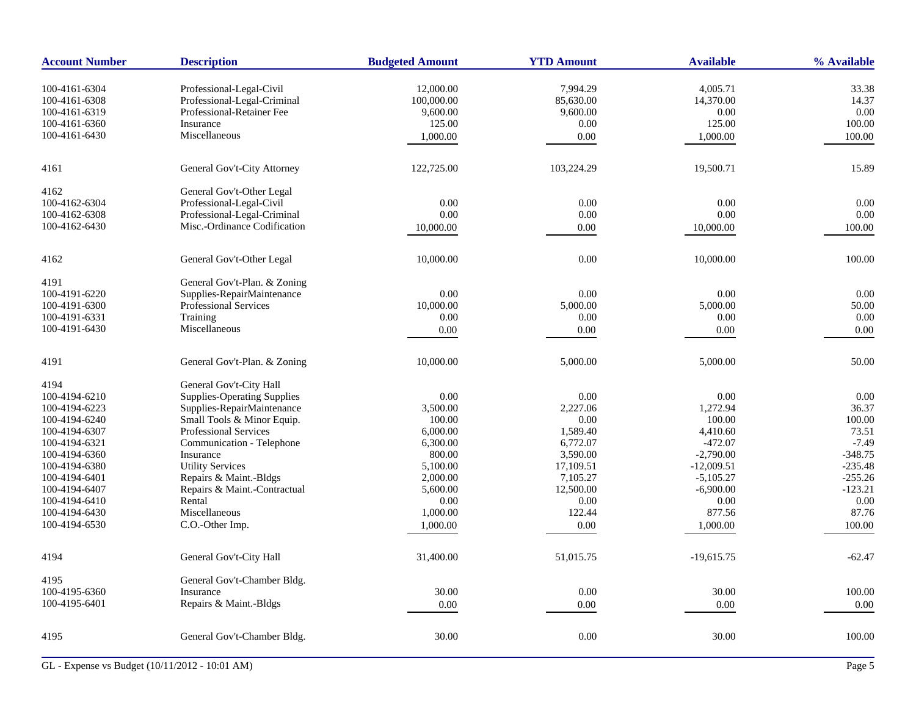| <b>Account Number</b> | <b>Description</b>                 | <b>Budgeted Amount</b> | <b>YTD Amount</b> | <b>Available</b> | % Available |
|-----------------------|------------------------------------|------------------------|-------------------|------------------|-------------|
| 100-4161-6304         | Professional-Legal-Civil           | 12,000.00              | 7,994.29          | 4,005.71         | 33.38       |
| 100-4161-6308         | Professional-Legal-Criminal        | 100,000.00             | 85,630.00         | 14,370.00        | 14.37       |
| 100-4161-6319         | Professional-Retainer Fee          | 9,600.00               | 9,600.00          | 0.00             | 0.00        |
| 100-4161-6360         | Insurance                          | 125.00                 | 0.00              | 125.00           | 100.00      |
| 100-4161-6430         | Miscellaneous                      |                        |                   | 1,000.00         | 100.00      |
|                       |                                    | 1,000.00               | 0.00              |                  |             |
| 4161                  | General Gov't-City Attorney        | 122,725.00             | 103,224.29        | 19,500.71        | 15.89       |
| 4162                  | General Gov't-Other Legal          |                        |                   |                  |             |
| 100-4162-6304         | Professional-Legal-Civil           | 0.00                   | 0.00              | 0.00             | 0.00        |
| 100-4162-6308         | Professional-Legal-Criminal        | 0.00                   | 0.00              | 0.00             | 0.00        |
| 100-4162-6430         | Misc.-Ordinance Codification       | 10,000.00              | 0.00              | 10,000.00        | 100.00      |
| 4162                  | General Gov't-Other Legal          | 10,000.00              | 0.00              | 10,000.00        | 100.00      |
| 4191                  | General Gov't-Plan. & Zoning       |                        |                   |                  |             |
| 100-4191-6220         | Supplies-RepairMaintenance         | 0.00                   | 0.00              | 0.00             | 0.00        |
| 100-4191-6300         | Professional Services              | 10.000.00              | 5,000.00          | 5,000.00         | 50.00       |
| 100-4191-6331         | Training                           | 0.00                   | 0.00              | 0.00             | 0.00        |
| 100-4191-6430         | Miscellaneous                      | 0.00                   | 0.00              | 0.00             | 0.00        |
|                       |                                    |                        |                   |                  |             |
| 4191                  | General Gov't-Plan. & Zoning       | 10,000.00              | 5,000.00          | 5,000.00         | 50.00       |
| 4194                  | General Gov't-City Hall            |                        |                   |                  |             |
| 100-4194-6210         | <b>Supplies-Operating Supplies</b> | 0.00                   | 0.00              | 0.00             | 0.00        |
| 100-4194-6223         | Supplies-RepairMaintenance         | 3,500.00               | 2,227.06          | 1,272.94         | 36.37       |
| 100-4194-6240         | Small Tools & Minor Equip.         | 100.00                 | 0.00              | 100.00           | 100.00      |
| 100-4194-6307         | Professional Services              | 6,000.00               | 1,589.40          | 4,410.60         | 73.51       |
| 100-4194-6321         | Communication - Telephone          | 6,300.00               | 6,772.07          | $-472.07$        | $-7.49$     |
| 100-4194-6360         | Insurance                          | 800.00                 | 3,590.00          | $-2,790.00$      | $-348.75$   |
| 100-4194-6380         | <b>Utility Services</b>            | 5,100.00               | 17,109.51         | $-12,009.51$     | $-235.48$   |
| 100-4194-6401         | Repairs & Maint.-Bldgs             | 2,000.00               | 7,105.27          | $-5,105.27$      | $-255.26$   |
| 100-4194-6407         | Repairs & Maint.-Contractual       | 5,600.00               | 12,500.00         | $-6,900.00$      | $-123.21$   |
| 100-4194-6410         | Rental                             | 0.00                   | 0.00              | 0.00             | 0.00        |
| 100-4194-6430         | Miscellaneous                      | 1,000.00               | 122.44            | 877.56           | 87.76       |
| 100-4194-6530         | C.O.-Other Imp.                    | 1,000.00               | 0.00              | 1,000.00         | 100.00      |
|                       |                                    | 31,400.00              | 51,015.75         | $-19,615.75$     | $-62.47$    |
| 4194                  | General Gov't-City Hall            |                        |                   |                  |             |
| 4195                  | General Gov't-Chamber Bldg.        |                        |                   |                  |             |
| 100-4195-6360         | Insurance                          | 30.00                  | 0.00              | 30.00            | 100.00      |
| 100-4195-6401         | Repairs & Maint.-Bldgs             | 0.00                   | 0.00              | 0.00             | 0.00        |
| 4195                  | General Gov't-Chamber Bldg.        | 30.00                  | 0.00              | 30.00            | 100.00      |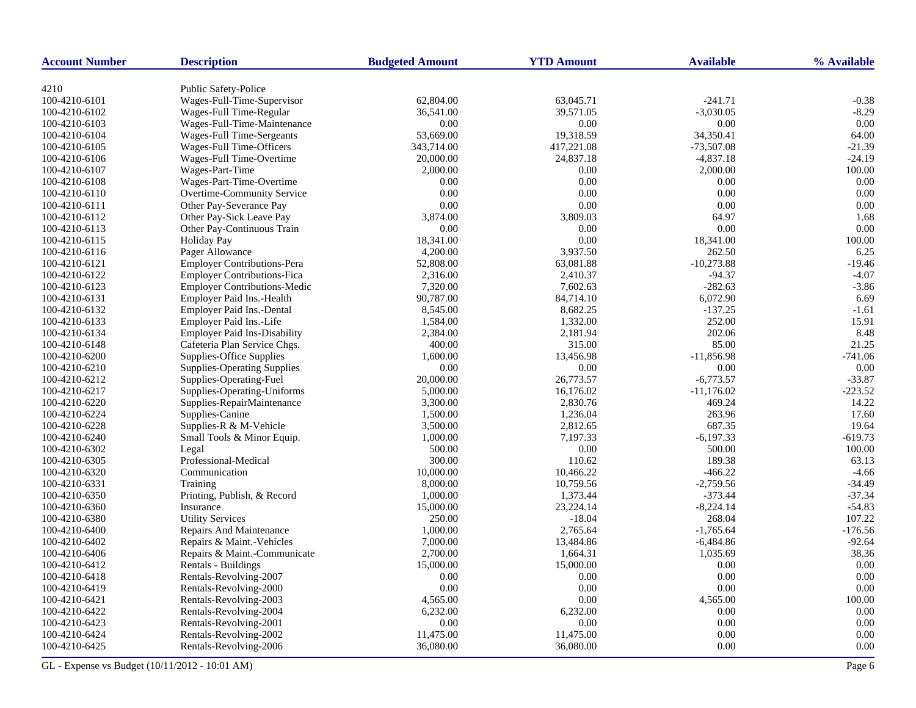| <b>Account Number</b> | <b>Description</b>                                     | <b>Budgeted Amount</b> | <b>YTD Amount</b> | <b>Available</b>      | % Available |
|-----------------------|--------------------------------------------------------|------------------------|-------------------|-----------------------|-------------|
| 4210                  | Public Safety-Police                                   |                        |                   |                       |             |
| 100-4210-6101         | Wages-Full-Time-Supervisor                             | 62,804.00              | 63,045.71         | $-241.71$             | $-0.38$     |
| 100-4210-6102         | Wages-Full Time-Regular                                | 36,541.00              | 39,571.05         | $-3,030.05$           | $-8.29$     |
| 100-4210-6103         | Wages-Full-Time-Maintenance                            | 0.00                   | 0.00              | 0.00                  | 0.00        |
| 100-4210-6104         | Wages-Full Time-Sergeants                              | 53,669.00              | 19,318.59         | 34,350.41             | 64.00       |
| 100-4210-6105         | Wages-Full Time-Officers                               | 343,714.00             | 417,221.08        | $-73,507.08$          | $-21.39$    |
| 100-4210-6106         | Wages-Full Time-Overtime                               | 20,000.00              | 24,837.18         | $-4,837.18$           | $-24.19$    |
| 100-4210-6107         | Wages-Part-Time                                        | 2,000.00               | 0.00              | 2,000.00              | 100.00      |
| 100-4210-6108         | Wages-Part-Time-Overtime                               | 0.00                   | 0.00              | 0.00                  | 0.00        |
| 100-4210-6110         | Overtime-Community Service                             | 0.00                   | 0.00              | $0.00\,$              | 0.00        |
| 100-4210-6111         | Other Pay-Severance Pay                                | 0.00                   | 0.00              | 0.00                  | 0.00        |
| 100-4210-6112         | Other Pay-Sick Leave Pay                               | 3,874.00               | 3,809.03          | 64.97                 | 1.68        |
| 100-4210-6113         | Other Pay-Continuous Train                             | 0.00                   | 0.00              | 0.00                  | 0.00        |
| 100-4210-6115         |                                                        | 18,341.00              | 0.00              | 18,341.00             | 100.00      |
| 100-4210-6116         | <b>Holiday Pay</b><br>Pager Allowance                  | 4,200.00               | 3,937.50          | 262.50                | 6.25        |
| 100-4210-6121         | <b>Employer Contributions-Pera</b>                     | 52,808.00              | 63,081.88         | $-10,273.88$          | $-19.46$    |
| 100-4210-6122         | <b>Employer Contributions-Fica</b>                     | 2,316.00               | 2,410.37          | $-94.37$              | $-4.07$     |
|                       | <b>Employer Contributions-Medic</b>                    |                        | 7,602.63          | $-282.63$             |             |
| 100-4210-6123         |                                                        | 7,320.00               |                   |                       | $-3.86$     |
| 100-4210-6131         | Employer Paid Ins.-Health<br>Employer Paid Ins.-Dental | 90,787.00              | 84,714.10         | 6,072.90<br>$-137.25$ | 6.69        |
| 100-4210-6132         |                                                        | 8,545.00               | 8,682.25          | 252.00                | $-1.61$     |
| 100-4210-6133         | Employer Paid Ins.-Life                                | 1,584.00               | 1,332.00          |                       | 15.91       |
| 100-4210-6134         | Employer Paid Ins-Disability                           | 2,384.00               | 2,181.94          | 202.06                | 8.48        |
| 100-4210-6148         | Cafeteria Plan Service Chgs.                           | 400.00                 | 315.00            | 85.00                 | 21.25       |
| 100-4210-6200         | Supplies-Office Supplies                               | 1,600.00               | 13,456.98         | $-11,856.98$          | $-741.06$   |
| 100-4210-6210         | <b>Supplies-Operating Supplies</b>                     | $0.00\,$               | 0.00              | 0.00                  | 0.00        |
| 100-4210-6212         | Supplies-Operating-Fuel                                | 20,000.00              | 26,773.57         | $-6,773.57$           | $-33.87$    |
| 100-4210-6217         | Supplies-Operating-Uniforms                            | 5,000.00               | 16,176.02         | $-11,176.02$          | $-223.52$   |
| 100-4210-6220         | Supplies-RepairMaintenance                             | 3,300.00               | 2,830.76          | 469.24                | 14.22       |
| 100-4210-6224         | Supplies-Canine                                        | 1,500.00               | 1,236.04          | 263.96                | 17.60       |
| 100-4210-6228         | Supplies-R & M-Vehicle                                 | 3,500.00               | 2,812.65          | 687.35                | 19.64       |
| 100-4210-6240         | Small Tools & Minor Equip.                             | 1,000.00               | 7,197.33          | $-6,197.33$           | $-619.73$   |
| 100-4210-6302         | Legal                                                  | 500.00                 | 0.00              | 500.00                | 100.00      |
| 100-4210-6305         | Professional-Medical                                   | 300.00                 | 110.62            | 189.38                | 63.13       |
| 100-4210-6320         | Communication                                          | 10,000.00              | 10,466.22         | $-466.22$             | $-4.66$     |
| 100-4210-6331         | Training                                               | 8,000.00               | 10,759.56         | $-2,759.56$           | $-34.49$    |
| 100-4210-6350         | Printing, Publish, & Record                            | 1,000.00               | 1,373.44          | $-373.44$             | $-37.34$    |
| 100-4210-6360         | Insurance                                              | 15,000.00              | 23,224.14         | $-8,224.14$           | $-54.83$    |
| 100-4210-6380         | <b>Utility Services</b>                                | 250.00                 | $-18.04$          | 268.04                | 107.22      |
| 100-4210-6400         | <b>Repairs And Maintenance</b>                         | 1,000.00               | 2,765.64          | $-1,765.64$           | $-176.56$   |
| 100-4210-6402         | Repairs & Maint.-Vehicles                              | 7,000.00               | 13,484.86         | $-6,484.86$           | $-92.64$    |
| 100-4210-6406         | Repairs & Maint.-Communicate                           | 2,700.00               | 1,664.31          | 1,035.69              | 38.36       |
| 100-4210-6412         | Rentals - Buildings                                    | 15,000.00              | 15,000.00         | 0.00                  | 0.00        |
| 100-4210-6418         | Rentals-Revolving-2007                                 | 0.00                   | 0.00              | $0.00\,$              | 0.00        |
| 100-4210-6419         | Rentals-Revolving-2000                                 | 0.00                   | 0.00              | 0.00                  | 0.00        |
| 100-4210-6421         | Rentals-Revolving-2003                                 | 4,565.00               | 0.00              | 4,565.00              | 100.00      |
| 100-4210-6422         | Rentals-Revolving-2004                                 | 6,232.00               | 6,232.00          | 0.00                  | 0.00        |
| 100-4210-6423         | Rentals-Revolving-2001                                 | 0.00                   | 0.00              | 0.00                  | 0.00        |
| 100-4210-6424         | Rentals-Revolving-2002                                 | 11,475.00              | 11,475.00         | 0.00                  | 0.00        |
| 100-4210-6425         | Rentals-Revolving-2006                                 | 36,080.00              | 36,080.00         | 0.00                  | 0.00        |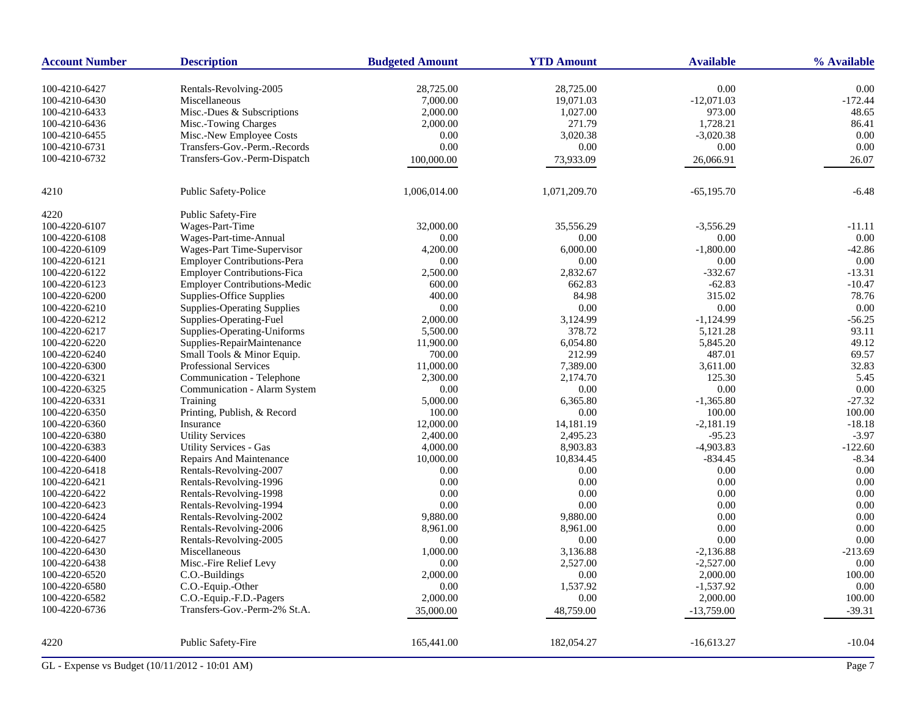| 100-4210-6427 |                                     |              |              |              |           |
|---------------|-------------------------------------|--------------|--------------|--------------|-----------|
|               | Rentals-Revolving-2005              | 28,725.00    | 28,725.00    | 0.00         | 0.00      |
| 100-4210-6430 | Miscellaneous                       | 7,000.00     | 19,071.03    | $-12,071.03$ | $-172.44$ |
| 100-4210-6433 | Misc.-Dues & Subscriptions          | 2,000.00     | 1,027.00     | 973.00       | 48.65     |
| 100-4210-6436 | Misc.-Towing Charges                | 2,000.00     | 271.79       | 1,728.21     | 86.41     |
| 100-4210-6455 | Misc.-New Employee Costs            | 0.00         | 3,020.38     | $-3,020.38$  | 0.00      |
| 100-4210-6731 | Transfers-Gov.-Perm.-Records        | 0.00         | $0.00\,$     | 0.00         | 0.00      |
| 100-4210-6732 | Transfers-Gov.-Perm-Dispatch        | 100,000.00   | 73,933.09    | 26,066.91    | 26.07     |
|               |                                     |              |              |              |           |
| 4210          | Public Safety-Police                | 1,006,014.00 | 1,071,209.70 | $-65,195.70$ | $-6.48$   |
| 4220          | Public Safety-Fire                  |              |              |              |           |
| 100-4220-6107 | Wages-Part-Time                     | 32,000.00    | 35,556.29    | $-3,556.29$  | $-11.11$  |
| 100-4220-6108 | Wages-Part-time-Annual              | 0.00         | 0.00         | 0.00         | 0.00      |
| 100-4220-6109 | Wages-Part Time-Supervisor          | 4,200.00     | 6,000.00     | $-1,800.00$  | $-42.86$  |
| 100-4220-6121 | <b>Employer Contributions-Pera</b>  | 0.00         | 0.00         | 0.00         | 0.00      |
| 100-4220-6122 | <b>Employer Contributions-Fica</b>  | 2,500.00     | 2,832.67     | $-332.67$    | $-13.31$  |
| 100-4220-6123 | <b>Employer Contributions-Medic</b> | 600.00       | 662.83       | $-62.83$     | $-10.47$  |
| 100-4220-6200 | Supplies-Office Supplies            | 400.00       | 84.98        | 315.02       | 78.76     |
| 100-4220-6210 | <b>Supplies-Operating Supplies</b>  | 0.00         | $0.00\,$     | 0.00         | 0.00      |
| 100-4220-6212 | Supplies-Operating-Fuel             | 2,000.00     | 3,124.99     | $-1,124.99$  | $-56.25$  |
| 100-4220-6217 | Supplies-Operating-Uniforms         | 5,500.00     | 378.72       | 5,121.28     | 93.11     |
| 100-4220-6220 | Supplies-RepairMaintenance          | 11,900.00    | 6,054.80     | 5,845.20     | 49.12     |
| 100-4220-6240 | Small Tools & Minor Equip.          | 700.00       | 212.99       | 487.01       | 69.57     |
| 100-4220-6300 | <b>Professional Services</b>        | 11,000.00    | 7,389.00     | 3,611.00     | 32.83     |
| 100-4220-6321 | Communication - Telephone           | 2,300.00     | 2,174.70     | 125.30       | 5.45      |
| 100-4220-6325 | Communication - Alarm System        | 0.00         | $0.00\,$     | 0.00         | 0.00      |
| 100-4220-6331 | Training                            | 5,000.00     | 6,365.80     | $-1,365.80$  | $-27.32$  |
| 100-4220-6350 | Printing, Publish, & Record         | 100.00       | 0.00         | 100.00       | 100.00    |
| 100-4220-6360 | Insurance                           | 12,000.00    | 14,181.19    | $-2,181.19$  | $-18.18$  |
| 100-4220-6380 | <b>Utility Services</b>             | 2,400.00     | 2,495.23     | $-95.23$     | $-3.97$   |
| 100-4220-6383 | <b>Utility Services - Gas</b>       | 4,000.00     | 8,903.83     | $-4,903.83$  | $-122.60$ |
| 100-4220-6400 | Repairs And Maintenance             | 10,000.00    | 10,834.45    | $-834.45$    | $-8.34$   |
| 100-4220-6418 | Rentals-Revolving-2007              | 0.00         | 0.00         | 0.00         | 0.00      |
| 100-4220-6421 | Rentals-Revolving-1996              | 0.00         | 0.00         | 0.00         | 0.00      |
| 100-4220-6422 | Rentals-Revolving-1998              | 0.00         | 0.00         | 0.00         | 0.00      |
| 100-4220-6423 | Rentals-Revolving-1994              | 0.00         | 0.00         | 0.00         | 0.00      |
| 100-4220-6424 | Rentals-Revolving-2002              | 9,880.00     | 9,880.00     | 0.00         | 0.00      |
| 100-4220-6425 | Rentals-Revolving-2006              | 8,961.00     | 8,961.00     | 0.00         | 0.00      |
| 100-4220-6427 | Rentals-Revolving-2005              | 0.00         | 0.00         | 0.00         | 0.00      |
| 100-4220-6430 | Miscellaneous                       | 1,000.00     | 3,136.88     | $-2,136.88$  | $-213.69$ |
| 100-4220-6438 | Misc.-Fire Relief Levy              | 0.00         | 2,527.00     | $-2,527.00$  | 0.00      |
| 100-4220-6520 | C.O.-Buildings                      | 2,000.00     | 0.00         | 2,000.00     | 100.00    |
| 100-4220-6580 | C.O.-Equip.-Other                   | 0.00         | 1,537.92     | $-1,537.92$  | $0.00\,$  |
| 100-4220-6582 | C.O.-Equip.-F.D.-Pagers             | 2,000.00     | 0.00         | 2,000.00     | 100.00    |
| 100-4220-6736 | Transfers-Gov.-Perm-2% St.A.        | 35,000.00    | 48,759.00    | $-13,759.00$ | $-39.31$  |
| 4220          | Public Safety-Fire                  | 165,441.00   | 182,054.27   | $-16,613.27$ | $-10.04$  |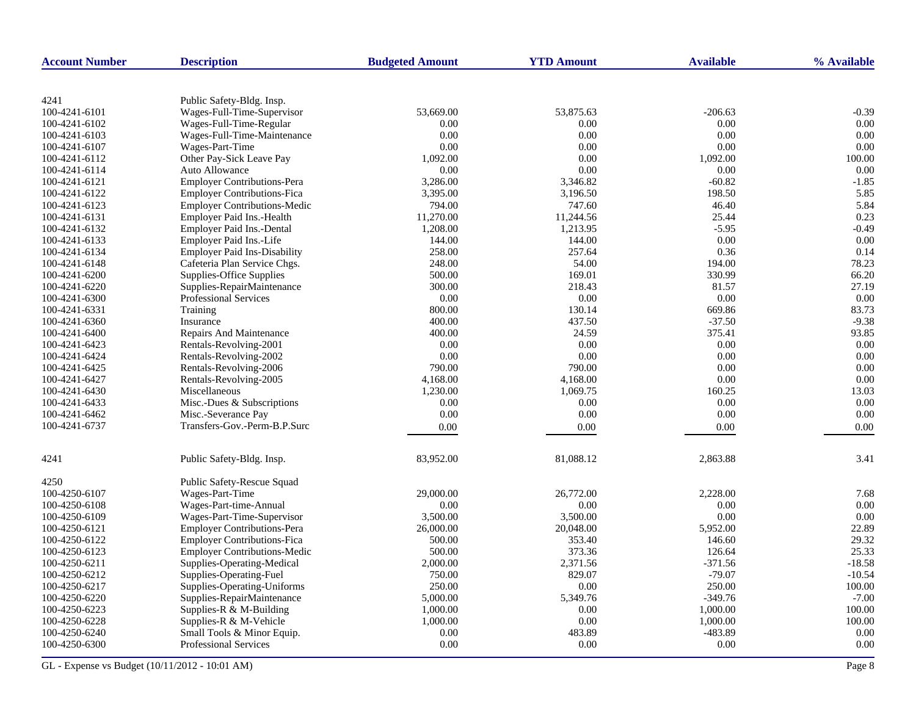| <b>Account Number</b> | <b>Description</b>                  | <b>Budgeted Amount</b> | <b>YTD Amount</b> | <b>Available</b> | % Available |
|-----------------------|-------------------------------------|------------------------|-------------------|------------------|-------------|
|                       |                                     |                        |                   |                  |             |
| 4241                  | Public Safety-Bldg. Insp.           |                        |                   |                  |             |
| 100-4241-6101         | Wages-Full-Time-Supervisor          | 53,669.00              | 53,875.63         | $-206.63$        | $-0.39$     |
| 100-4241-6102         | Wages-Full-Time-Regular             | 0.00                   | 0.00              | 0.00             | 0.00        |
| 100-4241-6103         | Wages-Full-Time-Maintenance         | 0.00                   | 0.00              | 0.00             | 0.00        |
| 100-4241-6107         | Wages-Part-Time                     | 0.00                   | 0.00              | 0.00             | 0.00        |
| 100-4241-6112         | Other Pay-Sick Leave Pay            | 1,092.00               | 0.00              | 1,092.00         | 100.00      |
| 100-4241-6114         | Auto Allowance                      | 0.00                   | 0.00              | 0.00             | 0.00        |
| 100-4241-6121         | <b>Employer Contributions-Pera</b>  | 3,286.00               | 3,346.82          | $-60.82$         | $-1.85$     |
| 100-4241-6122         | <b>Employer Contributions-Fica</b>  | 3,395.00               | 3,196.50          | 198.50           | 5.85        |
| 100-4241-6123         | <b>Employer Contributions-Medic</b> | 794.00                 | 747.60            | 46.40            | 5.84        |
| 100-4241-6131         | Employer Paid Ins.-Health           | 11,270.00              | 11,244.56         | 25.44            | 0.23        |
| 100-4241-6132         | Employer Paid Ins.-Dental           | 1,208.00               | 1,213.95          | $-5.95$          | $-0.49$     |
| 100-4241-6133         | Employer Paid Ins.-Life             | 144.00                 | 144.00            | 0.00             | 0.00        |
| 100-4241-6134         | <b>Employer Paid Ins-Disability</b> | 258.00                 | 257.64            | 0.36             | 0.14        |
| 100-4241-6148         | Cafeteria Plan Service Chgs.        | 248.00                 | 54.00             | 194.00           | 78.23       |
| 100-4241-6200         | Supplies-Office Supplies            | 500.00                 | 169.01            | 330.99           | 66.20       |
| 100-4241-6220         | Supplies-RepairMaintenance          | 300.00                 | 218.43            | 81.57            | 27.19       |
| 100-4241-6300         | Professional Services               | 0.00                   | 0.00              | 0.00             | 0.00        |
| 100-4241-6331         | Training                            | 800.00                 | 130.14            | 669.86           | 83.73       |
| 100-4241-6360         | Insurance                           | 400.00                 | 437.50            | $-37.50$         | $-9.38$     |
| 100-4241-6400         | Repairs And Maintenance             | 400.00                 | 24.59             | 375.41           | 93.85       |
| 100-4241-6423         | Rentals-Revolving-2001              | 0.00                   | 0.00              | 0.00             | 0.00        |
| 100-4241-6424         | Rentals-Revolving-2002              | 0.00                   | 0.00              | 0.00             | 0.00        |
| 100-4241-6425         | Rentals-Revolving-2006              | 790.00                 | 790.00            | 0.00             | 0.00        |
| 100-4241-6427         | Rentals-Revolving-2005              | 4,168.00               | 4,168.00          | 0.00             | 0.00        |
| 100-4241-6430         | Miscellaneous                       | 1,230.00               | 1,069.75          | 160.25           | 13.03       |
| 100-4241-6433         | Misc.-Dues & Subscriptions          | 0.00                   | 0.00              | 0.00             | 0.00        |
| 100-4241-6462         | Misc.-Severance Pay                 | 0.00                   | 0.00              | 0.00             | 0.00        |
| 100-4241-6737         | Transfers-Gov.-Perm-B.P.Surc        | 0.00                   | 0.00              | 0.00             | 0.00        |
|                       |                                     |                        |                   |                  |             |
| 4241                  | Public Safety-Bldg. Insp.           | 83,952.00              | 81,088.12         | 2,863.88         | 3.41        |
| 4250                  | Public Safety-Rescue Squad          |                        |                   |                  |             |
| 100-4250-6107         | Wages-Part-Time                     | 29,000.00              | 26,772.00         | 2,228.00         | 7.68        |
| 100-4250-6108         | Wages-Part-time-Annual              | 0.00                   | 0.00              | 0.00             | 0.00        |
| 100-4250-6109         | Wages-Part-Time-Supervisor          | 3,500.00               | 3,500.00          | 0.00             | 0.00        |
| 100-4250-6121         | <b>Employer Contributions-Pera</b>  | 26,000.00              | 20,048.00         | 5,952.00         | 22.89       |
| 100-4250-6122         | <b>Employer Contributions-Fica</b>  | 500.00                 | 353.40            | 146.60           | 29.32       |
| 100-4250-6123         | <b>Employer Contributions-Medic</b> | 500.00                 | 373.36            | 126.64           | 25.33       |
| 100-4250-6211         | Supplies-Operating-Medical          | 2,000.00               | 2,371.56          | $-371.56$        | $-18.58$    |
| 100-4250-6212         | Supplies-Operating-Fuel             | 750.00                 | 829.07            | $-79.07$         | $-10.54$    |
| 100-4250-6217         | Supplies-Operating-Uniforms         | 250.00                 | 0.00              | 250.00           | 100.00      |
| 100-4250-6220         | Supplies-RepairMaintenance          | 5,000.00               | 5,349.76          | $-349.76$        | $-7.00$     |
| 100-4250-6223         | Supplies-R & M-Building             | 1,000.00               | 0.00              | 1,000.00         | 100.00      |
| 100-4250-6228         | Supplies-R & M-Vehicle              | 1,000.00               | 0.00              | 1,000.00         | 100.00      |
| 100-4250-6240         | Small Tools & Minor Equip.          | 0.00                   | 483.89            | $-483.89$        | 0.00        |
| 100-4250-6300         | <b>Professional Services</b>        | 0.00                   | 0.00              | 0.00             | 0.00        |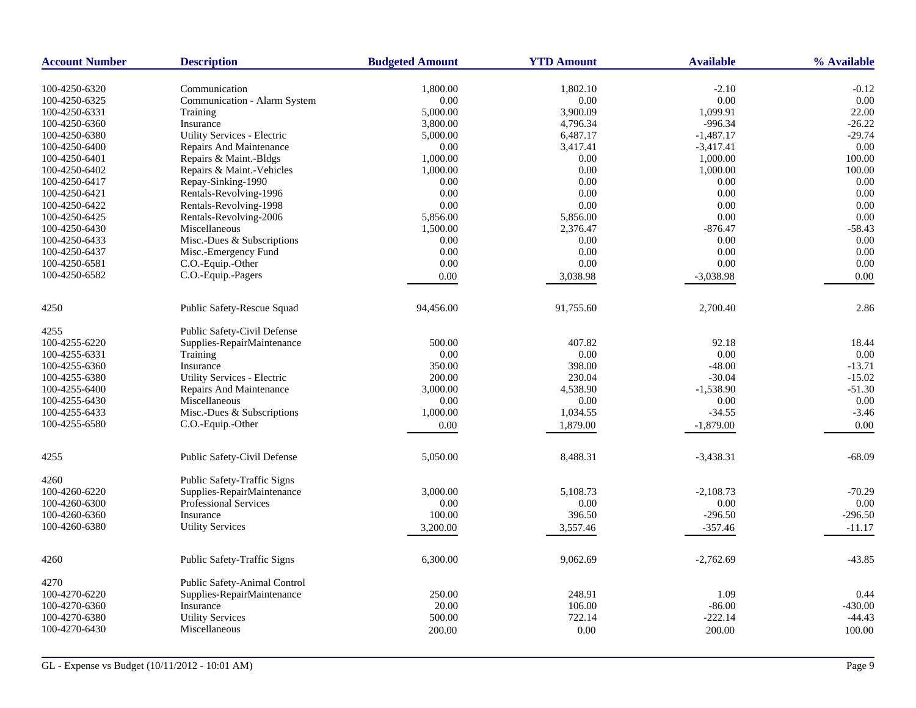| <b>Account Number</b> | <b>Description</b>                 | <b>Budgeted Amount</b> | <b>YTD Amount</b> | <b>Available</b> | % Available |
|-----------------------|------------------------------------|------------------------|-------------------|------------------|-------------|
| 100-4250-6320         | Communication                      | 1,800.00               | 1,802.10          | $-2.10$          | $-0.12$     |
| 100-4250-6325         | Communication - Alarm System       | 0.00                   | 0.00              | 0.00             | 0.00        |
| 100-4250-6331         | Training                           | 5,000.00               | 3,900.09          | 1,099.91         | 22.00       |
| 100-4250-6360         | Insurance                          | 3,800.00               | 4,796.34          | $-996.34$        | $-26.22$    |
| 100-4250-6380         | <b>Utility Services - Electric</b> | 5,000.00               | 6,487.17          | $-1,487.17$      | $-29.74$    |
| 100-4250-6400         | Repairs And Maintenance            | 0.00                   | 3,417.41          | $-3,417.41$      | 0.00        |
| 100-4250-6401         | Repairs & Maint.-Bldgs             | 1,000.00               | 0.00              | 1,000.00         | 100.00      |
| 100-4250-6402         | Repairs & Maint.-Vehicles          | 1,000.00               | $0.00\,$          | 1,000.00         | 100.00      |
| 100-4250-6417         | Repay-Sinking-1990                 | 0.00                   | 0.00              | 0.00             | 0.00        |
| 100-4250-6421         | Rentals-Revolving-1996             | 0.00                   | $0.00\,$          | 0.00             | 0.00        |
| 100-4250-6422         | Rentals-Revolving-1998             | 0.00                   | 0.00              | 0.00             | 0.00        |
|                       | Rentals-Revolving-2006             |                        |                   | 0.00             | 0.00        |
| 100-4250-6425         |                                    | 5,856.00<br>1,500.00   | 5,856.00          |                  |             |
| 100-4250-6430         | Miscellaneous                      |                        | 2,376.47          | $-876.47$        | $-58.43$    |
| 100-4250-6433         | Misc.-Dues & Subscriptions         | 0.00                   | 0.00              | 0.00             | 0.00        |
| 100-4250-6437         | Misc.-Emergency Fund               | 0.00                   | 0.00              | 0.00             | 0.00        |
| 100-4250-6581         | C.O.-Equip.-Other                  | 0.00                   | 0.00              | 0.00             | 0.00        |
| 100-4250-6582         | C.O.-Equip.-Pagers                 | 0.00                   | 3,038.98          | $-3,038.98$      | 0.00        |
| 4250                  | Public Safety-Rescue Squad         | 94,456.00              | 91,755.60         | 2,700.40         | 2.86        |
| 4255                  | Public Safety-Civil Defense        |                        |                   |                  |             |
| 100-4255-6220         | Supplies-RepairMaintenance         | 500.00                 | 407.82            | 92.18            | 18.44       |
| 100-4255-6331         | Training                           | 0.00                   | 0.00              | 0.00             | 0.00        |
| 100-4255-6360         | Insurance                          | 350.00                 | 398.00            | $-48.00$         | $-13.71$    |
| 100-4255-6380         | Utility Services - Electric        | 200.00                 | 230.04            | $-30.04$         | $-15.02$    |
| 100-4255-6400         | <b>Repairs And Maintenance</b>     | 3,000.00               | 4,538.90          | $-1,538.90$      | $-51.30$    |
| 100-4255-6430         | Miscellaneous                      | 0.00                   | $0.00\,$          | 0.00             | 0.00        |
| 100-4255-6433         | Misc.-Dues & Subscriptions         | 1,000.00               | 1,034.55          | $-34.55$         | $-3.46$     |
| 100-4255-6580         | C.O.-Equip.-Other                  | 0.00                   | 1,879.00          | $-1,879.00$      | 0.00        |
|                       |                                    |                        |                   |                  |             |
| 4255                  | Public Safety-Civil Defense        | 5,050.00               | 8,488.31          | $-3,438.31$      | $-68.09$    |
| 4260                  | <b>Public Safety-Traffic Signs</b> |                        |                   |                  |             |
| 100-4260-6220         | Supplies-RepairMaintenance         | 3,000.00               | 5,108.73          | $-2,108.73$      | $-70.29$    |
| 100-4260-6300         | <b>Professional Services</b>       | 0.00                   | $0.00\,$          | 0.00             | $0.00\,$    |
| 100-4260-6360         | Insurance                          | 100.00                 | 396.50            | $-296.50$        | $-296.50$   |
| 100-4260-6380         | <b>Utility Services</b>            | 3,200.00               | 3,557.46          | $-357.46$        | $-11.17$    |
|                       |                                    |                        |                   |                  |             |
| 4260                  | Public Safety-Traffic Signs        | 6,300.00               | 9,062.69          | $-2,762.69$      | $-43.85$    |
| 4270                  | Public Safety-Animal Control       |                        |                   |                  |             |
| 100-4270-6220         | Supplies-RepairMaintenance         | 250.00                 | 248.91            | 1.09             | 0.44        |
| 100-4270-6360         | Insurance                          | 20.00                  | 106.00            | $-86.00$         | $-430.00$   |
| 100-4270-6380         | <b>Utility Services</b>            | 500.00                 | 722.14            | $-222.14$        | $-44.43$    |
| 100-4270-6430         | Miscellaneous                      | 200.00                 | 0.00              | 200.00           | 100.00      |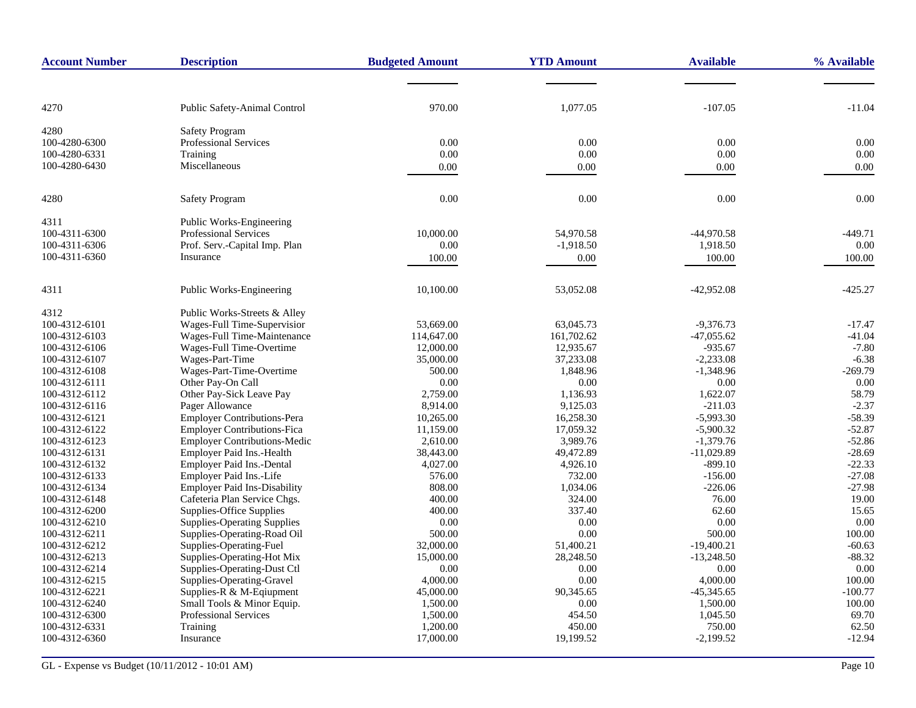| <b>Account Number</b>          | <b>Description</b>                          | <b>Budgeted Amount</b> | <b>YTD Amount</b>       | <b>Available</b> | % Available |
|--------------------------------|---------------------------------------------|------------------------|-------------------------|------------------|-------------|
|                                |                                             |                        |                         |                  |             |
| 4270                           | Public Safety-Animal Control                | 970.00                 | 1,077.05                | $-107.05$        | $-11.04$    |
|                                |                                             |                        |                         |                  |             |
| 4280                           | <b>Safety Program</b>                       |                        |                         |                  |             |
| 100-4280-6300                  | Professional Services                       | 0.00                   | 0.00                    | 0.00             | 0.00        |
| 100-4280-6331                  | Training                                    | 0.00                   | $0.00\,$                | 0.00             | $0.00\,$    |
| 100-4280-6430                  | Miscellaneous                               | 0.00                   | 0.00                    | 0.00             | 0.00        |
| 4280                           | <b>Safety Program</b>                       | 0.00                   | 0.00                    | 0.00             | 0.00        |
| 4311                           | Public Works-Engineering                    |                        |                         |                  |             |
| 100-4311-6300                  | Professional Services                       | 10,000.00              | 54,970.58               | -44,970.58       | $-449.71$   |
| 100-4311-6306                  | Prof. Serv.-Capital Imp. Plan               | 0.00                   | $-1,918.50$             | 1,918.50         | 0.00        |
| 100-4311-6360                  | Insurance                                   | 100.00                 | 0.00                    | 100.00           | 100.00      |
| 4311                           | Public Works-Engineering                    | 10,100.00              | 53,052.08               | $-42,952.08$     | $-425.27$   |
|                                |                                             |                        |                         |                  |             |
| 4312                           | Public Works-Streets & Alley                |                        |                         | $-9,376.73$      | $-17.47$    |
| 100-4312-6101                  | Wages-Full Time-Supervisior                 | 53,669.00              | 63,045.73<br>161,702.62 | $-47,055.62$     | $-41.04$    |
| 100-4312-6103                  | Wages-Full Time-Maintenance                 | 114,647.00             |                         | $-935.67$        | $-7.80$     |
| 100-4312-6106                  | Wages-Full Time-Overtime<br>Wages-Part-Time | 12,000.00              | 12,935.67<br>37,233.08  | $-2,233.08$      | $-6.38$     |
| 100-4312-6107<br>100-4312-6108 | Wages-Part-Time-Overtime                    | 35,000.00<br>500.00    | 1,848.96                | $-1,348.96$      | $-269.79$   |
| 100-4312-6111                  | Other Pay-On Call                           | 0.00                   | 0.00                    | 0.00             | 0.00        |
| 100-4312-6112                  | Other Pay-Sick Leave Pay                    | 2,759.00               | 1,136.93                | 1,622.07         | 58.79       |
| 100-4312-6116                  | Pager Allowance                             | 8,914.00               | 9,125.03                | $-211.03$        | $-2.37$     |
| 100-4312-6121                  | Employer Contributions-Pera                 | 10,265.00              | 16,258.30               | $-5,993.30$      | $-58.39$    |
| 100-4312-6122                  | Employer Contributions-Fica                 | 11,159.00              | 17,059.32               | $-5,900.32$      | $-52.87$    |
| 100-4312-6123                  | <b>Employer Contributions-Medic</b>         | 2,610.00               | 3,989.76                | $-1,379.76$      | $-52.86$    |
| 100-4312-6131                  | Employer Paid Ins.-Health                   | 38,443.00              | 49,472.89               | $-11,029.89$     | $-28.69$    |
| 100-4312-6132                  | Employer Paid Ins.-Dental                   | 4,027.00               | 4,926.10                | $-899.10$        | $-22.33$    |
| 100-4312-6133                  | Employer Paid Ins.-Life                     | 576.00                 | 732.00                  | $-156.00$        | $-27.08$    |
| 100-4312-6134                  | <b>Employer Paid Ins-Disability</b>         | 808.00                 | 1,034.06                | $-226.06$        | $-27.98$    |
| 100-4312-6148                  | Cafeteria Plan Service Chgs.                | 400.00                 | 324.00                  | 76.00            | 19.00       |
| 100-4312-6200                  | Supplies-Office Supplies                    | 400.00                 | 337.40                  | 62.60            | 15.65       |
| 100-4312-6210                  | <b>Supplies-Operating Supplies</b>          | 0.00                   | 0.00                    | 0.00             | 0.00        |
| 100-4312-6211                  | Supplies-Operating-Road Oil                 | 500.00                 | 0.00                    | 500.00           | 100.00      |
| 100-4312-6212                  | Supplies-Operating-Fuel                     | 32,000.00              | 51,400.21               | $-19,400.21$     | $-60.63$    |
| 100-4312-6213                  | Supplies-Operating-Hot Mix                  | 15,000.00              | 28,248.50               | $-13,248.50$     | $-88.32$    |
| 100-4312-6214                  | Supplies-Operating-Dust Ctl                 | 0.00                   | 0.00                    | 0.00             | 0.00        |
| 100-4312-6215                  | Supplies-Operating-Gravel                   | 4,000.00               | 0.00                    | 4,000.00         | 100.00      |
| 100-4312-6221                  | Supplies-R & M-Eqiupment                    | 45,000.00              | 90,345.65               | $-45,345.65$     | $-100.77$   |
| 100-4312-6240                  | Small Tools & Minor Equip.                  | 1,500.00               | 0.00                    | 1,500.00         | 100.00      |
| 100-4312-6300                  | Professional Services                       | 1,500.00               | 454.50                  | 1,045.50         | 69.70       |
| 100-4312-6331                  | Training                                    | 1,200.00               | 450.00                  | 750.00           | 62.50       |
| 100-4312-6360                  | Insurance                                   | 17,000.00              | 19,199.52               | $-2,199.52$      | $-12.94$    |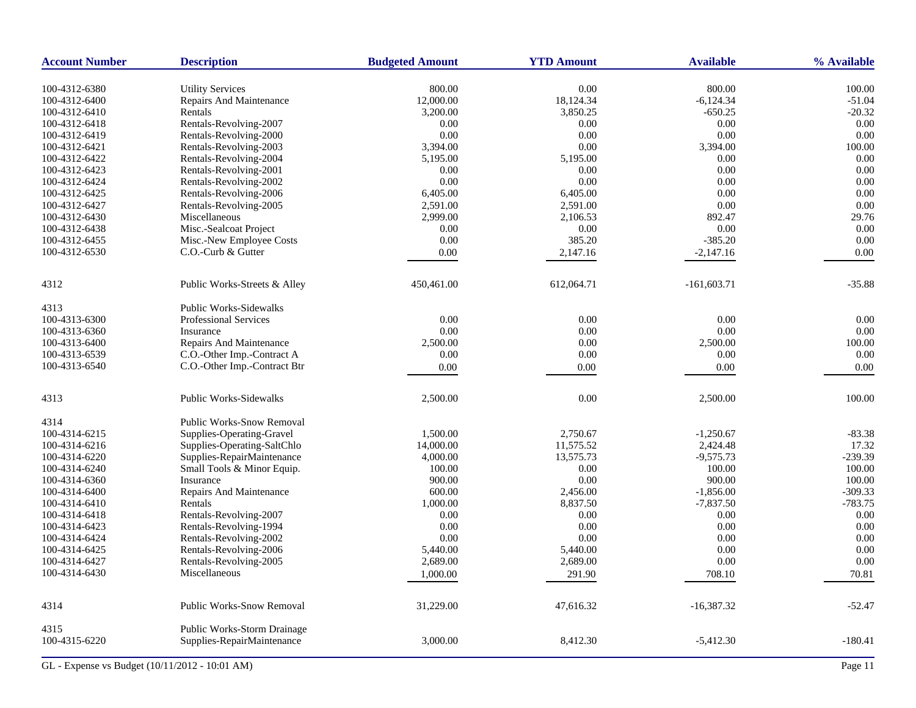| <b>Account Number</b>          | <b>Description</b>                               | <b>Budgeted Amount</b> | <b>YTD Amount</b> | <b>Available</b> | % Available |
|--------------------------------|--------------------------------------------------|------------------------|-------------------|------------------|-------------|
| 100-4312-6380                  | <b>Utility Services</b>                          | 800.00                 | 0.00              | 800.00           | 100.00      |
| 100-4312-6400                  | Repairs And Maintenance                          | 12,000.00              | 18,124.34         | $-6,124.34$      | $-51.04$    |
| 100-4312-6410                  | Rentals                                          | 3,200.00               | 3,850.25          | $-650.25$        | $-20.32$    |
| 100-4312-6418                  | Rentals-Revolving-2007                           | 0.00                   | 0.00              | 0.00             | 0.00        |
| 100-4312-6419                  | Rentals-Revolving-2000                           | 0.00                   | 0.00              | 0.00             | 0.00        |
| 100-4312-6421                  |                                                  | 3,394.00               | 0.00              | 3,394.00         | 100.00      |
|                                | Rentals-Revolving-2003<br>Rentals-Revolving-2004 | 5,195.00               | 5,195.00          | 0.00             | 0.00        |
| 100-4312-6422<br>100-4312-6423 |                                                  |                        |                   | 0.00             | 0.00        |
|                                | Rentals-Revolving-2001<br>Rentals-Revolving-2002 | 0.00                   | 0.00              | 0.00             | 0.00        |
| 100-4312-6424                  |                                                  | 0.00                   | 0.00              |                  |             |
| 100-4312-6425                  | Rentals-Revolving-2006                           | 6,405.00               | 6,405.00          | 0.00             | 0.00        |
| 100-4312-6427                  | Rentals-Revolving-2005                           | 2,591.00               | 2,591.00          | 0.00             | 0.00        |
| 100-4312-6430                  | Miscellaneous                                    | 2,999.00               | 2,106.53          | 892.47           | 29.76       |
| 100-4312-6438                  | Misc.-Sealcoat Project                           | 0.00                   | 0.00              | 0.00             | 0.00        |
| 100-4312-6455                  | Misc.-New Employee Costs                         | 0.00                   | 385.20            | $-385.20$        | 0.00        |
| 100-4312-6530                  | C.O.-Curb & Gutter                               | 0.00                   | 2,147.16          | $-2,147.16$      | 0.00        |
| 4312                           | Public Works-Streets & Alley                     | 450,461.00             | 612,064.71        | $-161,603.71$    | $-35.88$    |
| 4313                           | Public Works-Sidewalks                           |                        |                   |                  |             |
| 100-4313-6300                  | <b>Professional Services</b>                     | 0.00                   | 0.00              | 0.00             | 0.00        |
| 100-4313-6360                  | Insurance                                        | 0.00                   | 0.00              | 0.00             | 0.00        |
| 100-4313-6400                  | Repairs And Maintenance                          | 2,500.00               | 0.00              | 2,500.00         | 100.00      |
| 100-4313-6539                  | C.O.-Other Imp.-Contract A                       | 0.00                   | 0.00              | 0.00             | 0.00        |
| 100-4313-6540                  | C.O.-Other Imp.-Contract Btr                     | 0.00                   | 0.00              | 0.00             | 0.00        |
|                                |                                                  |                        |                   |                  |             |
| 4313                           | <b>Public Works-Sidewalks</b>                    | 2,500.00               | 0.00              | 2,500.00         | 100.00      |
| 4314                           | <b>Public Works-Snow Removal</b>                 |                        |                   |                  |             |
| 100-4314-6215                  | Supplies-Operating-Gravel                        | 1,500.00               | 2,750.67          | $-1,250.67$      | $-83.38$    |
| 100-4314-6216                  | Supplies-Operating-SaltChlo                      | 14,000.00              | 11,575.52         | 2,424.48         | 17.32       |
| 100-4314-6220                  | Supplies-RepairMaintenance                       | 4,000.00               | 13,575.73         | $-9,575.73$      | $-239.39$   |
| 100-4314-6240                  | Small Tools & Minor Equip.                       | 100.00                 | 0.00              | 100.00           | 100.00      |
| 100-4314-6360                  | Insurance                                        | 900.00                 | 0.00              | 900.00           | 100.00      |
| 100-4314-6400                  | Repairs And Maintenance                          | 600.00                 | 2,456.00          | $-1,856.00$      | $-309.33$   |
| 100-4314-6410                  | Rentals                                          | 1,000.00               | 8,837.50          | $-7,837.50$      | $-783.75$   |
| 100-4314-6418                  | Rentals-Revolving-2007                           | 0.00                   | 0.00              | 0.00             | 0.00        |
| 100-4314-6423                  | Rentals-Revolving-1994                           | 0.00                   | 0.00              | 0.00             | 0.00        |
| 100-4314-6424                  | Rentals-Revolving-2002                           | 0.00                   | 0.00              | 0.00             | 0.00        |
| 100-4314-6425                  | Rentals-Revolving-2006                           | 5,440.00               | 5,440.00          | 0.00             | 0.00        |
| 100-4314-6427                  | Rentals-Revolving-2005                           | 2,689.00               | 2,689.00          | 0.00             | 0.00        |
| 100-4314-6430                  | Miscellaneous                                    | 1,000.00               | 291.90            | 708.10           | 70.81       |
| 4314                           | <b>Public Works-Snow Removal</b>                 | 31,229.00              | 47,616.32         | $-16,387.32$     | $-52.47$    |
| 4315                           | Public Works-Storm Drainage                      |                        |                   |                  |             |
| 100-4315-6220                  | Supplies-RepairMaintenance                       | 3,000.00               | 8,412.30          | $-5,412.30$      | $-180.41$   |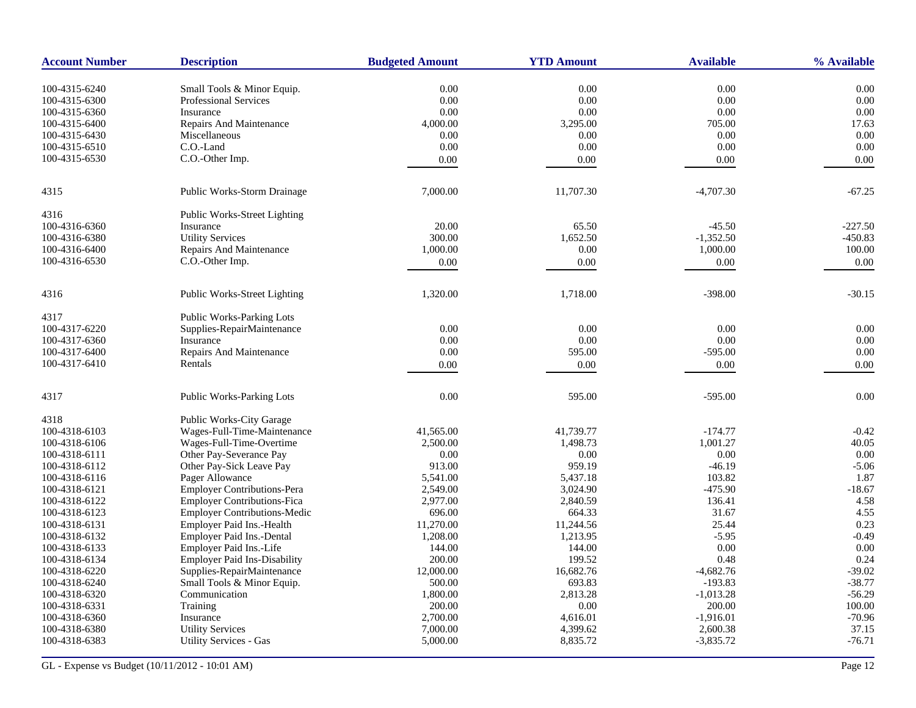| <b>Account Number</b> | <b>Description</b>                  | <b>Budgeted Amount</b> | <b>YTD Amount</b> | <b>Available</b> | % Available |
|-----------------------|-------------------------------------|------------------------|-------------------|------------------|-------------|
| 100-4315-6240         | Small Tools & Minor Equip.          | 0.00                   | 0.00              | 0.00             | 0.00        |
| 100-4315-6300         | <b>Professional Services</b>        | 0.00                   | 0.00              | 0.00             | 0.00        |
| 100-4315-6360         | Insurance                           | 0.00                   | 0.00              | 0.00             | 0.00        |
| 100-4315-6400         | Repairs And Maintenance             | 4,000.00               | 3,295.00          | 705.00           | 17.63       |
| 100-4315-6430         | Miscellaneous                       | 0.00                   | 0.00              | 0.00             | 0.00        |
| 100-4315-6510         | C.O.-Land                           | 0.00                   | 0.00              | $0.00\,$         | 0.00        |
| 100-4315-6530         | C.O.-Other Imp.                     | 0.00                   | 0.00              | 0.00             | 0.00        |
|                       |                                     |                        |                   |                  |             |
| 4315                  | <b>Public Works-Storm Drainage</b>  | 7,000.00               | 11,707.30         | $-4,707.30$      | -67.25      |
| 4316                  | Public Works-Street Lighting        |                        |                   |                  |             |
| 100-4316-6360         | Insurance                           | 20.00                  | 65.50             | $-45.50$         | $-227.50$   |
| 100-4316-6380         | <b>Utility Services</b>             | 300.00                 | 1,652.50          | $-1,352.50$      | $-450.83$   |
| 100-4316-6400         | Repairs And Maintenance             | 1,000.00               | 0.00              | 1,000.00         | 100.00      |
| 100-4316-6530         | C.O.-Other Imp.                     | 0.00                   | 0.00              | 0.00             | 0.00        |
| 4316                  | <b>Public Works-Street Lighting</b> | 1,320.00               | 1,718.00          | $-398.00$        | $-30.15$    |
| 4317                  | <b>Public Works-Parking Lots</b>    |                        |                   |                  |             |
| 100-4317-6220         | Supplies-RepairMaintenance          | 0.00                   | 0.00              | $0.00\,$         | 0.00        |
| 100-4317-6360         | Insurance                           | 0.00                   | 0.00              | 0.00             | 0.00        |
| 100-4317-6400         | Repairs And Maintenance             | 0.00                   | 595.00            | $-595.00$        | 0.00        |
| 100-4317-6410         | Rentals                             | 0.00                   | 0.00              | 0.00             | 0.00        |
|                       |                                     |                        |                   |                  |             |
| 4317                  | <b>Public Works-Parking Lots</b>    | 0.00                   | 595.00            | $-595.00$        | 0.00        |
| 4318                  | <b>Public Works-City Garage</b>     |                        |                   |                  |             |
| 100-4318-6103         | Wages-Full-Time-Maintenance         | 41,565.00              | 41,739.77         | $-174.77$        | $-0.42$     |
| 100-4318-6106         | Wages-Full-Time-Overtime            | 2,500.00               | 1,498.73          | 1,001.27         | 40.05       |
| 100-4318-6111         | Other Pay-Severance Pay             | $0.00\,$               | 0.00              | $0.00\,$         | 0.00        |
| 100-4318-6112         | Other Pay-Sick Leave Pay            | 913.00                 | 959.19            | $-46.19$         | $-5.06$     |
| 100-4318-6116         | Pager Allowance                     | 5,541.00               | 5,437.18          | 103.82           | 1.87        |
| 100-4318-6121         | <b>Employer Contributions-Pera</b>  | 2,549.00               | 3,024.90          | $-475.90$        | $-18.67$    |
| 100-4318-6122         | <b>Employer Contributions-Fica</b>  | 2,977.00               | 2,840.59          | 136.41           | 4.58        |
| 100-4318-6123         | <b>Employer Contributions-Medic</b> | 696.00                 | 664.33            | 31.67            | 4.55        |
| 100-4318-6131         | Employer Paid Ins.-Health           | 11,270.00              | 11,244.56         | 25.44            | 0.23        |
| 100-4318-6132         | Employer Paid Ins.-Dental           | 1,208.00               | 1,213.95          | $-5.95$          | $-0.49$     |
| 100-4318-6133         | Employer Paid Ins.-Life             | 144.00                 | 144.00            | 0.00             | 0.00        |
| 100-4318-6134         | <b>Employer Paid Ins-Disability</b> | 200.00                 | 199.52            | 0.48             | 0.24        |
| 100-4318-6220         | Supplies-RepairMaintenance          | 12,000.00              | 16,682.76         | $-4,682.76$      | $-39.02$    |
| 100-4318-6240         | Small Tools & Minor Equip.          | 500.00                 | 693.83            | $-193.83$        | $-38.77$    |
| 100-4318-6320         | Communication                       | 1,800.00               | 2,813.28          | $-1,013.28$      | $-56.29$    |
| 100-4318-6331         | Training                            | 200.00                 | 0.00              | 200.00           | 100.00      |
| 100-4318-6360         | Insurance                           | 2,700.00               | 4,616.01          | $-1,916.01$      | $-70.96$    |
| 100-4318-6380         | <b>Utility Services</b>             | 7,000.00               | 4,399.62          | 2,600.38         | 37.15       |
| 100-4318-6383         | <b>Utility Services - Gas</b>       | 5,000.00               | 8,835.72          | $-3,835.72$      | $-76.71$    |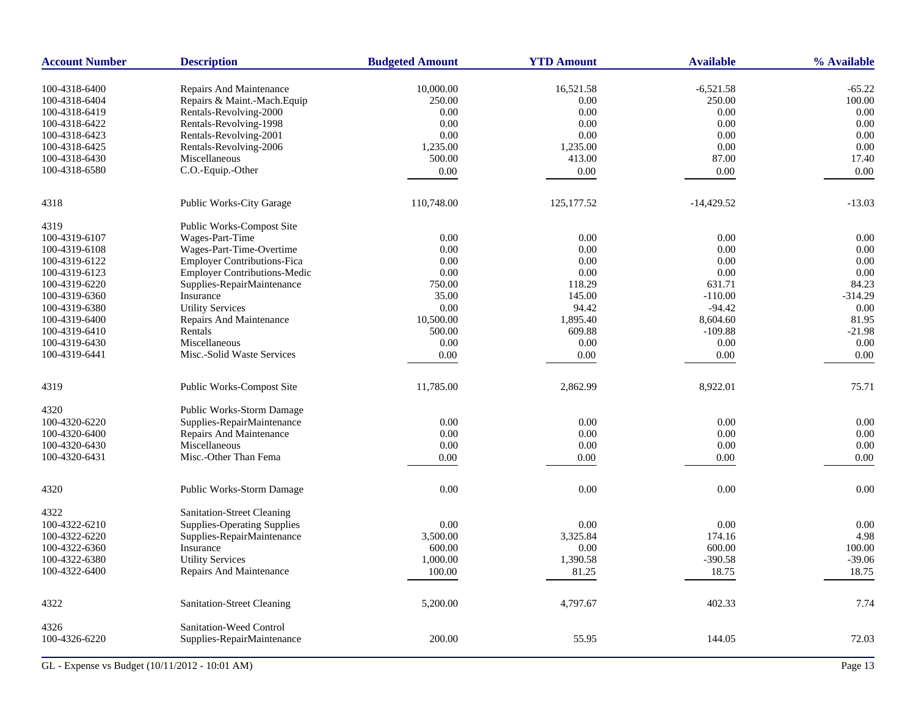| $-6,521.58$<br>100-4318-6400<br>10,000.00<br>16,521.58<br>$-65.22$<br>Repairs And Maintenance<br>250.00<br>100.00<br>100-4318-6404<br>Repairs & Maint.-Mach.Equip<br>250.00<br>0.00<br>Rentals-Revolving-2000<br>0.00<br>0.00<br>0.00<br>0.00<br>100-4318-6419<br>Rentals-Revolving-1998<br>0.00<br>$0.00\,$<br>0.00<br>0.00<br>100-4318-6422<br>100-4318-6423<br>Rentals-Revolving-2001<br>0.00<br>0.00<br>0.00<br>0.00<br>Rentals-Revolving-2006<br>1,235.00<br>1,235.00<br>0.00<br>0.00<br>100-4318-6425<br>87.00<br>Miscellaneous<br>500.00<br>413.00<br>17.40<br>100-4318-6430<br>100-4318-6580<br>C.O.-Equip.-Other<br>0.00<br>0.00<br>0.00<br>0.00<br>Public Works-City Garage<br>110,748.00<br>125, 177.52<br>$-14,429.52$<br>$-13.03$<br>4318<br>4319<br>Public Works-Compost Site<br>0.00<br>0.00<br>0.00<br>100-4319-6107<br>Wages-Part-Time<br>0.00<br>Wages-Part-Time-Overtime<br>0.00<br>100-4319-6108<br>0.00<br>0.00<br>0.00<br><b>Employer Contributions-Fica</b><br>0.00<br>$0.00\,$<br>0.00<br>100-4319-6122<br>0.00<br>100-4319-6123<br><b>Employer Contributions-Medic</b><br>0.00<br>0.00<br>0.00<br>0.00<br>Supplies-RepairMaintenance<br>118.29<br>631.71<br>84.23<br>100-4319-6220<br>750.00<br>$-314.29$<br>Insurance<br>35.00<br>145.00<br>$-110.00$<br>100-4319-6360<br>0.00<br>0.00<br>100-4319-6380<br><b>Utility Services</b><br>94.42<br>$-94.42$<br>81.95<br>Repairs And Maintenance<br>10,500.00<br>1,895.40<br>8,604.60<br>100-4319-6400<br>Rentals<br>500.00<br>609.88<br>$-109.88$<br>$-21.98$<br>100-4319-6410<br>Miscellaneous<br>0.00<br>0.00<br>0.00<br>0.00<br>100-4319-6430<br>Misc.-Solid Waste Services<br>100-4319-6441<br>0.00<br>0.00<br>0.00<br>0.00<br>8,922.01<br>4319<br>Public Works-Compost Site<br>11,785.00<br>2,862.99<br>75.71<br>4320<br>Public Works-Storm Damage<br>100-4320-6220<br>0.00<br>0.00<br>0.00<br>0.00<br>Supplies-RepairMaintenance<br>Repairs And Maintenance<br>0.00<br>0.00<br>0.00<br>100-4320-6400<br>0.00<br>Miscellaneous<br>0.00<br>100-4320-6430<br>0.00<br>0.00<br>0.00<br>100-4320-6431<br>Misc.-Other Than Fema<br>0.00<br>0.00<br>0.00<br>0.00<br>$0.00\,$<br>0.00<br>$0.00\,$<br>4320<br>Public Works-Storm Damage<br>0.00<br>4322<br>Sanitation-Street Cleaning<br>0.00<br>0.00<br>0.00<br>0.00<br>100-4322-6210<br><b>Supplies-Operating Supplies</b><br>Supplies-RepairMaintenance<br>3,500.00<br>3,325.84<br>174.16<br>4.98<br>100-4322-6220<br>100.00<br>100-4322-6360<br>Insurance<br>600.00<br>0.00<br>600.00<br><b>Utility Services</b><br>1,390.58<br>$-39.06$<br>100-4322-6380<br>1,000.00<br>$-390.58$<br>100-4322-6400<br>Repairs And Maintenance<br>100.00<br>81.25<br>18.75<br>18.75<br>4322<br>Sanitation-Street Cleaning<br>5,200.00<br>4,797.67<br>402.33<br>7.74<br>4326<br>Sanitation-Weed Control<br>100-4326-6220<br>55.95<br>72.03<br>Supplies-RepairMaintenance<br>200.00<br>144.05 | <b>Account Number</b> | <b>Description</b> | <b>Budgeted Amount</b> | <b>YTD Amount</b> | <b>Available</b> | % Available |
|---------------------------------------------------------------------------------------------------------------------------------------------------------------------------------------------------------------------------------------------------------------------------------------------------------------------------------------------------------------------------------------------------------------------------------------------------------------------------------------------------------------------------------------------------------------------------------------------------------------------------------------------------------------------------------------------------------------------------------------------------------------------------------------------------------------------------------------------------------------------------------------------------------------------------------------------------------------------------------------------------------------------------------------------------------------------------------------------------------------------------------------------------------------------------------------------------------------------------------------------------------------------------------------------------------------------------------------------------------------------------------------------------------------------------------------------------------------------------------------------------------------------------------------------------------------------------------------------------------------------------------------------------------------------------------------------------------------------------------------------------------------------------------------------------------------------------------------------------------------------------------------------------------------------------------------------------------------------------------------------------------------------------------------------------------------------------------------------------------------------------------------------------------------------------------------------------------------------------------------------------------------------------------------------------------------------------------------------------------------------------------------------------------------------------------------------------------------------------------------------------------------------------------------------------------------------------------------------------------------------------------------------------------------------------------------------------------------------------------------------------------------------------------------------------------------------------------------------------------------------------------------------------|-----------------------|--------------------|------------------------|-------------------|------------------|-------------|
|                                                                                                                                                                                                                                                                                                                                                                                                                                                                                                                                                                                                                                                                                                                                                                                                                                                                                                                                                                                                                                                                                                                                                                                                                                                                                                                                                                                                                                                                                                                                                                                                                                                                                                                                                                                                                                                                                                                                                                                                                                                                                                                                                                                                                                                                                                                                                                                                                                                                                                                                                                                                                                                                                                                                                                                                                                                                                                   |                       |                    |                        |                   |                  |             |
|                                                                                                                                                                                                                                                                                                                                                                                                                                                                                                                                                                                                                                                                                                                                                                                                                                                                                                                                                                                                                                                                                                                                                                                                                                                                                                                                                                                                                                                                                                                                                                                                                                                                                                                                                                                                                                                                                                                                                                                                                                                                                                                                                                                                                                                                                                                                                                                                                                                                                                                                                                                                                                                                                                                                                                                                                                                                                                   |                       |                    |                        |                   |                  |             |
|                                                                                                                                                                                                                                                                                                                                                                                                                                                                                                                                                                                                                                                                                                                                                                                                                                                                                                                                                                                                                                                                                                                                                                                                                                                                                                                                                                                                                                                                                                                                                                                                                                                                                                                                                                                                                                                                                                                                                                                                                                                                                                                                                                                                                                                                                                                                                                                                                                                                                                                                                                                                                                                                                                                                                                                                                                                                                                   |                       |                    |                        |                   |                  |             |
|                                                                                                                                                                                                                                                                                                                                                                                                                                                                                                                                                                                                                                                                                                                                                                                                                                                                                                                                                                                                                                                                                                                                                                                                                                                                                                                                                                                                                                                                                                                                                                                                                                                                                                                                                                                                                                                                                                                                                                                                                                                                                                                                                                                                                                                                                                                                                                                                                                                                                                                                                                                                                                                                                                                                                                                                                                                                                                   |                       |                    |                        |                   |                  |             |
|                                                                                                                                                                                                                                                                                                                                                                                                                                                                                                                                                                                                                                                                                                                                                                                                                                                                                                                                                                                                                                                                                                                                                                                                                                                                                                                                                                                                                                                                                                                                                                                                                                                                                                                                                                                                                                                                                                                                                                                                                                                                                                                                                                                                                                                                                                                                                                                                                                                                                                                                                                                                                                                                                                                                                                                                                                                                                                   |                       |                    |                        |                   |                  |             |
|                                                                                                                                                                                                                                                                                                                                                                                                                                                                                                                                                                                                                                                                                                                                                                                                                                                                                                                                                                                                                                                                                                                                                                                                                                                                                                                                                                                                                                                                                                                                                                                                                                                                                                                                                                                                                                                                                                                                                                                                                                                                                                                                                                                                                                                                                                                                                                                                                                                                                                                                                                                                                                                                                                                                                                                                                                                                                                   |                       |                    |                        |                   |                  |             |
|                                                                                                                                                                                                                                                                                                                                                                                                                                                                                                                                                                                                                                                                                                                                                                                                                                                                                                                                                                                                                                                                                                                                                                                                                                                                                                                                                                                                                                                                                                                                                                                                                                                                                                                                                                                                                                                                                                                                                                                                                                                                                                                                                                                                                                                                                                                                                                                                                                                                                                                                                                                                                                                                                                                                                                                                                                                                                                   |                       |                    |                        |                   |                  |             |
|                                                                                                                                                                                                                                                                                                                                                                                                                                                                                                                                                                                                                                                                                                                                                                                                                                                                                                                                                                                                                                                                                                                                                                                                                                                                                                                                                                                                                                                                                                                                                                                                                                                                                                                                                                                                                                                                                                                                                                                                                                                                                                                                                                                                                                                                                                                                                                                                                                                                                                                                                                                                                                                                                                                                                                                                                                                                                                   |                       |                    |                        |                   |                  |             |
|                                                                                                                                                                                                                                                                                                                                                                                                                                                                                                                                                                                                                                                                                                                                                                                                                                                                                                                                                                                                                                                                                                                                                                                                                                                                                                                                                                                                                                                                                                                                                                                                                                                                                                                                                                                                                                                                                                                                                                                                                                                                                                                                                                                                                                                                                                                                                                                                                                                                                                                                                                                                                                                                                                                                                                                                                                                                                                   |                       |                    |                        |                   |                  |             |
|                                                                                                                                                                                                                                                                                                                                                                                                                                                                                                                                                                                                                                                                                                                                                                                                                                                                                                                                                                                                                                                                                                                                                                                                                                                                                                                                                                                                                                                                                                                                                                                                                                                                                                                                                                                                                                                                                                                                                                                                                                                                                                                                                                                                                                                                                                                                                                                                                                                                                                                                                                                                                                                                                                                                                                                                                                                                                                   |                       |                    |                        |                   |                  |             |
|                                                                                                                                                                                                                                                                                                                                                                                                                                                                                                                                                                                                                                                                                                                                                                                                                                                                                                                                                                                                                                                                                                                                                                                                                                                                                                                                                                                                                                                                                                                                                                                                                                                                                                                                                                                                                                                                                                                                                                                                                                                                                                                                                                                                                                                                                                                                                                                                                                                                                                                                                                                                                                                                                                                                                                                                                                                                                                   |                       |                    |                        |                   |                  |             |
|                                                                                                                                                                                                                                                                                                                                                                                                                                                                                                                                                                                                                                                                                                                                                                                                                                                                                                                                                                                                                                                                                                                                                                                                                                                                                                                                                                                                                                                                                                                                                                                                                                                                                                                                                                                                                                                                                                                                                                                                                                                                                                                                                                                                                                                                                                                                                                                                                                                                                                                                                                                                                                                                                                                                                                                                                                                                                                   |                       |                    |                        |                   |                  |             |
|                                                                                                                                                                                                                                                                                                                                                                                                                                                                                                                                                                                                                                                                                                                                                                                                                                                                                                                                                                                                                                                                                                                                                                                                                                                                                                                                                                                                                                                                                                                                                                                                                                                                                                                                                                                                                                                                                                                                                                                                                                                                                                                                                                                                                                                                                                                                                                                                                                                                                                                                                                                                                                                                                                                                                                                                                                                                                                   |                       |                    |                        |                   |                  |             |
|                                                                                                                                                                                                                                                                                                                                                                                                                                                                                                                                                                                                                                                                                                                                                                                                                                                                                                                                                                                                                                                                                                                                                                                                                                                                                                                                                                                                                                                                                                                                                                                                                                                                                                                                                                                                                                                                                                                                                                                                                                                                                                                                                                                                                                                                                                                                                                                                                                                                                                                                                                                                                                                                                                                                                                                                                                                                                                   |                       |                    |                        |                   |                  |             |
|                                                                                                                                                                                                                                                                                                                                                                                                                                                                                                                                                                                                                                                                                                                                                                                                                                                                                                                                                                                                                                                                                                                                                                                                                                                                                                                                                                                                                                                                                                                                                                                                                                                                                                                                                                                                                                                                                                                                                                                                                                                                                                                                                                                                                                                                                                                                                                                                                                                                                                                                                                                                                                                                                                                                                                                                                                                                                                   |                       |                    |                        |                   |                  |             |
|                                                                                                                                                                                                                                                                                                                                                                                                                                                                                                                                                                                                                                                                                                                                                                                                                                                                                                                                                                                                                                                                                                                                                                                                                                                                                                                                                                                                                                                                                                                                                                                                                                                                                                                                                                                                                                                                                                                                                                                                                                                                                                                                                                                                                                                                                                                                                                                                                                                                                                                                                                                                                                                                                                                                                                                                                                                                                                   |                       |                    |                        |                   |                  |             |
|                                                                                                                                                                                                                                                                                                                                                                                                                                                                                                                                                                                                                                                                                                                                                                                                                                                                                                                                                                                                                                                                                                                                                                                                                                                                                                                                                                                                                                                                                                                                                                                                                                                                                                                                                                                                                                                                                                                                                                                                                                                                                                                                                                                                                                                                                                                                                                                                                                                                                                                                                                                                                                                                                                                                                                                                                                                                                                   |                       |                    |                        |                   |                  |             |
|                                                                                                                                                                                                                                                                                                                                                                                                                                                                                                                                                                                                                                                                                                                                                                                                                                                                                                                                                                                                                                                                                                                                                                                                                                                                                                                                                                                                                                                                                                                                                                                                                                                                                                                                                                                                                                                                                                                                                                                                                                                                                                                                                                                                                                                                                                                                                                                                                                                                                                                                                                                                                                                                                                                                                                                                                                                                                                   |                       |                    |                        |                   |                  |             |
|                                                                                                                                                                                                                                                                                                                                                                                                                                                                                                                                                                                                                                                                                                                                                                                                                                                                                                                                                                                                                                                                                                                                                                                                                                                                                                                                                                                                                                                                                                                                                                                                                                                                                                                                                                                                                                                                                                                                                                                                                                                                                                                                                                                                                                                                                                                                                                                                                                                                                                                                                                                                                                                                                                                                                                                                                                                                                                   |                       |                    |                        |                   |                  |             |
|                                                                                                                                                                                                                                                                                                                                                                                                                                                                                                                                                                                                                                                                                                                                                                                                                                                                                                                                                                                                                                                                                                                                                                                                                                                                                                                                                                                                                                                                                                                                                                                                                                                                                                                                                                                                                                                                                                                                                                                                                                                                                                                                                                                                                                                                                                                                                                                                                                                                                                                                                                                                                                                                                                                                                                                                                                                                                                   |                       |                    |                        |                   |                  |             |
|                                                                                                                                                                                                                                                                                                                                                                                                                                                                                                                                                                                                                                                                                                                                                                                                                                                                                                                                                                                                                                                                                                                                                                                                                                                                                                                                                                                                                                                                                                                                                                                                                                                                                                                                                                                                                                                                                                                                                                                                                                                                                                                                                                                                                                                                                                                                                                                                                                                                                                                                                                                                                                                                                                                                                                                                                                                                                                   |                       |                    |                        |                   |                  |             |
|                                                                                                                                                                                                                                                                                                                                                                                                                                                                                                                                                                                                                                                                                                                                                                                                                                                                                                                                                                                                                                                                                                                                                                                                                                                                                                                                                                                                                                                                                                                                                                                                                                                                                                                                                                                                                                                                                                                                                                                                                                                                                                                                                                                                                                                                                                                                                                                                                                                                                                                                                                                                                                                                                                                                                                                                                                                                                                   |                       |                    |                        |                   |                  |             |
|                                                                                                                                                                                                                                                                                                                                                                                                                                                                                                                                                                                                                                                                                                                                                                                                                                                                                                                                                                                                                                                                                                                                                                                                                                                                                                                                                                                                                                                                                                                                                                                                                                                                                                                                                                                                                                                                                                                                                                                                                                                                                                                                                                                                                                                                                                                                                                                                                                                                                                                                                                                                                                                                                                                                                                                                                                                                                                   |                       |                    |                        |                   |                  |             |
|                                                                                                                                                                                                                                                                                                                                                                                                                                                                                                                                                                                                                                                                                                                                                                                                                                                                                                                                                                                                                                                                                                                                                                                                                                                                                                                                                                                                                                                                                                                                                                                                                                                                                                                                                                                                                                                                                                                                                                                                                                                                                                                                                                                                                                                                                                                                                                                                                                                                                                                                                                                                                                                                                                                                                                                                                                                                                                   |                       |                    |                        |                   |                  |             |
|                                                                                                                                                                                                                                                                                                                                                                                                                                                                                                                                                                                                                                                                                                                                                                                                                                                                                                                                                                                                                                                                                                                                                                                                                                                                                                                                                                                                                                                                                                                                                                                                                                                                                                                                                                                                                                                                                                                                                                                                                                                                                                                                                                                                                                                                                                                                                                                                                                                                                                                                                                                                                                                                                                                                                                                                                                                                                                   |                       |                    |                        |                   |                  |             |
|                                                                                                                                                                                                                                                                                                                                                                                                                                                                                                                                                                                                                                                                                                                                                                                                                                                                                                                                                                                                                                                                                                                                                                                                                                                                                                                                                                                                                                                                                                                                                                                                                                                                                                                                                                                                                                                                                                                                                                                                                                                                                                                                                                                                                                                                                                                                                                                                                                                                                                                                                                                                                                                                                                                                                                                                                                                                                                   |                       |                    |                        |                   |                  |             |
|                                                                                                                                                                                                                                                                                                                                                                                                                                                                                                                                                                                                                                                                                                                                                                                                                                                                                                                                                                                                                                                                                                                                                                                                                                                                                                                                                                                                                                                                                                                                                                                                                                                                                                                                                                                                                                                                                                                                                                                                                                                                                                                                                                                                                                                                                                                                                                                                                                                                                                                                                                                                                                                                                                                                                                                                                                                                                                   |                       |                    |                        |                   |                  |             |
|                                                                                                                                                                                                                                                                                                                                                                                                                                                                                                                                                                                                                                                                                                                                                                                                                                                                                                                                                                                                                                                                                                                                                                                                                                                                                                                                                                                                                                                                                                                                                                                                                                                                                                                                                                                                                                                                                                                                                                                                                                                                                                                                                                                                                                                                                                                                                                                                                                                                                                                                                                                                                                                                                                                                                                                                                                                                                                   |                       |                    |                        |                   |                  |             |
|                                                                                                                                                                                                                                                                                                                                                                                                                                                                                                                                                                                                                                                                                                                                                                                                                                                                                                                                                                                                                                                                                                                                                                                                                                                                                                                                                                                                                                                                                                                                                                                                                                                                                                                                                                                                                                                                                                                                                                                                                                                                                                                                                                                                                                                                                                                                                                                                                                                                                                                                                                                                                                                                                                                                                                                                                                                                                                   |                       |                    |                        |                   |                  |             |
|                                                                                                                                                                                                                                                                                                                                                                                                                                                                                                                                                                                                                                                                                                                                                                                                                                                                                                                                                                                                                                                                                                                                                                                                                                                                                                                                                                                                                                                                                                                                                                                                                                                                                                                                                                                                                                                                                                                                                                                                                                                                                                                                                                                                                                                                                                                                                                                                                                                                                                                                                                                                                                                                                                                                                                                                                                                                                                   |                       |                    |                        |                   |                  |             |
|                                                                                                                                                                                                                                                                                                                                                                                                                                                                                                                                                                                                                                                                                                                                                                                                                                                                                                                                                                                                                                                                                                                                                                                                                                                                                                                                                                                                                                                                                                                                                                                                                                                                                                                                                                                                                                                                                                                                                                                                                                                                                                                                                                                                                                                                                                                                                                                                                                                                                                                                                                                                                                                                                                                                                                                                                                                                                                   |                       |                    |                        |                   |                  |             |
|                                                                                                                                                                                                                                                                                                                                                                                                                                                                                                                                                                                                                                                                                                                                                                                                                                                                                                                                                                                                                                                                                                                                                                                                                                                                                                                                                                                                                                                                                                                                                                                                                                                                                                                                                                                                                                                                                                                                                                                                                                                                                                                                                                                                                                                                                                                                                                                                                                                                                                                                                                                                                                                                                                                                                                                                                                                                                                   |                       |                    |                        |                   |                  |             |
|                                                                                                                                                                                                                                                                                                                                                                                                                                                                                                                                                                                                                                                                                                                                                                                                                                                                                                                                                                                                                                                                                                                                                                                                                                                                                                                                                                                                                                                                                                                                                                                                                                                                                                                                                                                                                                                                                                                                                                                                                                                                                                                                                                                                                                                                                                                                                                                                                                                                                                                                                                                                                                                                                                                                                                                                                                                                                                   |                       |                    |                        |                   |                  |             |
|                                                                                                                                                                                                                                                                                                                                                                                                                                                                                                                                                                                                                                                                                                                                                                                                                                                                                                                                                                                                                                                                                                                                                                                                                                                                                                                                                                                                                                                                                                                                                                                                                                                                                                                                                                                                                                                                                                                                                                                                                                                                                                                                                                                                                                                                                                                                                                                                                                                                                                                                                                                                                                                                                                                                                                                                                                                                                                   |                       |                    |                        |                   |                  |             |
|                                                                                                                                                                                                                                                                                                                                                                                                                                                                                                                                                                                                                                                                                                                                                                                                                                                                                                                                                                                                                                                                                                                                                                                                                                                                                                                                                                                                                                                                                                                                                                                                                                                                                                                                                                                                                                                                                                                                                                                                                                                                                                                                                                                                                                                                                                                                                                                                                                                                                                                                                                                                                                                                                                                                                                                                                                                                                                   |                       |                    |                        |                   |                  |             |
|                                                                                                                                                                                                                                                                                                                                                                                                                                                                                                                                                                                                                                                                                                                                                                                                                                                                                                                                                                                                                                                                                                                                                                                                                                                                                                                                                                                                                                                                                                                                                                                                                                                                                                                                                                                                                                                                                                                                                                                                                                                                                                                                                                                                                                                                                                                                                                                                                                                                                                                                                                                                                                                                                                                                                                                                                                                                                                   |                       |                    |                        |                   |                  |             |
|                                                                                                                                                                                                                                                                                                                                                                                                                                                                                                                                                                                                                                                                                                                                                                                                                                                                                                                                                                                                                                                                                                                                                                                                                                                                                                                                                                                                                                                                                                                                                                                                                                                                                                                                                                                                                                                                                                                                                                                                                                                                                                                                                                                                                                                                                                                                                                                                                                                                                                                                                                                                                                                                                                                                                                                                                                                                                                   |                       |                    |                        |                   |                  |             |
|                                                                                                                                                                                                                                                                                                                                                                                                                                                                                                                                                                                                                                                                                                                                                                                                                                                                                                                                                                                                                                                                                                                                                                                                                                                                                                                                                                                                                                                                                                                                                                                                                                                                                                                                                                                                                                                                                                                                                                                                                                                                                                                                                                                                                                                                                                                                                                                                                                                                                                                                                                                                                                                                                                                                                                                                                                                                                                   |                       |                    |                        |                   |                  |             |
|                                                                                                                                                                                                                                                                                                                                                                                                                                                                                                                                                                                                                                                                                                                                                                                                                                                                                                                                                                                                                                                                                                                                                                                                                                                                                                                                                                                                                                                                                                                                                                                                                                                                                                                                                                                                                                                                                                                                                                                                                                                                                                                                                                                                                                                                                                                                                                                                                                                                                                                                                                                                                                                                                                                                                                                                                                                                                                   |                       |                    |                        |                   |                  |             |
|                                                                                                                                                                                                                                                                                                                                                                                                                                                                                                                                                                                                                                                                                                                                                                                                                                                                                                                                                                                                                                                                                                                                                                                                                                                                                                                                                                                                                                                                                                                                                                                                                                                                                                                                                                                                                                                                                                                                                                                                                                                                                                                                                                                                                                                                                                                                                                                                                                                                                                                                                                                                                                                                                                                                                                                                                                                                                                   |                       |                    |                        |                   |                  |             |
|                                                                                                                                                                                                                                                                                                                                                                                                                                                                                                                                                                                                                                                                                                                                                                                                                                                                                                                                                                                                                                                                                                                                                                                                                                                                                                                                                                                                                                                                                                                                                                                                                                                                                                                                                                                                                                                                                                                                                                                                                                                                                                                                                                                                                                                                                                                                                                                                                                                                                                                                                                                                                                                                                                                                                                                                                                                                                                   |                       |                    |                        |                   |                  |             |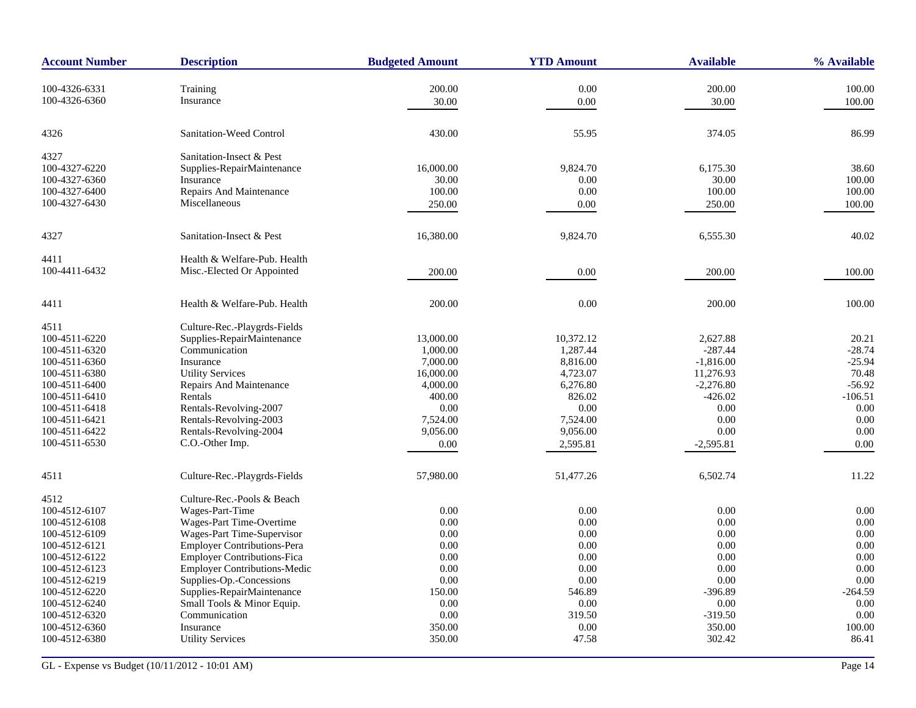| <b>Account Number</b>          | <b>Description</b>                        | <b>Budgeted Amount</b> | <b>YTD Amount</b>    | <b>Available</b>    | % Available  |
|--------------------------------|-------------------------------------------|------------------------|----------------------|---------------------|--------------|
|                                |                                           |                        |                      |                     |              |
| 100-4326-6331<br>100-4326-6360 | Training<br>Insurance                     | 200.00                 | 0.00                 | 200.00              | 100.00       |
|                                |                                           | 30.00                  | 0.00                 | 30.00               | 100.00       |
| 4326                           | Sanitation-Weed Control                   | 430.00                 | 55.95                | 374.05              | 86.99        |
| 4327                           | Sanitation-Insect & Pest                  |                        |                      |                     |              |
| 100-4327-6220                  | Supplies-RepairMaintenance                | 16,000.00              | 9,824.70             | 6,175.30            | 38.60        |
| 100-4327-6360                  | Insurance                                 | 30.00                  | 0.00                 | 30.00               | 100.00       |
| 100-4327-6400                  | Repairs And Maintenance                   | 100.00                 | 0.00                 | 100.00              | 100.00       |
| 100-4327-6430                  | Miscellaneous                             | 250.00                 | 0.00                 | 250.00              | 100.00       |
| 4327                           | Sanitation-Insect & Pest                  | 16,380.00              | 9,824.70             | 6,555.30            | 40.02        |
| 4411                           | Health & Welfare-Pub. Health              |                        |                      |                     |              |
| 100-4411-6432                  | Misc.-Elected Or Appointed                | 200.00                 | 0.00                 | 200.00              | 100.00       |
|                                |                                           |                        |                      |                     |              |
| 4411                           | Health & Welfare-Pub. Health              | 200.00                 | 0.00                 | 200.00              | 100.00       |
| 4511                           | Culture-Rec.-Playgrds-Fields              |                        |                      |                     |              |
| 100-4511-6220                  | Supplies-RepairMaintenance                | 13,000.00              | 10,372.12            | 2,627.88            | 20.21        |
| 100-4511-6320                  | Communication                             | 1,000.00               | 1,287.44             | $-287.44$           | $-28.74$     |
| 100-4511-6360                  | Insurance                                 | 7,000.00               | 8,816.00             | $-1,816.00$         | $-25.94$     |
| 100-4511-6380                  | <b>Utility Services</b>                   | 16,000.00              | 4,723.07             | 11,276.93           | 70.48        |
| 100-4511-6400                  | <b>Repairs And Maintenance</b>            | 4,000.00               | 6,276.80             | $-2,276.80$         | $-56.92$     |
| 100-4511-6410                  | Rentals                                   | 400.00                 | 826.02               | $-426.02$           | $-106.51$    |
| 100-4511-6418                  | Rentals-Revolving-2007                    | 0.00                   | 0.00                 | 0.00                | 0.00         |
| 100-4511-6421                  | Rentals-Revolving-2003                    | 7,524.00               | 7,524.00             | 0.00                | 0.00         |
| 100-4511-6422<br>100-4511-6530 | Rentals-Revolving-2004<br>C.O.-Other Imp. | 9,056.00<br>0.00       | 9,056.00<br>2,595.81 | 0.00<br>$-2,595.81$ | 0.00<br>0.00 |
|                                |                                           |                        |                      |                     |              |
| 4511                           | Culture-Rec.-Playgrds-Fields              | 57,980.00              | 51,477.26            | 6,502.74            | 11.22        |
| 4512                           | Culture-Rec.-Pools & Beach                |                        |                      |                     |              |
| 100-4512-6107                  | Wages-Part-Time                           | 0.00                   | 0.00                 | 0.00                | 0.00         |
| 100-4512-6108                  | Wages-Part Time-Overtime                  | 0.00                   | 0.00                 | 0.00                | 0.00         |
| 100-4512-6109                  | Wages-Part Time-Supervisor                | 0.00                   | 0.00                 | 0.00                | 0.00         |
| 100-4512-6121                  | <b>Employer Contributions-Pera</b>        | 0.00                   | 0.00                 | 0.00                | 0.00         |
| 100-4512-6122                  | <b>Employer Contributions-Fica</b>        | 0.00                   | 0.00                 | 0.00                | 0.00         |
| 100-4512-6123                  | <b>Employer Contributions-Medic</b>       | 0.00                   | 0.00                 | 0.00                | 0.00         |
| 100-4512-6219                  | Supplies-Op.-Concessions                  | 0.00                   | 0.00                 | 0.00                | 0.00         |
| 100-4512-6220                  | Supplies-RepairMaintenance                | 150.00                 | 546.89               | $-396.89$           | $-264.59$    |
| 100-4512-6240                  | Small Tools & Minor Equip.                | 0.00                   | 0.00                 | 0.00                | 0.00         |
| 100-4512-6320                  | Communication                             | 0.00                   | 319.50               | $-319.50$           | 0.00         |
| 100-4512-6360                  | Insurance                                 | 350.00                 | 0.00                 | 350.00              | 100.00       |
| 100-4512-6380                  | <b>Utility Services</b>                   | 350.00                 | 47.58                | 302.42              | 86.41        |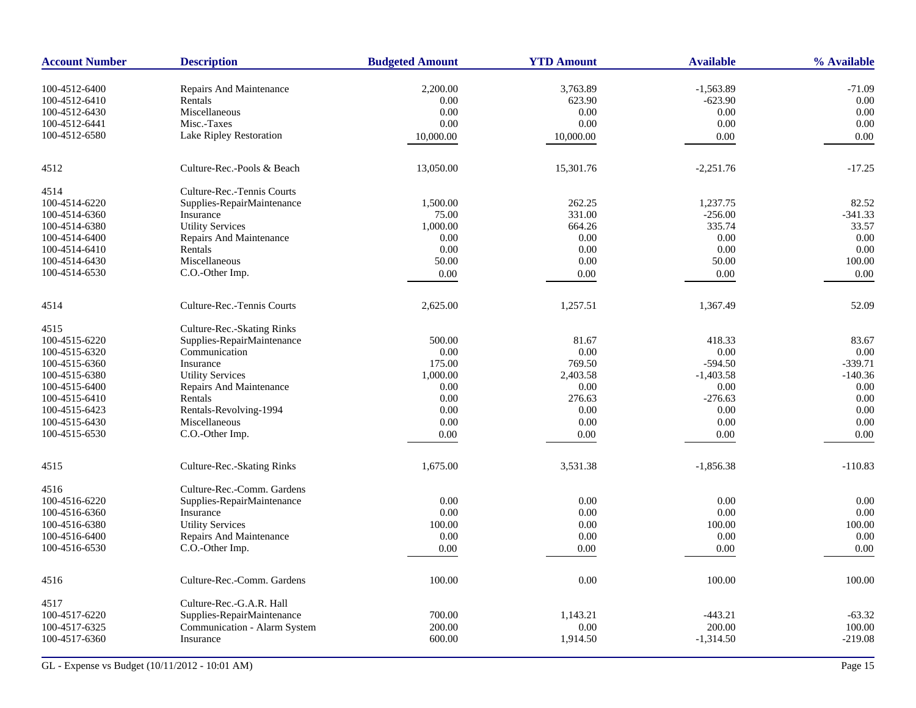| <b>Account Number</b> | <b>Description</b>                | <b>Budgeted Amount</b> | <b>YTD Amount</b> | <b>Available</b> | % Available |
|-----------------------|-----------------------------------|------------------------|-------------------|------------------|-------------|
| 100-4512-6400         | Repairs And Maintenance           | 2,200.00               | 3,763.89          | $-1,563.89$      | $-71.09$    |
| 100-4512-6410         | Rentals                           | 0.00                   | 623.90            | $-623.90$        | 0.00        |
| 100-4512-6430         | Miscellaneous                     | 0.00                   | 0.00              | 0.00             | 0.00        |
| 100-4512-6441         | Misc.-Taxes                       | 0.00                   | 0.00              | $0.00\,$         | 0.00        |
| 100-4512-6580         | Lake Ripley Restoration           | 10,000.00              | 10,000.00         | 0.00             | 0.00        |
| 4512                  | Culture-Rec.-Pools & Beach        | 13,050.00              | 15,301.76         | $-2,251.76$      | $-17.25$    |
| 4514                  | Culture-Rec.-Tennis Courts        |                        |                   |                  |             |
| 100-4514-6220         | Supplies-RepairMaintenance        | 1,500.00               | 262.25            | 1,237.75         | 82.52       |
| 100-4514-6360         | Insurance                         | 75.00                  | 331.00            | $-256.00$        | $-341.33$   |
| 100-4514-6380         | <b>Utility Services</b>           | 1,000.00               | 664.26            | 335.74           | 33.57       |
| 100-4514-6400         | Repairs And Maintenance           | 0.00                   | 0.00              | 0.00             | 0.00        |
| 100-4514-6410         | Rentals                           | 0.00                   | 0.00              | 0.00             | 0.00        |
| 100-4514-6430         | Miscellaneous                     | 50.00                  | 0.00              | 50.00            | 100.00      |
| 100-4514-6530         | C.O.-Other Imp.                   | 0.00                   | 0.00              | 0.00             | 0.00        |
| 4514                  | Culture-Rec.-Tennis Courts        | 2,625.00               | 1,257.51          | 1,367.49         | 52.09       |
| 4515                  | Culture-Rec.-Skating Rinks        |                        |                   |                  |             |
| 100-4515-6220         | Supplies-RepairMaintenance        | 500.00                 | 81.67             | 418.33           | 83.67       |
| 100-4515-6320         | Communication                     | 0.00                   | 0.00              | 0.00             | 0.00        |
| 100-4515-6360         | Insurance                         | 175.00                 | 769.50            | $-594.50$        | $-339.71$   |
| 100-4515-6380         | <b>Utility Services</b>           | 1,000.00               | 2,403.58          | $-1,403.58$      | $-140.36$   |
| 100-4515-6400         | Repairs And Maintenance           | 0.00                   | 0.00              | 0.00             | 0.00        |
| 100-4515-6410         | Rentals                           | 0.00                   | 276.63            | $-276.63$        | 0.00        |
| 100-4515-6423         | Rentals-Revolving-1994            | 0.00                   | 0.00              | 0.00             | 0.00        |
| 100-4515-6430         | Miscellaneous                     | 0.00                   | 0.00              | 0.00             | 0.00        |
| 100-4515-6530         | C.O.-Other Imp.                   | 0.00                   | 0.00              | 0.00             | 0.00        |
|                       |                                   |                        |                   |                  |             |
| 4515                  | <b>Culture-Rec.-Skating Rinks</b> | 1,675.00               | 3,531.38          | $-1,856.38$      | $-110.83$   |
| 4516                  | Culture-Rec.-Comm. Gardens        |                        |                   |                  |             |
| 100-4516-6220         | Supplies-RepairMaintenance        | 0.00                   | 0.00              | 0.00             | 0.00        |
| 100-4516-6360         | Insurance                         | 0.00                   | 0.00              | 0.00             | 0.00        |
| 100-4516-6380         | <b>Utility Services</b>           | 100.00                 | $0.00\,$          | 100.00           | 100.00      |
| 100-4516-6400         | Repairs And Maintenance           | 0.00                   | 0.00              | 0.00             | 0.00        |
| 100-4516-6530         | C.O.-Other Imp.                   | $0.00\,$               | 0.00              | 0.00             | 0.00        |
| 4516                  | Culture-Rec.-Comm. Gardens        | 100.00                 | 0.00              | 100.00           | 100.00      |
|                       |                                   |                        |                   |                  |             |
| 4517                  | Culture-Rec.-G.A.R. Hall          |                        |                   |                  |             |
| 100-4517-6220         | Supplies-RepairMaintenance        | 700.00                 | 1,143.21          | $-443.21$        | $-63.32$    |
| 100-4517-6325         | Communication - Alarm System      | 200.00                 | 0.00              | 200.00           | 100.00      |
| 100-4517-6360         | Insurance                         | 600.00                 | 1,914.50          | $-1,314.50$      | $-219.08$   |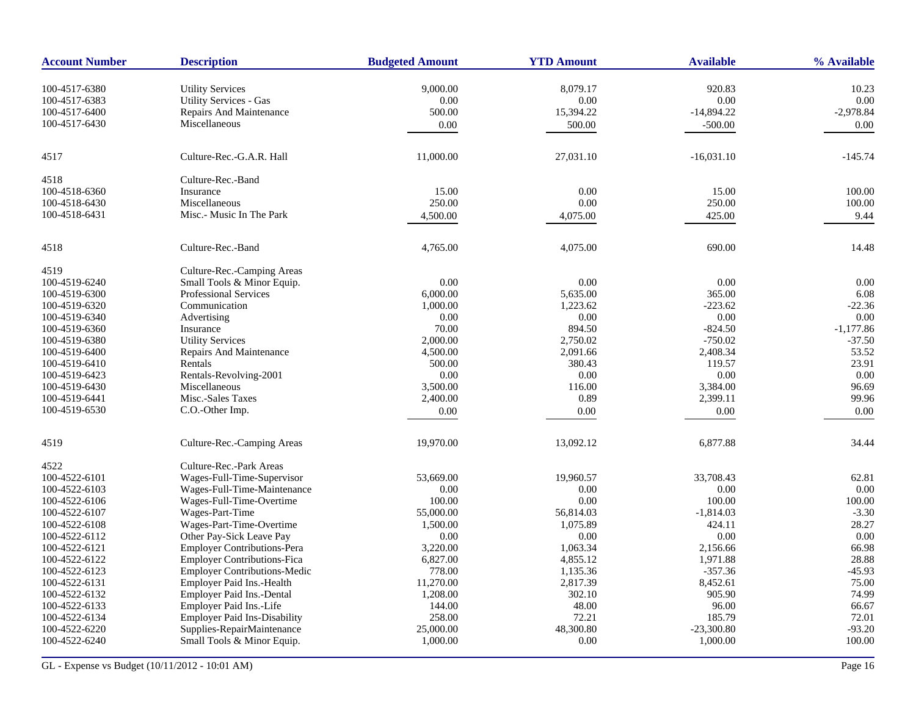| <b>Account Number</b> | <b>Description</b>                  | <b>Budgeted Amount</b> | <b>YTD Amount</b> | <b>Available</b> | % Available |
|-----------------------|-------------------------------------|------------------------|-------------------|------------------|-------------|
| 100-4517-6380         | <b>Utility Services</b>             | 9,000.00               | 8,079.17          | 920.83           | 10.23       |
| 100-4517-6383         | <b>Utility Services - Gas</b>       | 0.00                   | $0.00\,$          | 0.00             | 0.00        |
| 100-4517-6400         | Repairs And Maintenance             | 500.00                 | 15,394.22         | $-14,894.22$     | $-2,978.84$ |
| 100-4517-6430         | Miscellaneous                       | 0.00                   | 500.00            | $-500.00$        | 0.00        |
| 4517                  | Culture-Rec.-G.A.R. Hall            | 11,000.00              | 27,031.10         | $-16,031.10$     | $-145.74$   |
| 4518                  | Culture-Rec.-Band                   |                        |                   |                  |             |
| 100-4518-6360         | Insurance                           | 15.00                  | 0.00              | 15.00            | 100.00      |
| 100-4518-6430         | Miscellaneous                       | 250.00                 | $0.00\,$          | 250.00           | 100.00      |
| 100-4518-6431         | Misc.- Music In The Park            | 4,500.00               | 4,075.00          | 425.00           | 9.44        |
| 4518                  | Culture-Rec.-Band                   | 4,765.00               | 4,075.00          | 690.00           | 14.48       |
| 4519                  | Culture-Rec.-Camping Areas          |                        |                   |                  |             |
| 100-4519-6240         | Small Tools & Minor Equip.          | 0.00                   | 0.00              | 0.00             | 0.00        |
| 100-4519-6300         | Professional Services               | 6,000.00               | 5,635.00          | 365.00           | 6.08        |
| 100-4519-6320         | Communication                       | 1,000.00               | 1,223.62          | $-223.62$        | $-22.36$    |
| 100-4519-6340         | Advertising                         | 0.00                   | 0.00              | 0.00             | 0.00        |
| 100-4519-6360         | Insurance                           | 70.00                  | 894.50            | $-824.50$        | $-1,177.86$ |
| 100-4519-6380         | <b>Utility Services</b>             | 2,000.00               | 2,750.02          | $-750.02$        | $-37.50$    |
| 100-4519-6400         | Repairs And Maintenance             | 4,500.00               | 2,091.66          | 2,408.34         | 53.52       |
| 100-4519-6410         | Rentals                             | 500.00                 | 380.43            | 119.57           | 23.91       |
| 100-4519-6423         | Rentals-Revolving-2001              | 0.00                   | 0.00              | 0.00             | 0.00        |
| 100-4519-6430         | Miscellaneous                       | 3,500.00               | 116.00            | 3,384.00         | 96.69       |
| 100-4519-6441         | Misc.-Sales Taxes                   | 2,400.00               | 0.89              | 2,399.11         | 99.96       |
| 100-4519-6530         | C.O.-Other Imp.                     | 0.00                   | 0.00              | 0.00             | 0.00        |
| 4519                  | Culture-Rec.-Camping Areas          | 19,970.00              | 13,092.12         | 6,877.88         | 34.44       |
| 4522                  | Culture-Rec.-Park Areas             |                        |                   |                  |             |
| 100-4522-6101         | Wages-Full-Time-Supervisor          | 53,669.00              | 19,960.57         | 33,708.43        | 62.81       |
| 100-4522-6103         | Wages-Full-Time-Maintenance         | 0.00                   | 0.00              | 0.00             | 0.00        |
| 100-4522-6106         | Wages-Full-Time-Overtime            | 100.00                 | 0.00              | 100.00           | 100.00      |
| 100-4522-6107         | Wages-Part-Time                     | 55,000.00              | 56,814.03         | $-1,814.03$      | $-3.30$     |
| 100-4522-6108         | Wages-Part-Time-Overtime            | 1,500.00               | 1,075.89          | 424.11           | 28.27       |
| 100-4522-6112         | Other Pay-Sick Leave Pay            | 0.00                   | 0.00              | 0.00             | 0.00        |
| 100-4522-6121         | <b>Employer Contributions-Pera</b>  | 3,220.00               | 1.063.34          | 2,156.66         | 66.98       |
| 100-4522-6122         | <b>Employer Contributions-Fica</b>  | 6,827.00               | 4,855.12          | 1,971.88         | 28.88       |
| 100-4522-6123         | Employer Contributions-Medic        | 778.00                 | 1,135.36          | $-357.36$        | $-45.93$    |
| 100-4522-6131         | Employer Paid Ins.-Health           | 11,270.00              | 2,817.39          | 8,452.61         | 75.00       |
| 100-4522-6132         | Employer Paid Ins.-Dental           | 1,208.00               | 302.10            | 905.90           | 74.99       |
| 100-4522-6133         | Employer Paid Ins.-Life             | 144.00                 | 48.00             | 96.00            | 66.67       |
| 100-4522-6134         | <b>Employer Paid Ins-Disability</b> | 258.00                 | 72.21             | 185.79           | 72.01       |
| 100-4522-6220         | Supplies-RepairMaintenance          | 25,000.00              | 48,300.80         | $-23,300.80$     | $-93.20$    |
| 100-4522-6240         | Small Tools & Minor Equip.          | 1,000.00               | 0.00              | 1,000.00         | 100.00      |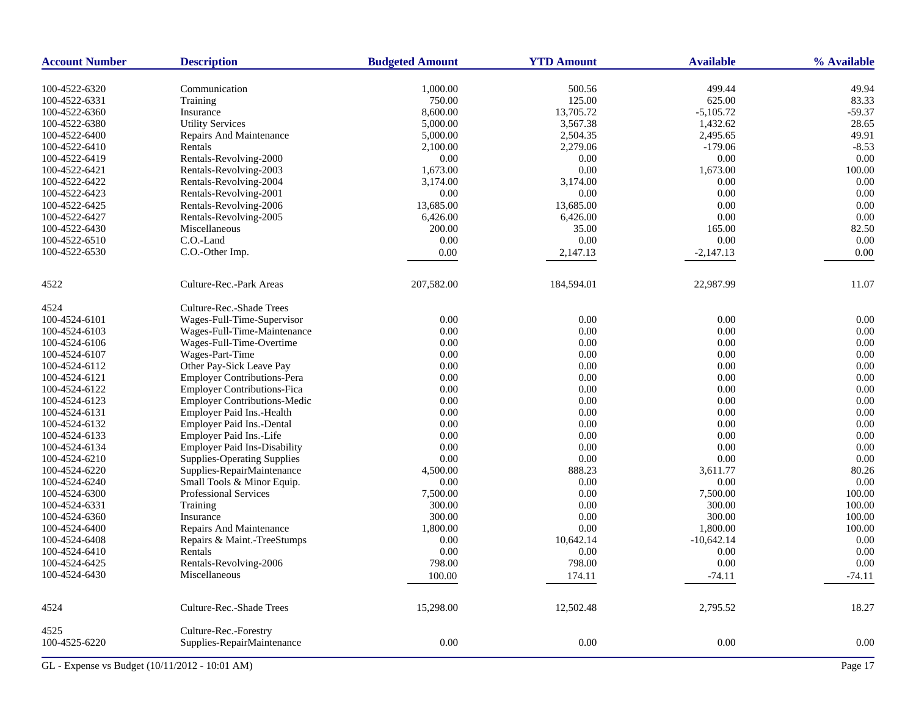| <b>Account Number</b> | <b>Description</b>                  | <b>Budgeted Amount</b> | <b>YTD Amount</b> | <b>Available</b> | % Available |
|-----------------------|-------------------------------------|------------------------|-------------------|------------------|-------------|
| 100-4522-6320         | Communication                       | 1,000.00               | 500.56            | 499.44           | 49.94       |
| 100-4522-6331         | Training                            | 750.00                 | 125.00            | 625.00           | 83.33       |
| 100-4522-6360         | Insurance                           | 8,600.00               | 13,705.72         | $-5,105.72$      | $-59.37$    |
| 100-4522-6380         | <b>Utility Services</b>             | 5,000.00               | 3,567.38          | 1,432.62         | 28.65       |
| 100-4522-6400         | <b>Repairs And Maintenance</b>      | 5,000.00               | 2,504.35          | 2,495.65         | 49.91       |
| 100-4522-6410         | Rentals                             | 2,100.00               | 2,279.06          | $-179.06$        | $-8.53$     |
| 100-4522-6419         | Rentals-Revolving-2000              | 0.00                   | 0.00              | 0.00             | 0.00        |
| 100-4522-6421         | Rentals-Revolving-2003              | 1,673.00               | 0.00              | 1,673.00         | 100.00      |
| 100-4522-6422         | Rentals-Revolving-2004              | 3,174.00               | 3,174.00          | 0.00             | 0.00        |
| 100-4522-6423         | Rentals-Revolving-2001              | 0.00                   | 0.00              | 0.00             | 0.00        |
| 100-4522-6425         | Rentals-Revolving-2006              | 13,685.00              | 13,685.00         | 0.00             | 0.00        |
| 100-4522-6427         | Rentals-Revolving-2005              | 6,426.00               |                   | 0.00             | 0.00        |
| 100-4522-6430         | Miscellaneous                       | 200.00                 | 6,426.00<br>35.00 | 165.00           | 82.50       |
|                       | C.O.-Land                           | 0.00                   | 0.00              | 0.00             | 0.00        |
| 100-4522-6510         |                                     |                        |                   |                  |             |
| 100-4522-6530         | C.O.-Other Imp.                     | 0.00                   | 2,147.13          | $-2,147.13$      | 0.00        |
| 4522                  | Culture-Rec.-Park Areas             | 207,582.00             | 184,594.01        | 22,987.99        | 11.07       |
| 4524                  | Culture-Rec.-Shade Trees            |                        |                   |                  |             |
| 100-4524-6101         | Wages-Full-Time-Supervisor          | 0.00                   | 0.00              | 0.00             | 0.00        |
| 100-4524-6103         | Wages-Full-Time-Maintenance         | 0.00                   | 0.00              | 0.00             | 0.00        |
| 100-4524-6106         | Wages-Full-Time-Overtime            | 0.00                   | 0.00              | 0.00             | 0.00        |
| 100-4524-6107         | Wages-Part-Time                     | 0.00                   | 0.00              | 0.00             | 0.00        |
| 100-4524-6112         | Other Pay-Sick Leave Pay            | 0.00                   | 0.00              | 0.00             | 0.00        |
| 100-4524-6121         | <b>Employer Contributions-Pera</b>  | 0.00                   | 0.00              | 0.00             | 0.00        |
| 100-4524-6122         | <b>Employer Contributions-Fica</b>  | 0.00                   | 0.00              | 0.00             | 0.00        |
| 100-4524-6123         | <b>Employer Contributions-Medic</b> | 0.00                   | 0.00              | 0.00             | 0.00        |
| 100-4524-6131         | Employer Paid Ins.-Health           | 0.00                   | 0.00              | 0.00             | 0.00        |
| 100-4524-6132         | Employer Paid Ins.-Dental           | 0.00                   | $0.00\,$          | 0.00             | 0.00        |
| 100-4524-6133         | Employer Paid Ins.-Life             | 0.00                   | 0.00              | 0.00             | 0.00        |
| 100-4524-6134         | <b>Employer Paid Ins-Disability</b> | 0.00                   | 0.00              | 0.00             | 0.00        |
| 100-4524-6210         | <b>Supplies-Operating Supplies</b>  | 0.00                   | 0.00              | 0.00             | 0.00        |
| 100-4524-6220         | Supplies-RepairMaintenance          | 4,500.00               | 888.23            | 3,611.77         | 80.26       |
| 100-4524-6240         | Small Tools & Minor Equip.          | 0.00                   | 0.00              | 0.00             | 0.00        |
| 100-4524-6300         | Professional Services               | 7,500.00               | 0.00              | 7,500.00         | 100.00      |
| 100-4524-6331         | Training                            | 300.00                 | 0.00              | 300.00           | 100.00      |
| 100-4524-6360         | Insurance                           | 300.00                 | 0.00              | 300.00           | 100.00      |
| 100-4524-6400         | Repairs And Maintenance             | 1,800.00               | 0.00              | 1,800.00         | 100.00      |
| 100-4524-6408         | Repairs & Maint.-TreeStumps         | 0.00                   | 10,642.14         | $-10,642.14$     | 0.00        |
| 100-4524-6410         | Rentals                             | 0.00                   | 0.00              | 0.00             | 0.00        |
| 100-4524-6425         | Rentals-Revolving-2006              | 798.00                 | 798.00            | 0.00             | 0.00        |
| 100-4524-6430         | Miscellaneous                       | 100.00                 | 174.11            | $-74.11$         | $-74.11$    |
| 4524                  | Culture-Rec.-Shade Trees            | 15,298.00              | 12,502.48         | 2,795.52         | 18.27       |
| 4525                  | Culture-Rec.-Forestry               |                        |                   |                  |             |
| 100-4525-6220         | Supplies-RepairMaintenance          | 0.00                   | 0.00              | 0.00             | 0.00        |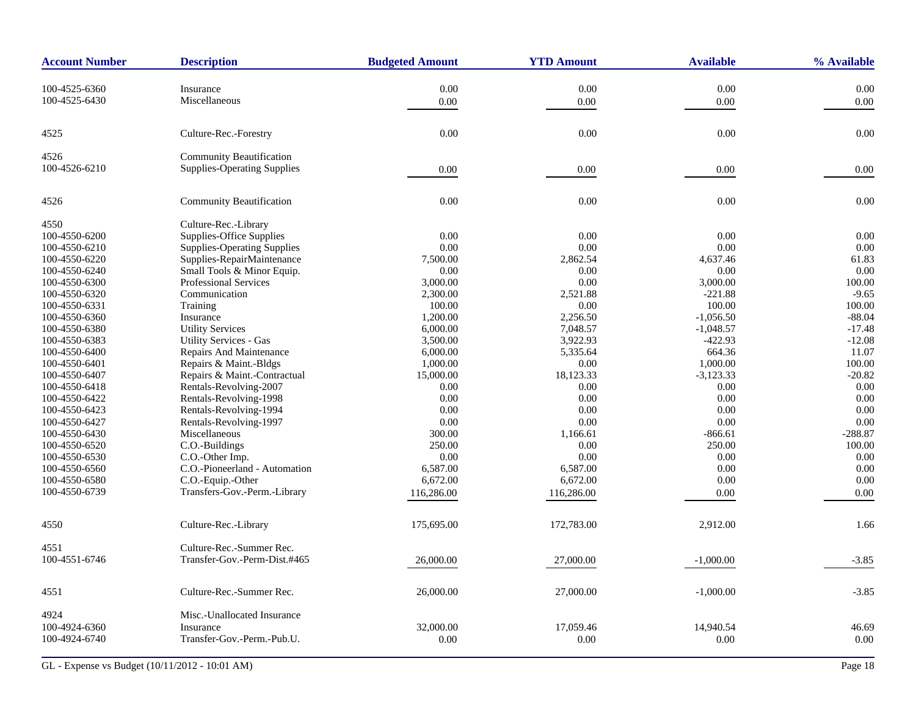| <b>Account Number</b> | <b>Description</b>                 | <b>Budgeted Amount</b> | <b>YTD Amount</b> | <b>Available</b> | % Available |
|-----------------------|------------------------------------|------------------------|-------------------|------------------|-------------|
| 100-4525-6360         | Insurance                          | 0.00                   | 0.00              | 0.00             | 0.00        |
| 100-4525-6430         | Miscellaneous                      |                        | 0.00              |                  |             |
|                       |                                    | 0.00                   |                   | 0.00             | 0.00        |
| 4525                  | Culture-Rec.-Forestry              | 0.00                   | 0.00              | 0.00             | 0.00        |
| 4526                  | <b>Community Beautification</b>    |                        |                   |                  |             |
| 100-4526-6210         | <b>Supplies-Operating Supplies</b> | 0.00                   | 0.00              | 0.00             | 0.00        |
| 4526                  | <b>Community Beautification</b>    | 0.00                   | 0.00              | 0.00             | 0.00        |
| 4550                  | Culture-Rec.-Library               |                        |                   |                  |             |
| 100-4550-6200         | Supplies-Office Supplies           | 0.00                   | 0.00              | 0.00             | 0.00        |
| 100-4550-6210         | <b>Supplies-Operating Supplies</b> | 0.00                   | 0.00              | 0.00             | 0.00        |
| 100-4550-6220         | Supplies-RepairMaintenance         | 7,500.00               | 2,862.54          | 4,637.46         | 61.83       |
| 100-4550-6240         | Small Tools & Minor Equip.         | 0.00                   | 0.00              | 0.00             | 0.00        |
| 100-4550-6300         | <b>Professional Services</b>       | 3,000.00               | 0.00              | 3,000.00         | 100.00      |
| 100-4550-6320         | Communication                      | 2,300.00               | 2,521.88          | $-221.88$        | $-9.65$     |
| 100-4550-6331         | Training                           | 100.00                 | 0.00              | 100.00           | 100.00      |
| 100-4550-6360         | Insurance                          | 1,200.00               | 2,256.50          | $-1,056.50$      | $-88.04$    |
| 100-4550-6380         | <b>Utility Services</b>            | 6,000.00               | 7,048.57          | $-1,048.57$      | $-17.48$    |
| 100-4550-6383         | <b>Utility Services - Gas</b>      | 3,500.00               | 3,922.93          | $-422.93$        | $-12.08$    |
| 100-4550-6400         | <b>Repairs And Maintenance</b>     | 6,000.00               | 5,335.64          | 664.36           | 11.07       |
| 100-4550-6401         | Repairs & Maint.-Bldgs             | 1,000.00               | 0.00              | 1,000.00         | 100.00      |
| 100-4550-6407         | Repairs & Maint.-Contractual       | 15,000.00              | 18,123.33         | $-3,123.33$      | $-20.82$    |
| 100-4550-6418         | Rentals-Revolving-2007             | 0.00                   | 0.00              | 0.00             | 0.00        |
| 100-4550-6422         | Rentals-Revolving-1998             | 0.00                   | 0.00              | 0.00             | 0.00        |
| 100-4550-6423         | Rentals-Revolving-1994             | 0.00                   | 0.00              | 0.00             | 0.00        |
| 100-4550-6427         | Rentals-Revolving-1997             | 0.00                   | 0.00              | 0.00             | 0.00        |
| 100-4550-6430         | Miscellaneous                      | 300.00                 | 1,166.61          | $-866.61$        | $-288.87$   |
| 100-4550-6520         | C.O.-Buildings                     | 250.00                 | 0.00              | 250.00           | 100.00      |
| 100-4550-6530         | C.O.-Other Imp.                    | 0.00                   | 0.00              | 0.00             | 0.00        |
| 100-4550-6560         | C.O.-Pioneerland - Automation      | 6,587.00               | 6,587.00          | 0.00             | 0.00        |
| 100-4550-6580         | C.O.-Equip.-Other                  | 6,672.00               | 6,672.00          | 0.00             | 0.00        |
| 100-4550-6739         | Transfers-Gov.-Perm.-Library       | 116,286.00             | 116,286.00        | 0.00             | 0.00        |
|                       |                                    | 175,695.00             | 172,783.00        | 2,912.00         | 1.66        |
| 4550                  | Culture-Rec.-Library               |                        |                   |                  |             |
| 4551                  | Culture-Rec.-Summer Rec.           |                        |                   |                  |             |
| 100-4551-6746         | Transfer-Gov.-Perm-Dist.#465       | 26,000.00              | 27,000.00         | $-1,000.00$      | $-3.85$     |
|                       |                                    |                        |                   |                  |             |
| 4551                  | Culture-Rec.-Summer Rec.           | 26,000.00              | 27,000.00         | $-1,000.00$      | $-3.85$     |
| 4924                  | Misc.-Unallocated Insurance        |                        |                   |                  |             |
| 100-4924-6360         | Insurance                          | 32,000.00              | 17,059.46         | 14,940.54        | 46.69       |
| 100-4924-6740         | Transfer-Gov.-Perm.-Pub.U.         | 0.00                   | 0.00              | 0.00             | 0.00        |
|                       |                                    |                        |                   |                  |             |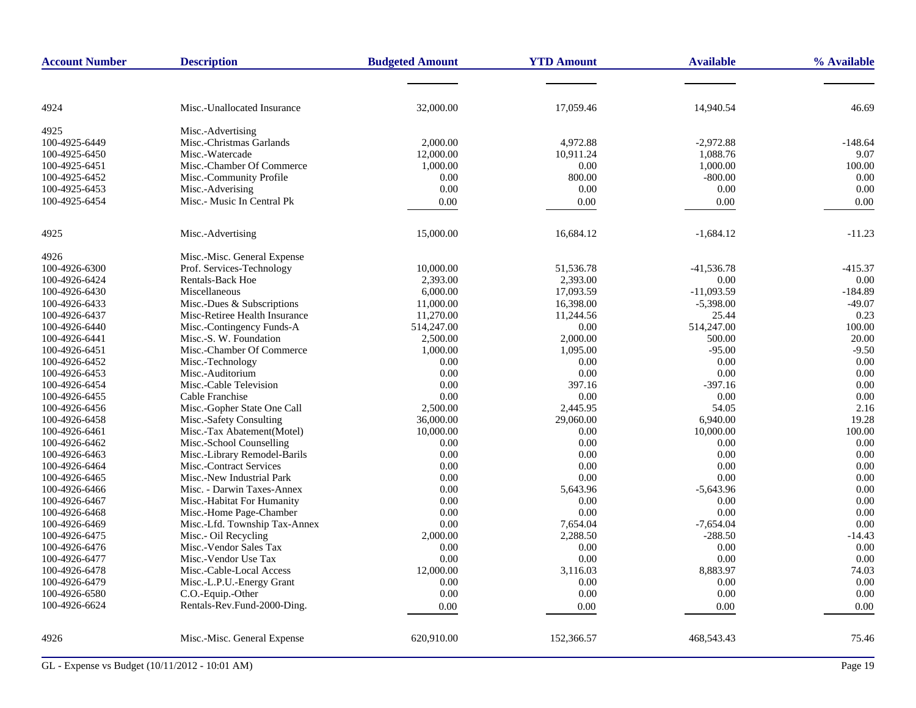| <b>Account Number</b> | <b>Description</b>            | <b>Budgeted Amount</b> | <b>YTD Amount</b> | <b>Available</b> | % Available |
|-----------------------|-------------------------------|------------------------|-------------------|------------------|-------------|
|                       |                               |                        |                   |                  |             |
| 4924                  | Misc.-Unallocated Insurance   | 32,000.00              | 17,059.46         | 14,940.54        | 46.69       |
|                       |                               |                        |                   |                  |             |
| 4925                  | Misc.-Advertising             |                        |                   |                  |             |
| 100-4925-6449         | Misc.-Christmas Garlands      | 2,000.00               | 4,972.88          | $-2.972.88$      | $-148.64$   |
| 100-4925-6450         | Misc.-Watercade               | 12,000.00              | 10,911.24         | 1,088.76         | 9.07        |
| 100-4925-6451         | Misc.-Chamber Of Commerce     | 1,000.00               | 0.00              | 1,000.00         | 100.00      |
| 100-4925-6452         | Misc.-Community Profile       | 0.00                   | 800.00            | $-800.00$        | 0.00        |
| 100-4925-6453         | Misc.-Adverising              | 0.00                   | 0.00              | 0.00             | 0.00        |
| 100-4925-6454         | Misc.- Music In Central Pk    | 0.00                   | 0.00              | 0.00             | 0.00        |
| 4925                  | Misc.-Advertising             | 15,000.00              | 16.684.12         | $-1.684.12$      | $-11.23$    |
|                       |                               |                        |                   |                  |             |
| 4926                  | Misc.-Misc. General Expense   |                        |                   |                  |             |
| 100-4926-6300         | Prof. Services-Technology     | 10,000.00              | 51,536.78         | $-41,536.78$     | $-415.37$   |
| 100-4926-6424         | <b>Rentals-Back Hoe</b>       | 2,393.00               | 2,393.00          | $0.00\,$         | 0.00        |
| 100-4926-6430         | Miscellaneous                 | 6,000.00               | 17,093.59         | $-11,093.59$     | $-184.89$   |
| 100-4926-6433         | Misc.-Dues & Subscriptions    | 11,000.00              | 16,398.00         | $-5,398.00$      | $-49.07$    |
| 100-4926-6437         | Misc-Retiree Health Insurance | 11,270.00              | 11,244.56         | 25.44            | 0.23        |
| 100-4926-6440         | Misc.-Contingency Funds-A     | 514,247.00             | 0.00              | 514,247.00       | 100.00      |
| 100-4926-6441         | Misc.-S. W. Foundation        | 2,500.00               | 2,000.00          | 500.00           | 20.00       |
| 100-4926-6451         | Misc.-Chamber Of Commerce     | 1,000.00               | 1,095.00          | $-95.00$         | $-9.50$     |
| 100-4926-6452         | Misc.-Technology              | 0.00                   | 0.00              | 0.00             | 0.00        |
| 100-4926-6453         | Misc.-Auditorium              | 0.00                   | 0.00              | 0.00             | 0.00        |
| 100-4926-6454         | Misc.-Cable Television        | 0.00                   | 397.16            | $-397.16$        | 0.00        |
| 100-4926-6455         | Cable Franchise               | 0.00                   | 0.00              | 0.00             | 0.00        |
| 100-4926-6456         | Misc.-Gopher State One Call   | 2,500.00               | 2,445.95          | 54.05            | 2.16        |
| 100-4926-6458         | Misc.-Safety Consulting       | 36,000.00              | 29,060.00         | 6,940.00         | 19.28       |
| 100-4926-6461         | Misc.-Tax Abatement(Motel)    | 10,000.00              | 0.00              | 10,000.00        | 100.00      |
| 100-4926-6462         | Misc.-School Counselling      | 0.00                   | 0.00              | 0.00             | 0.00        |
| 100-4926-6463         | Misc.-Library Remodel-Barils  | 0.00                   | 0.00              | 0.00             | 0.00        |
| 100-4926-6464         | Misc.-Contract Services       | 0.00                   | 0.00              | 0.00             | 0.00        |
| 100-4926-6465         | Misc.-New Industrial Park     | 0.00                   | 0.00              | 0.00             | 0.00        |
| 100-4926-6466         | Misc. - Darwin Taxes-Annex    | 0.00                   | 5,643.96          | $-5,643.96$      | 0.00        |
| 100-4926-6467         | Misc.-Habitat For Humanity    | 0.00                   | 0.00              | 0.00             | 0.00        |
| 100-4926-6468         | Misc.-Home Page-Chamber       | 0.00                   | 0.00              | 0.00             | 0.00        |
| 100-4926-6469         | Misc.-Lfd. Township Tax-Annex | 0.00                   | 7,654.04          | $-7,654.04$      | 0.00        |
| 100-4926-6475         | Misc.- Oil Recycling          | 2,000.00               | 2,288.50          | $-288.50$        | $-14.43$    |
| 100-4926-6476         | Misc.-Vendor Sales Tax        | 0.00                   | 0.00              | 0.00             | 0.00        |
| 100-4926-6477         | Misc.-Vendor Use Tax          | 0.00                   | 0.00              | 0.00             | 0.00        |
| 100-4926-6478         | Misc.-Cable-Local Access      | 12,000.00              | 3.116.03          | 8,883.97         | 74.03       |
| 100-4926-6479         | Misc.-L.P.U.-Energy Grant     | 0.00                   | 0.00              | 0.00             | 0.00        |
| 100-4926-6580         | C.O.-Equip.-Other             | 0.00                   | 0.00              | 0.00             | 0.00        |
| 100-4926-6624         | Rentals-Rev.Fund-2000-Ding.   | 0.00                   | 0.00              | 0.00             | 0.00        |
| 4926                  | Misc.-Misc. General Expense   | 620,910.00             | 152,366.57        | 468,543.43       | 75.46       |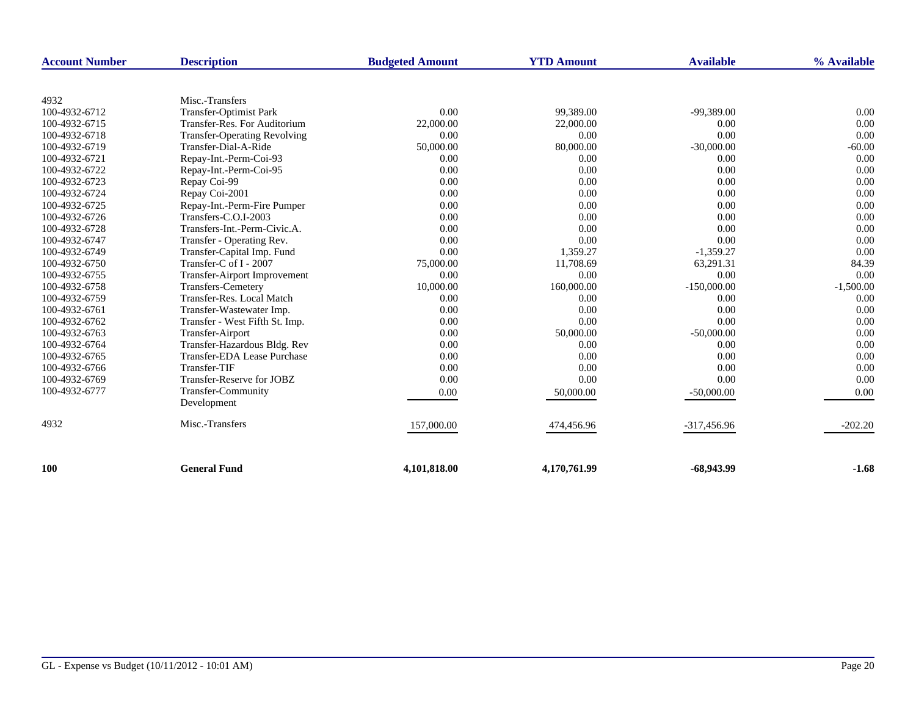| <b>Account Number</b> | <b>Description</b>                  | <b>Budgeted Amount</b> | <b>YTD Amount</b> | <b>Available</b> | % Available |
|-----------------------|-------------------------------------|------------------------|-------------------|------------------|-------------|
|                       |                                     |                        |                   |                  |             |
| 4932                  | Misc.-Transfers                     |                        |                   |                  |             |
| 100-4932-6712         | <b>Transfer-Optimist Park</b>       | 0.00                   | 99,389.00         | $-99,389.00$     | 0.00        |
| 100-4932-6715         | Transfer-Res. For Auditorium        | 22,000.00              | 22,000.00         | 0.00             | 0.00        |
| 100-4932-6718         | <b>Transfer-Operating Revolving</b> | 0.00                   | 0.00              | 0.00             | 0.00        |
| 100-4932-6719         | Transfer-Dial-A-Ride                | 50,000.00              | 80,000.00         | $-30,000.00$     | $-60.00$    |
| 100-4932-6721         | Repay-Int.-Perm-Coi-93              | 0.00                   | 0.00              | 0.00             | 0.00        |
| 100-4932-6722         | Repay-Int.-Perm-Coi-95              | 0.00                   | 0.00              | 0.00             | 0.00        |
| 100-4932-6723         | Repay Coi-99                        | 0.00                   | 0.00              | 0.00             | 0.00        |
| 100-4932-6724         | Repay Coi-2001                      | 0.00                   | 0.00              | 0.00             | 0.00        |
| 100-4932-6725         | Repay-Int.-Perm-Fire Pumper         | 0.00                   | 0.00              | 0.00             | 0.00        |
| 100-4932-6726         | Transfers-C.O.I-2003                | 0.00                   | 0.00              | 0.00             | 0.00        |
| 100-4932-6728         | Transfers-Int.-Perm-Civic.A.        | 0.00                   | 0.00              | 0.00             | 0.00        |
| 100-4932-6747         | Transfer - Operating Rev.           | 0.00                   | 0.00              | 0.00             | 0.00        |
| 100-4932-6749         | Transfer-Capital Imp. Fund          | 0.00                   | 1,359.27          | $-1,359.27$      | 0.00        |
| 100-4932-6750         | Transfer-C of I - 2007              | 75,000.00              | 11,708.69         | 63,291.31        | 84.39       |
| 100-4932-6755         | Transfer-Airport Improvement        | 0.00                   | 0.00              | 0.00             | 0.00        |
| 100-4932-6758         | <b>Transfers-Cemetery</b>           | 10,000.00              | 160,000.00        | $-150,000.00$    | $-1,500.00$ |
| 100-4932-6759         | Transfer-Res. Local Match           | 0.00                   | 0.00              | 0.00             | 0.00        |
| 100-4932-6761         | Transfer-Wastewater Imp.            | 0.00                   | 0.00              | 0.00             | 0.00        |
| 100-4932-6762         | Transfer - West Fifth St. Imp.      | 0.00                   | 0.00              | 0.00             | 0.00        |
| 100-4932-6763         | Transfer-Airport                    | 0.00                   | 50,000.00         | $-50,000.00$     | 0.00        |
| 100-4932-6764         | Transfer-Hazardous Bldg. Rev        | 0.00                   | 0.00              | 0.00             | 0.00        |
| 100-4932-6765         | <b>Transfer-EDA Lease Purchase</b>  | 0.00                   | 0.00              | 0.00             | 0.00        |
| 100-4932-6766         | <b>Transfer-TIF</b>                 | 0.00                   | 0.00              | 0.00             | 0.00        |
| 100-4932-6769         | Transfer-Reserve for JOBZ           | 0.00                   | 0.00              | 0.00             | 0.00        |
| 100-4932-6777         | <b>Transfer-Community</b>           | 0.00                   | 50,000.00         | $-50,000.00$     | 0.00        |
|                       | Development                         |                        |                   |                  |             |
| 4932                  | Misc.-Transfers                     | 157,000.00             | 474,456.96        | $-317,456.96$    | $-202.20$   |
| 100                   | <b>General Fund</b>                 | 4,101,818.00           | 4,170,761.99      | $-68,943,99$     | $-1.68$     |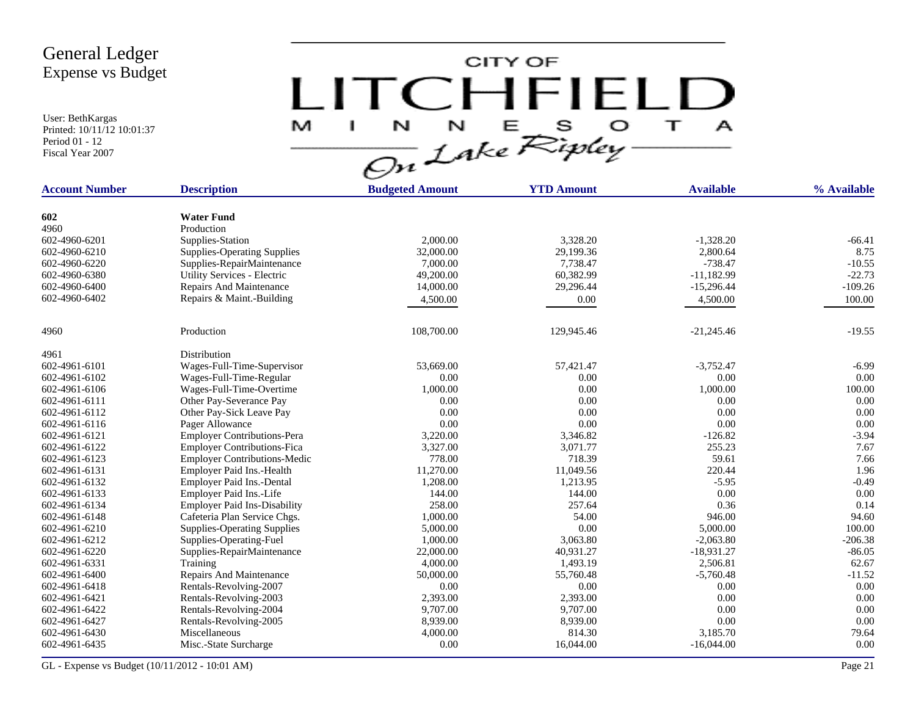User: BethKargas Printed: 10/11/12 10:01:37 Period 01 - 12 Fiscal Year 2007

 $LITCHTFIED  
\n $\sum_{\alpha} M T_{\alpha} C F_{\beta}^{\text{cusp}} F_{\beta}^{\text{cusp}} T_{\alpha}^{\text{cusp}}$$ 

| <b>Account Number</b> | <b>Description</b>                  | <b>Budgeted Amount</b> | <b>YTD Amount</b> | <b>Available</b> | % Available |
|-----------------------|-------------------------------------|------------------------|-------------------|------------------|-------------|
|                       |                                     |                        |                   |                  |             |
| 602                   | <b>Water Fund</b>                   |                        |                   |                  |             |
| 4960                  | Production                          |                        |                   |                  |             |
| 602-4960-6201         | Supplies-Station                    | 2,000.00               | 3,328.20          | $-1,328.20$      | $-66.41$    |
| 602-4960-6210         | Supplies-Operating Supplies         | 32,000.00              | 29,199.36         | 2,800.64         | 8.75        |
| 602-4960-6220         | Supplies-RepairMaintenance          | 7,000.00               | 7.738.47          | $-738.47$        | $-10.55$    |
| 602-4960-6380         | Utility Services - Electric         | 49,200.00              | 60,382.99         | $-11,182.99$     | $-22.73$    |
| 602-4960-6400         | Repairs And Maintenance             | 14,000.00              | 29,296.44         | $-15,296.44$     | $-109.26$   |
| 602-4960-6402         | Repairs & Maint.-Building           | 4,500.00               | 0.00              | 4,500.00         | 100.00      |
| 4960                  | Production                          | 108,700.00             | 129,945.46        | $-21,245.46$     | $-19.55$    |
| 4961                  | Distribution                        |                        |                   |                  |             |
| 602-4961-6101         | Wages-Full-Time-Supervisor          | 53,669.00              | 57,421.47         | $-3,752.47$      | $-6.99$     |
| 602-4961-6102         | Wages-Full-Time-Regular             | 0.00                   | 0.00              | 0.00             | 0.00        |
| 602-4961-6106         | Wages-Full-Time-Overtime            | 1,000.00               | 0.00              | 1,000.00         | 100.00      |
| 602-4961-6111         | Other Pay-Severance Pay             | 0.00                   | 0.00              | 0.00             | 0.00        |
| 602-4961-6112         | Other Pay-Sick Leave Pay            | 0.00                   | 0.00              | 0.00             | 0.00        |
| 602-4961-6116         | Pager Allowance                     | 0.00                   | 0.00              | 0.00             | 0.00        |
| 602-4961-6121         | <b>Employer Contributions-Pera</b>  | 3,220.00               | 3,346.82          | $-126.82$        | $-3.94$     |
| 602-4961-6122         | <b>Employer Contributions-Fica</b>  | 3,327.00               | 3,071.77          | 255.23           | 7.67        |
| 602-4961-6123         | <b>Employer Contributions-Medic</b> | 778.00                 | 718.39            | 59.61            | 7.66        |
| 602-4961-6131         | Employer Paid Ins.-Health           | 11,270.00              | 11,049.56         | 220.44           | 1.96        |
| 602-4961-6132         | Employer Paid Ins.-Dental           | 1,208.00               | 1,213.95          | $-5.95$          | $-0.49$     |
| 602-4961-6133         | Employer Paid Ins.-Life             | 144.00                 | 144.00            | 0.00             | 0.00        |
| 602-4961-6134         | <b>Employer Paid Ins-Disability</b> | 258.00                 | 257.64            | 0.36             | 0.14        |
| 602-4961-6148         | Cafeteria Plan Service Chgs.        | 1,000.00               | 54.00             | 946.00           | 94.60       |
| 602-4961-6210         | <b>Supplies-Operating Supplies</b>  | 5,000.00               | 0.00              | 5,000.00         | 100.00      |
| 602-4961-6212         | Supplies-Operating-Fuel             | 1,000.00               | 3,063.80          | $-2,063.80$      | $-206.38$   |
| 602-4961-6220         | Supplies-RepairMaintenance          | 22,000.00              | 40,931.27         | $-18,931.27$     | $-86.05$    |
| 602-4961-6331         | Training                            | 4,000.00               | 1,493.19          | 2,506.81         | 62.67       |
| 602-4961-6400         | Repairs And Maintenance             | 50,000.00              | 55,760.48         | $-5,760.48$      | $-11.52$    |
| 602-4961-6418         | Rentals-Revolving-2007              | 0.00                   | 0.00              | 0.00             | 0.00        |
| 602-4961-6421         | Rentals-Revolving-2003              | 2,393.00               | 2,393.00          | 0.00             | 0.00        |
| 602-4961-6422         | Rentals-Revolving-2004              | 9,707.00               | 9,707.00          | 0.00             | 0.00        |
| 602-4961-6427         | Rentals-Revolving-2005              | 8,939.00               | 8,939.00          | 0.00             | 0.00        |
| 602-4961-6430         | Miscellaneous                       | 4,000.00               | 814.30            | 3,185.70         | 79.64       |
| 602-4961-6435         | Misc.-State Surcharge               | 0.00                   | 16,044.00         | $-16,044.00$     | 0.00        |
|                       |                                     |                        |                   |                  |             |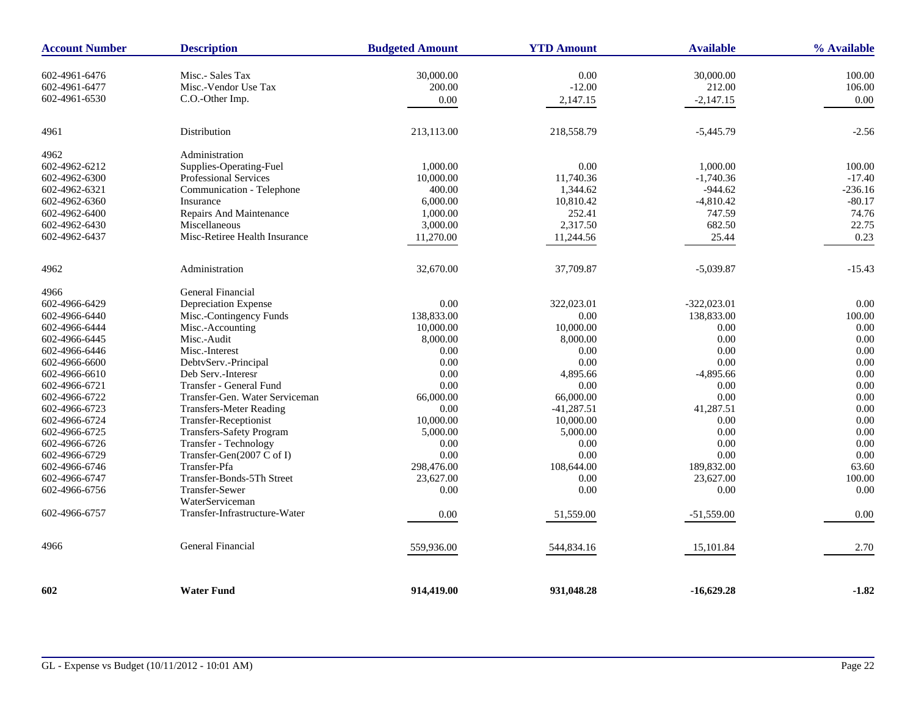| <b>Account Number</b> | <b>Description</b>             | <b>Budgeted Amount</b> | <b>YTD Amount</b> | <b>Available</b> | % Available |
|-----------------------|--------------------------------|------------------------|-------------------|------------------|-------------|
| 602-4961-6476         | Misc.- Sales Tax               | 30,000.00              | 0.00              | 30,000.00        | 100.00      |
| 602-4961-6477         | Misc.-Vendor Use Tax           | 200.00                 | $-12.00$          | 212.00           | 106.00      |
| 602-4961-6530         | C.O.-Other Imp.                | 0.00                   | 2,147.15          | $-2,147.15$      | 0.00        |
|                       |                                |                        |                   |                  |             |
| 4961                  | Distribution                   | 213,113.00             | 218,558.79        | $-5,445.79$      | $-2.56$     |
| 4962                  | Administration                 |                        |                   |                  |             |
| 602-4962-6212         | Supplies-Operating-Fuel        | 1,000.00               | $0.00\,$          | 1,000.00         | 100.00      |
| 602-4962-6300         | Professional Services          | 10,000.00              | 11,740.36         | $-1,740.36$      | $-17.40$    |
| 602-4962-6321         | Communication - Telephone      | 400.00                 | 1,344.62          | $-944.62$        | $-236.16$   |
| 602-4962-6360         | Insurance                      | 6,000.00               | 10,810.42         | $-4,810.42$      | $-80.17$    |
| 602-4962-6400         | Repairs And Maintenance        | 1,000.00               | 252.41            | 747.59           | 74.76       |
| 602-4962-6430         | Miscellaneous                  | 3,000.00               | 2,317.50          | 682.50           | 22.75       |
| 602-4962-6437         | Misc-Retiree Health Insurance  | 11,270.00              | 11,244.56         | 25.44            | 0.23        |
| 4962                  | Administration                 | 32,670.00              | 37,709.87         | $-5,039.87$      | $-15.43$    |
| 4966                  | General Financial              |                        |                   |                  |             |
| 602-4966-6429         | Depreciation Expense           | 0.00                   | 322,023.01        | $-322,023.01$    | 0.00        |
| 602-4966-6440         | Misc.-Contingency Funds        | 138,833.00             | 0.00              | 138,833.00       | 100.00      |
| 602-4966-6444         | Misc.-Accounting               | 10,000.00              | 10,000.00         | 0.00             | 0.00        |
| 602-4966-6445         | Misc.-Audit                    | 8,000.00               | 8,000.00          | 0.00             | 0.00        |
| 602-4966-6446         | Misc.-Interest                 | 0.00                   | 0.00              | 0.00             | 0.00        |
| 602-4966-6600         | DebtvServ.-Principal           | 0.00                   | 0.00              | 0.00             | 0.00        |
| 602-4966-6610         | Deb Serv.-Interesr             | 0.00                   | 4,895.66          | $-4,895.66$      | 0.00        |
| 602-4966-6721         | Transfer - General Fund        | 0.00                   | 0.00              | 0.00             | 0.00        |
| 602-4966-6722         | Transfer-Gen. Water Serviceman | 66,000.00              | 66,000.00         | 0.00             | 0.00        |
| 602-4966-6723         | <b>Transfers-Meter Reading</b> | 0.00                   | $-41,287.51$      | 41,287.51        | 0.00        |
| 602-4966-6724         | Transfer-Receptionist          | 10,000.00              | 10,000.00         | 0.00             | 0.00        |
| 602-4966-6725         | Transfers-Safety Program       | 5,000.00               | 5,000.00          | 0.00             | 0.00        |
| 602-4966-6726         | Transfer - Technology          | 0.00                   | 0.00              | 0.00             | 0.00        |
| 602-4966-6729         | Transfer-Gen(2007 C of I)      | 0.00                   | $0.00\,$          | 0.00             | 0.00        |
| 602-4966-6746         | Transfer-Pfa                   | 298,476.00             | 108,644.00        | 189,832.00       | 63.60       |
| 602-4966-6747         | Transfer-Bonds-5Th Street      | 23,627.00              | 0.00              | 23,627.00        | 100.00      |
| 602-4966-6756         | Transfer-Sewer                 | 0.00                   | 0.00              | 0.00             | 0.00        |
|                       | WaterServiceman                |                        |                   |                  |             |
|                       |                                |                        |                   |                  |             |
| 602-4966-6757         | Transfer-Infrastructure-Water  | 0.00                   | 51,559.00         | $-51,559.00$     | 0.00        |
| 4966                  | General Financial              | 559,936.00             | 544,834.16        | 15,101.84        | 2.70        |
| 602                   | <b>Water Fund</b>              | 914,419.00             | 931,048.28        | $-16,629.28$     | $-1.82$     |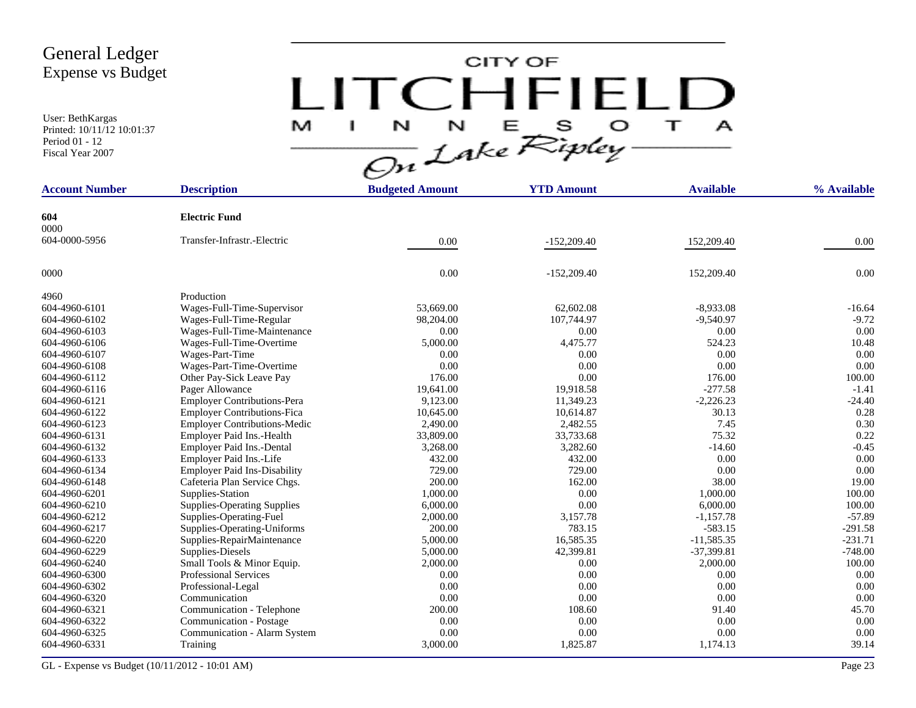User: BethKargas Printed: 10/11/12 10:01:37 Period 01 - 12 Fiscal Year 2007

# $LITCHTFIED\n $\sum_{\alpha} M T_{\alpha} C F_{\beta}^{\text{cusp}} F_{\beta}^{\text{cusp}} T_{\alpha}^{\text{cusp}}$$

| <b>Account Number</b> | <b>Description</b>                  | <b>Budgeted Amount</b> | <b>YTD Amount</b> | <b>Available</b> | % Available |
|-----------------------|-------------------------------------|------------------------|-------------------|------------------|-------------|
|                       |                                     |                        |                   |                  |             |
| 604<br>0000           | <b>Electric Fund</b>                |                        |                   |                  |             |
|                       | Transfer-Infrastr.-Electric         |                        |                   |                  |             |
| 604-0000-5956         |                                     | 0.00                   | $-152,209.40$     | 152,209.40       | 0.00        |
| 0000                  |                                     | 0.00                   | $-152,209.40$     | 152,209.40       | 0.00        |
| 4960                  | Production                          |                        |                   |                  |             |
| 604-4960-6101         | Wages-Full-Time-Supervisor          | 53,669.00              | 62,602.08         | $-8,933.08$      | $-16.64$    |
| 604-4960-6102         | Wages-Full-Time-Regular             | 98,204.00              | 107,744.97        | $-9,540.97$      | $-9.72$     |
| 604-4960-6103         | Wages-Full-Time-Maintenance         | 0.00                   | 0.00              | 0.00             | 0.00        |
| 604-4960-6106         | Wages-Full-Time-Overtime            | 5,000.00               | 4,475.77          | 524.23           | 10.48       |
| 604-4960-6107         | Wages-Part-Time                     | 0.00                   | 0.00              | 0.00             | 0.00        |
| 604-4960-6108         | Wages-Part-Time-Overtime            | 0.00                   | 0.00              | 0.00             | 0.00        |
| 604-4960-6112         | Other Pay-Sick Leave Pay            | 176.00                 | 0.00              | 176.00           | 100.00      |
| 604-4960-6116         | Pager Allowance                     | 19,641.00              | 19,918.58         | $-277.58$        | $-1.41$     |
| 604-4960-6121         | Employer Contributions-Pera         | 9,123.00               | 11,349.23         | $-2,226.23$      | $-24.40$    |
| 604-4960-6122         | <b>Employer Contributions-Fica</b>  | 10,645.00              | 10,614.87         | 30.13            | 0.28        |
| 604-4960-6123         | <b>Employer Contributions-Medic</b> | 2,490.00               | 2,482.55          | 7.45             | 0.30        |
| 604-4960-6131         | Employer Paid Ins.-Health           | 33,809.00              | 33,733.68         | 75.32            | 0.22        |
| 604-4960-6132         | Employer Paid Ins.-Dental           | 3,268.00               | 3,282.60          | $-14.60$         | $-0.45$     |
| 604-4960-6133         | Employer Paid Ins.-Life             | 432.00                 | 432.00            | 0.00             | 0.00        |
| 604-4960-6134         | <b>Employer Paid Ins-Disability</b> | 729.00                 | 729.00            | 0.00             | 0.00        |
| 604-4960-6148         | Cafeteria Plan Service Chgs.        | 200.00                 | 162.00            | 38.00            | 19.00       |
| 604-4960-6201         | Supplies-Station                    | 1,000.00               | 0.00              | 1,000.00         | 100.00      |
| 604-4960-6210         | <b>Supplies-Operating Supplies</b>  | 6,000.00               | 0.00              | 6,000.00         | 100.00      |
| 604-4960-6212         | Supplies-Operating-Fuel             | 2,000.00               | 3,157.78          | $-1,157.78$      | $-57.89$    |
| 604-4960-6217         | Supplies-Operating-Uniforms         | 200.00                 | 783.15            | $-583.15$        | $-291.58$   |
| 604-4960-6220         | Supplies-RepairMaintenance          | 5,000.00               | 16,585.35         | $-11,585.35$     | $-231.71$   |
| 604-4960-6229         | Supplies-Diesels                    | 5,000.00               | 42,399.81         | $-37,399.81$     | $-748.00$   |
| 604-4960-6240         | Small Tools & Minor Equip.          | 2,000.00               | 0.00              | 2,000.00         | 100.00      |
| 604-4960-6300         | <b>Professional Services</b>        | 0.00                   | 0.00              | 0.00             | 0.00        |
| 604-4960-6302         | Professional-Legal                  | 0.00                   | 0.00              | 0.00             | 0.00        |
| 604-4960-6320         | Communication                       | 0.00                   | 0.00              | 0.00             | 0.00        |
| 604-4960-6321         | Communication - Telephone           | 200.00                 | 108.60            | 91.40            | 45.70       |
| 604-4960-6322         | Communication - Postage             | 0.00                   | 0.00              | 0.00             | 0.00        |
| 604-4960-6325         | Communication - Alarm System        | 0.00                   | 0.00              | 0.00             | 0.00        |
| 604-4960-6331         | Training                            | 3,000.00               | 1,825.87          | 1,174.13         | 39.14       |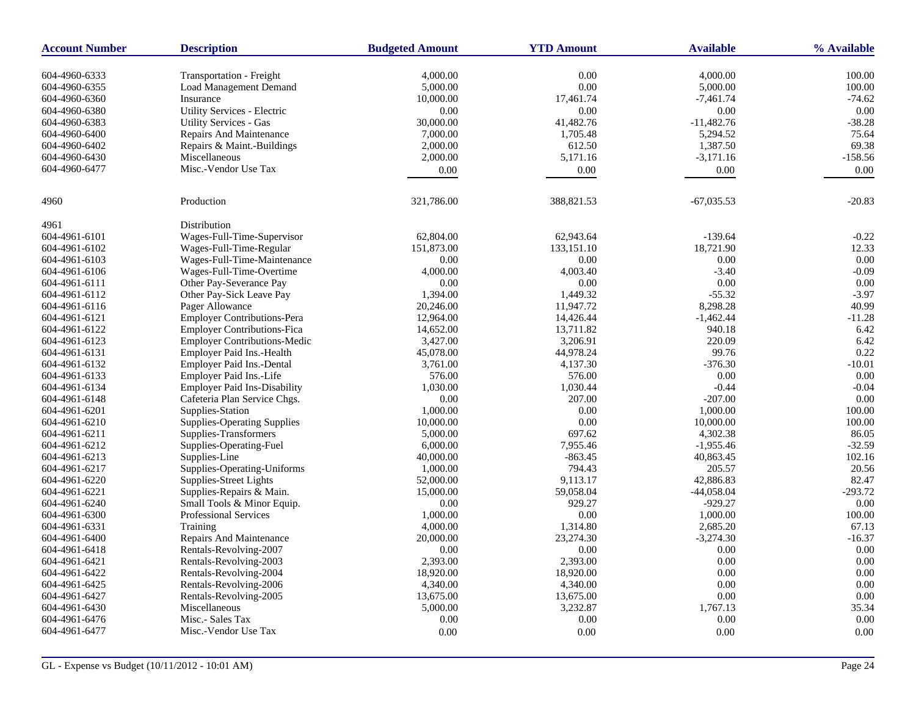| <b>Account Number</b> | <b>Description</b>                  | <b>Budgeted Amount</b> | <b>YTD Amount</b> | <b>Available</b> | % Available |
|-----------------------|-------------------------------------|------------------------|-------------------|------------------|-------------|
| 604-4960-6333         | Transportation - Freight            | 4,000.00               | 0.00              | 4,000.00         | 100.00      |
| 604-4960-6355         | <b>Load Management Demand</b>       | 5,000.00               | $0.00\,$          | 5,000.00         | 100.00      |
| 604-4960-6360         | Insurance                           | 10,000.00              | 17,461.74         | $-7,461.74$      | $-74.62$    |
| 604-4960-6380         | <b>Utility Services - Electric</b>  | 0.00                   | 0.00              | 0.00             | 0.00        |
| 604-4960-6383         | <b>Utility Services - Gas</b>       | 30,000.00              | 41,482.76         | $-11,482.76$     | $-38.28$    |
| 604-4960-6400         | Repairs And Maintenance             | 7,000.00               | 1,705.48          | 5,294.52         | 75.64       |
| 604-4960-6402         | Repairs & Maint.-Buildings          | 2,000.00               | 612.50            | 1,387.50         | 69.38       |
| 604-4960-6430         | Miscellaneous                       | 2,000.00               | 5,171.16          | $-3,171.16$      | $-158.56$   |
| 604-4960-6477         | Misc.-Vendor Use Tax                | 0.00                   | 0.00              | 0.00             | 0.00        |
|                       |                                     |                        |                   |                  |             |
| 4960                  | Production                          | 321,786.00             | 388,821.53        | $-67,035.53$     | $-20.83$    |
| 4961                  | Distribution                        |                        |                   |                  |             |
| 604-4961-6101         | Wages-Full-Time-Supervisor          | 62,804.00              | 62,943.64         | $-139.64$        | $-0.22$     |
| 604-4961-6102         | Wages-Full-Time-Regular             | 151,873.00             | 133,151.10        | 18,721.90        | 12.33       |
| 604-4961-6103         | Wages-Full-Time-Maintenance         | 0.00                   | 0.00              | 0.00             | 0.00        |
| 604-4961-6106         | Wages-Full-Time-Overtime            | 4,000.00               | 4,003.40          | $-3.40$          | $-0.09$     |
| 604-4961-6111         | Other Pay-Severance Pay             | 0.00                   | 0.00              | 0.00             | 0.00        |
| 604-4961-6112         | Other Pay-Sick Leave Pay            | 1,394.00               | 1,449.32          | $-55.32$         | $-3.97$     |
| 604-4961-6116         | Pager Allowance                     | 20,246.00              | 11,947.72         | 8,298.28         | 40.99       |
| 604-4961-6121         | Employer Contributions-Pera         | 12,964.00              | 14,426.44         | $-1,462.44$      | $-11.28$    |
| 604-4961-6122         | <b>Employer Contributions-Fica</b>  | 14,652.00              | 13,711.82         | 940.18           | 6.42        |
| 604-4961-6123         | <b>Employer Contributions-Medic</b> | 3,427.00               | 3,206.91          | 220.09           | 6.42        |
| 604-4961-6131         | Employer Paid Ins.-Health           | 45,078.00              | 44,978.24         | 99.76            | 0.22        |
| 604-4961-6132         | Employer Paid Ins.-Dental           | 3,761.00               | 4,137.30          | $-376.30$        | $-10.01$    |
| 604-4961-6133         | Employer Paid Ins.-Life             | 576.00                 | 576.00            | 0.00             | 0.00        |
| 604-4961-6134         | <b>Employer Paid Ins-Disability</b> | 1,030.00               | 1,030.44          | $-0.44$          | $-0.04$     |
| 604-4961-6148         | Cafeteria Plan Service Chgs.        | 0.00                   | 207.00            | $-207.00$        | 0.00        |
| 604-4961-6201         | Supplies-Station                    | 1,000.00               | 0.00              | 1,000.00         | 100.00      |
| 604-4961-6210         | <b>Supplies-Operating Supplies</b>  | 10,000.00              | 0.00              | 10,000.00        | 100.00      |
| 604-4961-6211         | Supplies-Transformers               | 5,000.00               | 697.62            | 4,302.38         | 86.05       |
| 604-4961-6212         | Supplies-Operating-Fuel             | 6,000.00               | 7,955.46          | $-1,955.46$      | $-32.59$    |
| 604-4961-6213         | Supplies-Line                       | 40,000.00              | $-863.45$         | 40,863.45        | 102.16      |
| 604-4961-6217         | Supplies-Operating-Uniforms         | 1,000.00               | 794.43            | 205.57           | 20.56       |
| 604-4961-6220         | Supplies-Street Lights              | 52,000.00              | 9,113.17          | 42,886.83        | 82.47       |
| 604-4961-6221         | Supplies-Repairs & Main.            | 15,000.00              | 59,058.04         | $-44,058.04$     | $-293.72$   |
| 604-4961-6240         | Small Tools & Minor Equip.          | 0.00                   | 929.27            | $-929.27$        | 0.00        |
| 604-4961-6300         | Professional Services               | 1,000.00               | 0.00              | 1,000.00         | 100.00      |
| 604-4961-6331         | Training                            | 4,000.00               | 1,314.80          | 2,685.20         | 67.13       |
| 604-4961-6400         | Repairs And Maintenance             | 20,000.00              | 23,274.30         | $-3,274.30$      | $-16.37$    |
| 604-4961-6418         | Rentals-Revolving-2007              | 0.00                   | 0.00              | 0.00             | 0.00        |
| 604-4961-6421         | Rentals-Revolving-2003              | 2,393.00               | 2,393.00          | 0.00             | 0.00        |
| 604-4961-6422         | Rentals-Revolving-2004              | 18,920.00              | 18,920.00         | 0.00             | 0.00        |
| 604-4961-6425         | Rentals-Revolving-2006              | 4,340.00               | 4,340.00          | 0.00             | 0.00        |
| 604-4961-6427         | Rentals-Revolving-2005              | 13,675.00              | 13,675.00         | 0.00             | 0.00        |
| 604-4961-6430         | Miscellaneous                       | 5,000.00               | 3,232.87          | 1,767.13         | 35.34       |
| 604-4961-6476         | Misc.- Sales Tax                    | 0.00                   | 0.00              | 0.00             | 0.00        |
| 604-4961-6477         | Misc.-Vendor Use Tax                | 0.00                   | 0.00              | 0.00             | 0.00        |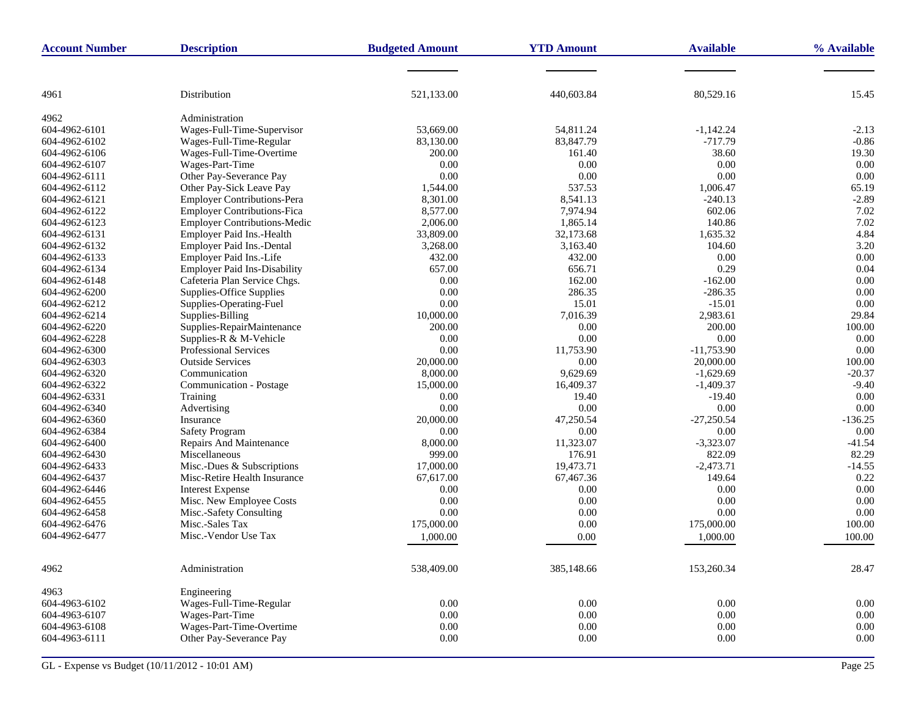| <b>Account Number</b> | <b>Description</b>                  | <b>Budgeted Amount</b> | <b>YTD Amount</b> | <b>Available</b> | % Available |
|-----------------------|-------------------------------------|------------------------|-------------------|------------------|-------------|
|                       |                                     |                        |                   |                  |             |
| 4961                  | Distribution                        | 521,133.00             | 440,603.84        | 80,529.16        | 15.45       |
| 4962                  | Administration                      |                        |                   |                  |             |
| 604-4962-6101         | Wages-Full-Time-Supervisor          | 53,669.00              | 54,811.24         | $-1,142.24$      | $-2.13$     |
| 604-4962-6102         | Wages-Full-Time-Regular             | 83,130.00              | 83, 847. 79       | $-717.79$        | $-0.86$     |
| 604-4962-6106         | Wages-Full-Time-Overtime            | 200.00                 | 161.40            | 38.60            | 19.30       |
| 604-4962-6107         | Wages-Part-Time                     | 0.00                   | 0.00              | 0.00             | 0.00        |
| 604-4962-6111         | Other Pay-Severance Pay             | 0.00                   | 0.00              | 0.00             | 0.00        |
| 604-4962-6112         | Other Pay-Sick Leave Pay            | 1,544.00               | 537.53            | 1,006.47         | 65.19       |
| 604-4962-6121         | Employer Contributions-Pera         | 8,301.00               | 8,541.13          | $-240.13$        | $-2.89$     |
| 604-4962-6122         | <b>Employer Contributions-Fica</b>  | 8,577.00               | 7,974.94          | 602.06           | 7.02        |
| 604-4962-6123         | <b>Employer Contributions-Medic</b> | 2,006.00               | 1,865.14          | 140.86           | 7.02        |
| 604-4962-6131         | Employer Paid Ins.-Health           | 33,809.00              | 32,173.68         | 1,635.32         | 4.84        |
| 604-4962-6132         | Employer Paid Ins.-Dental           | 3,268.00               | 3,163.40          | 104.60           | 3.20        |
| 604-4962-6133         | Employer Paid Ins.-Life             | 432.00                 | 432.00            | 0.00             | 0.00        |
| 604-4962-6134         | <b>Employer Paid Ins-Disability</b> | 657.00                 | 656.71            | 0.29             | 0.04        |
| 604-4962-6148         | Cafeteria Plan Service Chgs.        | 0.00                   | 162.00            | $-162.00$        | 0.00        |
| 604-4962-6200         | Supplies-Office Supplies            | 0.00                   | 286.35            | $-286.35$        | 0.00        |
| 604-4962-6212         | Supplies-Operating-Fuel             | 0.00                   | 15.01             | $-15.01$         | 0.00        |
| 604-4962-6214         | Supplies-Billing                    | 10,000.00              | 7,016.39          | 2,983.61         | 29.84       |
| 604-4962-6220         | Supplies-RepairMaintenance          | 200.00                 | 0.00              | 200.00           | 100.00      |
| 604-4962-6228         | Supplies-R & M-Vehicle              | 0.00                   | 0.00              | $0.00\,$         | 0.00        |
| 604-4962-6300         | Professional Services               | 0.00                   | 11,753.90         | $-11,753.90$     | 0.00        |
| 604-4962-6303         | <b>Outside Services</b>             | 20,000.00              | 0.00              | 20,000.00        | 100.00      |
| 604-4962-6320         | Communication                       | 8,000.00               | 9,629.69          | $-1,629.69$      | $-20.37$    |
| 604-4962-6322         | Communication - Postage             | 15,000.00              | 16,409.37         | $-1,409.37$      | $-9.40$     |
| 604-4962-6331         | Training                            | 0.00                   | 19.40             | $-19.40$         | 0.00        |
| 604-4962-6340         | Advertising                         | 0.00                   | 0.00              | $0.00\,$         | 0.00        |
| 604-4962-6360         | Insurance                           | 20,000.00              | 47,250.54         | $-27,250.54$     | $-136.25$   |
| 604-4962-6384         | <b>Safety Program</b>               | 0.00                   | 0.00              | 0.00             | 0.00        |
| 604-4962-6400         | Repairs And Maintenance             | 8,000.00               | 11,323.07         | $-3,323.07$      | $-41.54$    |
| 604-4962-6430         | Miscellaneous                       | 999.00                 | 176.91            | 822.09           | 82.29       |
| 604-4962-6433         | Misc.-Dues & Subscriptions          | 17,000.00              | 19,473.71         | $-2,473.71$      | $-14.55$    |
| 604-4962-6437         | Misc-Retire Health Insurance        | 67,617.00              | 67,467.36         | 149.64           | 0.22        |
| 604-4962-6446         | <b>Interest Expense</b>             | 0.00                   | 0.00              | 0.00             | 0.00        |
| 604-4962-6455         | Misc. New Employee Costs            | 0.00                   | 0.00              | 0.00             | 0.00        |
| 604-4962-6458         | Misc.-Safety Consulting             | 0.00                   | 0.00              | 0.00             | 0.00        |
| 604-4962-6476         | Misc.-Sales Tax                     | 175,000.00             | 0.00              | 175,000.00       | 100.00      |
| 604-4962-6477         | Misc.-Vendor Use Tax                | 1.000.00               | 0.00              | 1,000.00         | 100.00      |
| 4962                  | Administration                      | 538,409.00             | 385,148.66        | 153,260.34       | 28.47       |
| 4963                  | Engineering                         |                        |                   |                  |             |
| 604-4963-6102         | Wages-Full-Time-Regular             | $0.00\,$               | 0.00              | 0.00             | 0.00        |
| 604-4963-6107         | Wages-Part-Time                     | 0.00                   | $0.00\,$          | $0.00\,$         | 0.00        |
| 604-4963-6108         | Wages-Part-Time-Overtime            | $0.00\,$               | $0.00\,$          | 0.00             | $0.00\,$    |
| 604-4963-6111         | Other Pay-Severance Pay             | $0.00\,$               | $0.00\,$          | 0.00             | $0.00\,$    |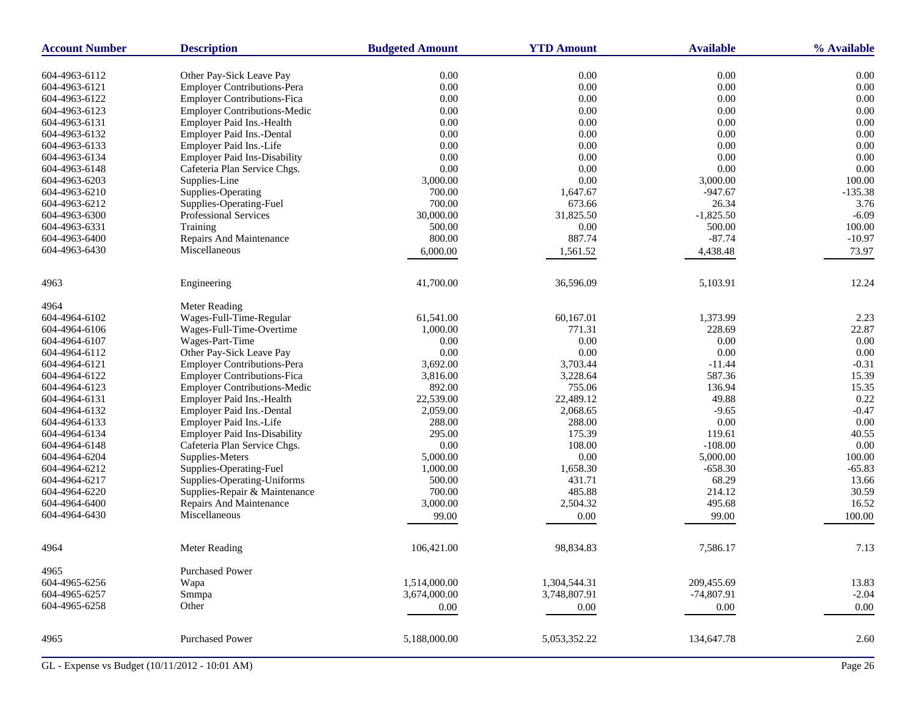| <b>Account Number</b> | <b>Description</b>                  | <b>Budgeted Amount</b> | <b>YTD Amount</b> | <b>Available</b> | % Available |
|-----------------------|-------------------------------------|------------------------|-------------------|------------------|-------------|
| 604-4963-6112         | Other Pay-Sick Leave Pay            | 0.00                   | $0.00\,$          | $0.00\,$         | 0.00        |
| 604-4963-6121         | <b>Employer Contributions-Pera</b>  | 0.00                   | $0.00\,$          | $0.00\,$         | 0.00        |
| 604-4963-6122         | <b>Employer Contributions-Fica</b>  | 0.00                   | 0.00              | 0.00             | 0.00        |
| 604-4963-6123         | <b>Employer Contributions-Medic</b> | 0.00                   | 0.00              | 0.00             | 0.00        |
| 604-4963-6131         | Employer Paid Ins.-Health           | 0.00                   | 0.00              | 0.00             | 0.00        |
| 604-4963-6132         | Employer Paid Ins.-Dental           | 0.00                   | 0.00              | 0.00             | 0.00        |
| 604-4963-6133         | Employer Paid Ins.-Life             | 0.00                   | $0.00\,$          | 0.00             | 0.00        |
| 604-4963-6134         | <b>Employer Paid Ins-Disability</b> | 0.00                   | 0.00              | 0.00             | 0.00        |
| 604-4963-6148         | Cafeteria Plan Service Chgs.        | 0.00                   | 0.00              | 0.00             | 0.00        |
| 604-4963-6203         | Supplies-Line                       | 3,000.00               | $0.00\,$          | 3,000.00         | 100.00      |
| 604-4963-6210         | Supplies-Operating                  | 700.00                 | 1,647.67          | $-947.67$        | $-135.38$   |
| 604-4963-6212         |                                     | 700.00                 | 673.66            | 26.34            | 3.76        |
|                       | Supplies-Operating-Fuel             |                        |                   |                  | $-6.09$     |
| 604-4963-6300         | Professional Services               | 30,000.00              | 31,825.50         | $-1,825.50$      |             |
| 604-4963-6331         | Training                            | 500.00                 | $0.00\,$          | 500.00           | 100.00      |
| 604-4963-6400         | Repairs And Maintenance             | 800.00                 | 887.74            | $-87.74$         | $-10.97$    |
| 604-4963-6430         | Miscellaneous                       | 6,000.00               | 1,561.52          | 4,438.48         | 73.97       |
| 4963                  | Engineering                         | 41,700.00              | 36,596.09         | 5,103.91         | 12.24       |
| 4964                  | Meter Reading                       |                        |                   |                  |             |
| 604-4964-6102         | Wages-Full-Time-Regular             | 61,541.00              | 60,167.01         | 1,373.99         | 2.23        |
| 604-4964-6106         | Wages-Full-Time-Overtime            | 1,000.00               | 771.31            | 228.69           | 22.87       |
| 604-4964-6107         | Wages-Part-Time                     | 0.00                   | 0.00              | 0.00             | 0.00        |
| 604-4964-6112         | Other Pay-Sick Leave Pay            | 0.00                   | $0.00\,$          | 0.00             | 0.00        |
| 604-4964-6121         | <b>Employer Contributions-Pera</b>  | 3,692.00               | 3,703.44          | $-11.44$         | $-0.31$     |
| 604-4964-6122         | <b>Employer Contributions-Fica</b>  | 3,816.00               | 3,228.64          | 587.36           | 15.39       |
| 604-4964-6123         | <b>Employer Contributions-Medic</b> | 892.00                 | 755.06            | 136.94           | 15.35       |
| 604-4964-6131         | Employer Paid Ins.-Health           | 22,539.00              | 22,489.12         | 49.88            | 0.22        |
| 604-4964-6132         | Employer Paid Ins.-Dental           | 2,059.00               | 2,068.65          | $-9.65$          | $-0.47$     |
| 604-4964-6133         | Employer Paid Ins.-Life             | 288.00                 | 288.00            | 0.00             | 0.00        |
| 604-4964-6134         | <b>Employer Paid Ins-Disability</b> | 295.00                 | 175.39            | 119.61           | 40.55       |
| 604-4964-6148         | Cafeteria Plan Service Chgs.        | 0.00                   | 108.00            | $-108.00$        | 0.00        |
| 604-4964-6204         | Supplies-Meters                     | 5,000.00               | $0.00\,$          | 5,000.00         | 100.00      |
| 604-4964-6212         | Supplies-Operating-Fuel             | 1,000.00               | 1,658.30          | $-658.30$        | $-65.83$    |
| 604-4964-6217         | Supplies-Operating-Uniforms         | 500.00                 | 431.71            | 68.29            | 13.66       |
| 604-4964-6220         | Supplies-Repair & Maintenance       | 700.00                 | 485.88            | 214.12           | 30.59       |
| 604-4964-6400         | Repairs And Maintenance             | 3,000.00               | 2,504.32          | 495.68           | 16.52       |
| 604-4964-6430         | Miscellaneous                       |                        | 0.00              | 99.00            | 100.00      |
|                       |                                     | 99.00                  |                   |                  |             |
| 4964                  | Meter Reading                       | 106,421.00             | 98,834.83         | 7,586.17         | 7.13        |
| 4965                  | <b>Purchased Power</b>              |                        |                   |                  |             |
| 604-4965-6256         | Wapa                                | 1,514,000.00           | 1,304,544.31      | 209,455.69       | 13.83       |
| 604-4965-6257         | Smmpa                               | 3,674,000.00           | 3,748,807.91      | $-74,807.91$     | $-2.04$     |
| 604-4965-6258         | Other                               | $0.00\,$               | $0.00\,$          | $0.00\,$         | 0.00        |
| 4965                  | <b>Purchased Power</b>              | 5,188,000.00           | 5,053,352.22      | 134,647.78       | 2.60        |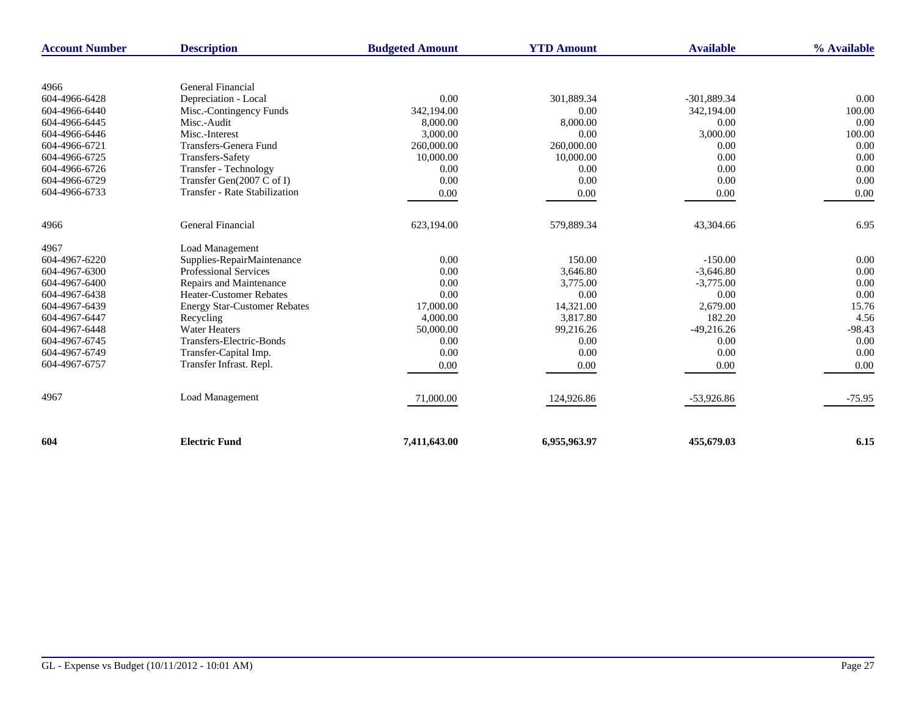| <b>Account Number</b> | <b>Description</b>                   | <b>Budgeted Amount</b> | <b>YTD Amount</b> | <b>Available</b> | % Available |
|-----------------------|--------------------------------------|------------------------|-------------------|------------------|-------------|
|                       |                                      |                        |                   |                  |             |
| 4966                  | <b>General Financial</b>             |                        |                   |                  |             |
| 604-4966-6428         | Depreciation - Local                 | 0.00                   | 301,889.34        | -301,889.34      | 0.00        |
| 604-4966-6440         | Misc.-Contingency Funds              | 342,194.00             | 0.00              | 342,194.00       | 100.00      |
| 604-4966-6445         | Misc.-Audit                          | 8,000.00               | 8,000.00          | 0.00             | 0.00        |
| 604-4966-6446         | Misc.-Interest                       | 3,000.00               | 0.00              | 3,000.00         | 100.00      |
| 604-4966-6721         | Transfers-Genera Fund                | 260,000.00             | 260,000.00        | 0.00             | 0.00        |
| 604-4966-6725         | <b>Transfers-Safety</b>              | 10,000.00              | 10,000.00         | 0.00             | 0.00        |
| 604-4966-6726         | Transfer - Technology                | 0.00                   | 0.00              | 0.00             | 0.00        |
| 604-4966-6729         | Transfer Gen(2007 C of I)            | 0.00                   | 0.00              | 0.00             | 0.00        |
| 604-4966-6733         | <b>Transfer - Rate Stabilization</b> | 0.00                   | 0.00              | 0.00             | 0.00        |
|                       |                                      |                        |                   |                  |             |
| 4966                  | <b>General Financial</b>             | 623,194.00             | 579,889.34        | 43,304.66        | 6.95        |
| 4967                  | <b>Load Management</b>               |                        |                   |                  |             |
| 604-4967-6220         | Supplies-RepairMaintenance           | 0.00                   | 150.00            | $-150.00$        | 0.00        |
| 604-4967-6300         | <b>Professional Services</b>         | 0.00                   | 3,646.80          | $-3,646.80$      | 0.00        |
| 604-4967-6400         | Repairs and Maintenance              | 0.00                   | 3,775.00          | $-3,775.00$      | 0.00        |
| 604-4967-6438         | Heater-Customer Rebates              | 0.00                   | 0.00              | 0.00             | 0.00        |
| 604-4967-6439         | <b>Energy Star-Customer Rebates</b>  | 17,000.00              | 14,321.00         | 2,679.00         | 15.76       |
| 604-4967-6447         | Recycling                            | 4,000.00               | 3,817.80          | 182.20           | 4.56        |
| 604-4967-6448         | <b>Water Heaters</b>                 | 50,000.00              | 99,216.26         | $-49,216.26$     | $-98.43$    |
| 604-4967-6745         | Transfers-Electric-Bonds             | 0.00                   | 0.00              | 0.00             | 0.00        |
| 604-4967-6749         | Transfer-Capital Imp.                | 0.00                   | 0.00              | 0.00             | 0.00        |
| 604-4967-6757         | Transfer Infrast. Repl.              | 0.00                   | 0.00              | 0.00             | 0.00        |
|                       |                                      |                        |                   |                  |             |
| 4967                  | <b>Load Management</b>               | 71,000.00              | 124,926.86        | $-53,926.86$     | $-75.95$    |
|                       |                                      |                        |                   |                  |             |
| 604                   | <b>Electric Fund</b>                 | 7,411,643.00           | 6,955,963.97      | 455,679.03       | 6.15        |
|                       |                                      |                        |                   |                  |             |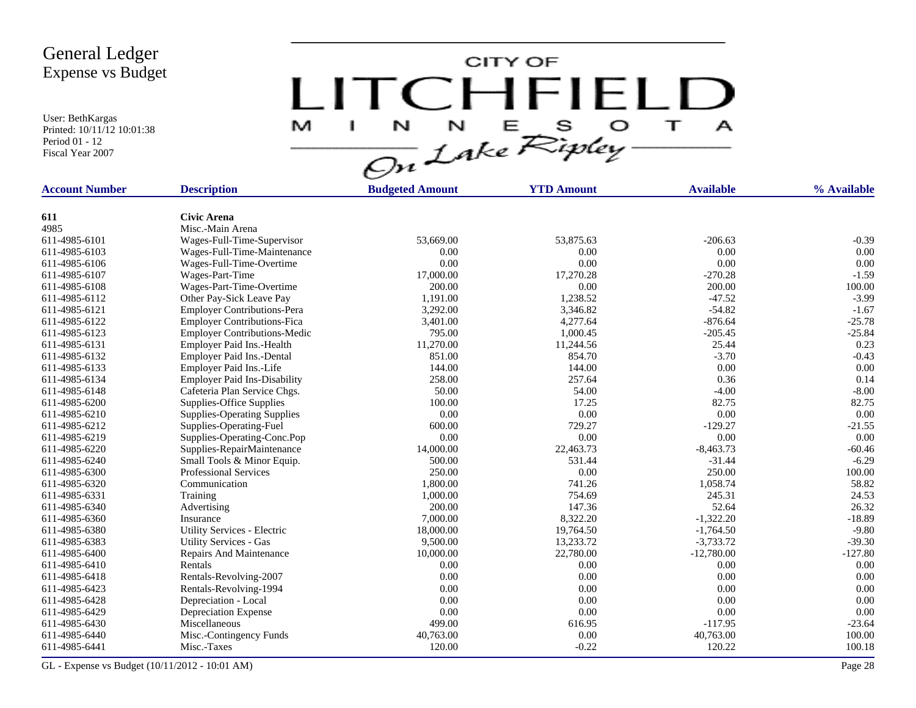User: BethKargas Printed: 10/11/12 10:01:38 Period 01 - 12 Fiscal Year 2007

LITCHFIELD

| <b>Account Number</b> | <b>Description</b>                  | <b>Budgeted Amount</b> | <b>YTD Amount</b> | <b>Available</b> | % Available     |
|-----------------------|-------------------------------------|------------------------|-------------------|------------------|-----------------|
|                       | <b>Civic Arena</b>                  |                        |                   |                  |                 |
| 611<br>4985           | Misc.-Main Arena                    |                        |                   |                  |                 |
| 611-4985-6101         | Wages-Full-Time-Supervisor          | 53,669.00              | 53,875.63         | $-206.63$        | $-0.39$         |
| 611-4985-6103         | Wages-Full-Time-Maintenance         | 0.00                   | 0.00              | 0.00             | 0.00            |
| 611-4985-6106         | Wages-Full-Time-Overtime            | 0.00                   | 0.00              | 0.00             | 0.00            |
| 611-4985-6107         | Wages-Part-Time                     | 17,000.00              | 17,270.28         | $-270.28$        | $-1.59$         |
| 611-4985-6108         | Wages-Part-Time-Overtime            | 200.00                 | 0.00              | 200.00           | 100.00          |
| 611-4985-6112         | Other Pay-Sick Leave Pay            | 1,191.00               | 1,238.52          | $-47.52$         | $-3.99$         |
| 611-4985-6121         | <b>Employer Contributions-Pera</b>  | 3,292.00               | 3,346.82          | $-54.82$         | $-1.67$         |
| 611-4985-6122         |                                     |                        | 4,277.64          | $-876.64$        | $-25.78$        |
| 611-4985-6123         | <b>Employer Contributions-Fica</b>  | 3,401.00<br>795.00     | 1,000.45          | $-205.45$        | $-25.84$        |
| 611-4985-6131         | <b>Employer Contributions-Medic</b> | 11,270.00              | 11,244.56         | 25.44            | 0.23            |
|                       | Employer Paid Ins.-Health           |                        |                   |                  |                 |
| 611-4985-6132         | Employer Paid Ins.-Dental           | 851.00<br>144.00       | 854.70            | $-3.70$          | $-0.43$<br>0.00 |
| 611-4985-6133         | Employer Paid Ins.-Life             |                        | 144.00            | 0.00             |                 |
| 611-4985-6134         | <b>Employer Paid Ins-Disability</b> | 258.00                 | 257.64            | 0.36             | 0.14            |
| 611-4985-6148         | Cafeteria Plan Service Chgs.        | 50.00                  | 54.00             | $-4.00$          | $-8.00$         |
| 611-4985-6200         | Supplies-Office Supplies            | 100.00                 | 17.25             | 82.75            | 82.75           |
| 611-4985-6210         | <b>Supplies-Operating Supplies</b>  | 0.00                   | 0.00              | 0.00             | 0.00            |
| 611-4985-6212         | Supplies-Operating-Fuel             | 600.00                 | 729.27            | $-129.27$        | $-21.55$        |
| 611-4985-6219         | Supplies-Operating-Conc.Pop         | 0.00                   | 0.00              | 0.00             | 0.00            |
| 611-4985-6220         | Supplies-RepairMaintenance          | 14,000.00              | 22,463.73         | $-8,463.73$      | $-60.46$        |
| 611-4985-6240         | Small Tools & Minor Equip.          | 500.00                 | 531.44            | $-31.44$         | $-6.29$         |
| 611-4985-6300         | <b>Professional Services</b>        | 250.00                 | 0.00              | 250.00           | 100.00          |
| 611-4985-6320         | Communication                       | 1,800.00               | 741.26            | 1,058.74         | 58.82           |
| 611-4985-6331         | Training                            | 1,000.00               | 754.69            | 245.31           | 24.53           |
| 611-4985-6340         | Advertising                         | 200.00                 | 147.36            | 52.64            | 26.32           |
| 611-4985-6360         | Insurance                           | 7,000.00               | 8,322.20          | $-1,322.20$      | $-18.89$        |
| 611-4985-6380         | Utility Services - Electric         | 18,000.00              | 19,764.50         | $-1,764.50$      | $-9.80$         |
| 611-4985-6383         | <b>Utility Services - Gas</b>       | 9,500.00               | 13,233.72         | $-3,733.72$      | $-39.30$        |
| 611-4985-6400         | <b>Repairs And Maintenance</b>      | 10,000.00              | 22,780.00         | $-12,780.00$     | $-127.80$       |
| 611-4985-6410         | Rentals                             | 0.00                   | 0.00              | 0.00             | 0.00            |
| 611-4985-6418         | Rentals-Revolving-2007              | 0.00                   | 0.00              | 0.00             | 0.00            |
| 611-4985-6423         | Rentals-Revolving-1994              | 0.00                   | 0.00              | 0.00             | 0.00            |
| 611-4985-6428         | Depreciation - Local                | 0.00                   | 0.00              | 0.00             | 0.00            |
| 611-4985-6429         | Depreciation Expense                | 0.00                   | 0.00              | 0.00             | 0.00            |
| 611-4985-6430         | Miscellaneous                       | 499.00                 | 616.95            | $-117.95$        | $-23.64$        |
| 611-4985-6440         | Misc.-Contingency Funds             | 40,763.00              | 0.00              | 40,763.00        | 100.00          |
| 611-4985-6441         | Misc.-Taxes                         | 120.00                 | $-0.22$           | 120.22           | 100.18          |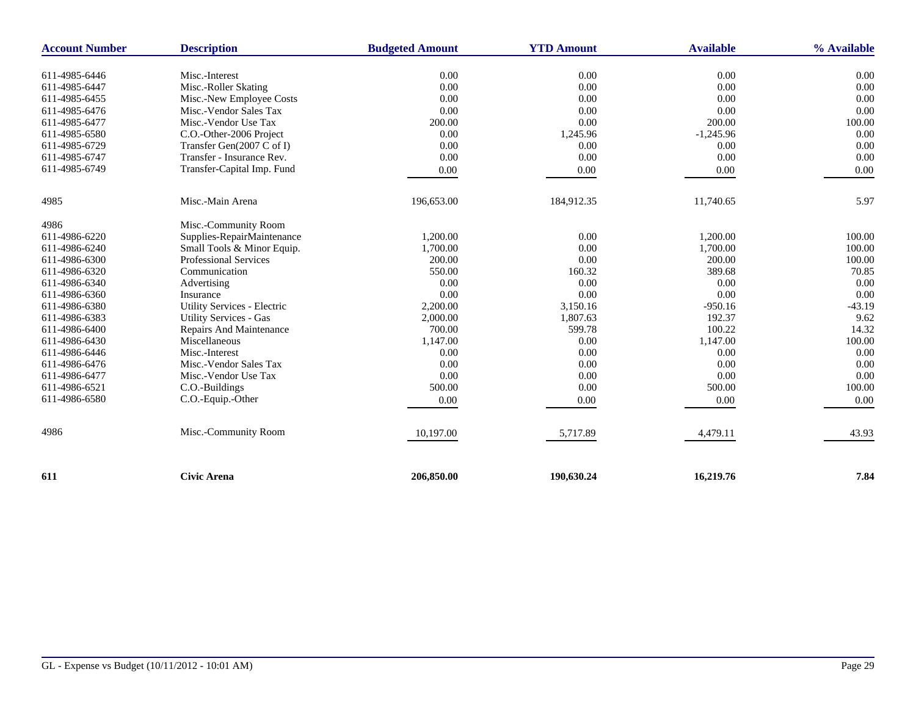| <b>Account Number</b> | <b>Description</b>            | <b>Budgeted Amount</b> | <b>YTD Amount</b> | <b>Available</b> | % Available |
|-----------------------|-------------------------------|------------------------|-------------------|------------------|-------------|
| 611-4985-6446         | Misc.-Interest                | 0.00                   | $0.00\,$          | 0.00             | 0.00        |
| 611-4985-6447         | Misc.-Roller Skating          | 0.00                   | 0.00              | 0.00             | 0.00        |
| 611-4985-6455         | Misc.-New Employee Costs      | 0.00                   | 0.00              | 0.00             | 0.00        |
| 611-4985-6476         | Misc.-Vendor Sales Tax        | 0.00                   | 0.00              | 0.00             | 0.00        |
| 611-4985-6477         | Misc.-Vendor Use Tax          | 200.00                 | 0.00              | 200.00           | 100.00      |
| 611-4985-6580         | C.O.-Other-2006 Project       | 0.00                   | 1,245.96          | $-1,245.96$      | 0.00        |
| 611-4985-6729         | Transfer Gen(2007 C of I)     | 0.00                   | 0.00              | 0.00             | 0.00        |
| 611-4985-6747         | Transfer - Insurance Rev.     | 0.00                   | 0.00              | 0.00             | 0.00        |
| 611-4985-6749         | Transfer-Capital Imp. Fund    | 0.00                   | 0.00              | $0.00\,$         | 0.00        |
| 4985                  | Misc.-Main Arena              | 196,653.00             | 184,912.35        | 11,740.65        | 5.97        |
| 4986                  | Misc.-Community Room          |                        |                   |                  |             |
| 611-4986-6220         | Supplies-RepairMaintenance    | 1,200.00               | 0.00              | 1.200.00         | 100.00      |
| 611-4986-6240         | Small Tools & Minor Equip.    | 1,700.00               | 0.00              | 1,700.00         | 100.00      |
| 611-4986-6300         | Professional Services         | 200.00                 | 0.00              | 200.00           | 100.00      |
| 611-4986-6320         | Communication                 | 550.00                 | 160.32            | 389.68           | 70.85       |
| 611-4986-6340         | Advertising                   | 0.00                   | 0.00              | 0.00             | 0.00        |
| 611-4986-6360         | Insurance                     | 0.00                   | 0.00              | 0.00             | 0.00        |
| 611-4986-6380         | Utility Services - Electric   | 2,200.00               | 3,150.16          | $-950.16$        | $-43.19$    |
| 611-4986-6383         | <b>Utility Services - Gas</b> | 2,000.00               | 1,807.63          | 192.37           | 9.62        |
| 611-4986-6400         | Repairs And Maintenance       | 700.00                 | 599.78            | 100.22           | 14.32       |
| 611-4986-6430         | Miscellaneous                 | 1,147.00               | 0.00              | 1,147.00         | 100.00      |
| 611-4986-6446         | Misc.-Interest                | 0.00                   | 0.00              | 0.00             | 0.00        |
| 611-4986-6476         | Misc.-Vendor Sales Tax        | 0.00                   | 0.00              | 0.00             | 0.00        |
| 611-4986-6477         | Misc.-Vendor Use Tax          | 0.00                   | 0.00              | 0.00             | 0.00        |
| 611-4986-6521         | C.O.-Buildings                | 500.00                 | 0.00              | 500.00           | 100.00      |
| 611-4986-6580         | C.O.-Equip.-Other             | 0.00                   | 0.00              | 0.00             | 0.00        |
| 4986                  | Misc.-Community Room          | 10,197.00              | 5,717.89          | 4,479.11         | 43.93       |
| 611                   | <b>Civic Arena</b>            | 206,850.00             | 190,630.24        | 16,219.76        | 7.84        |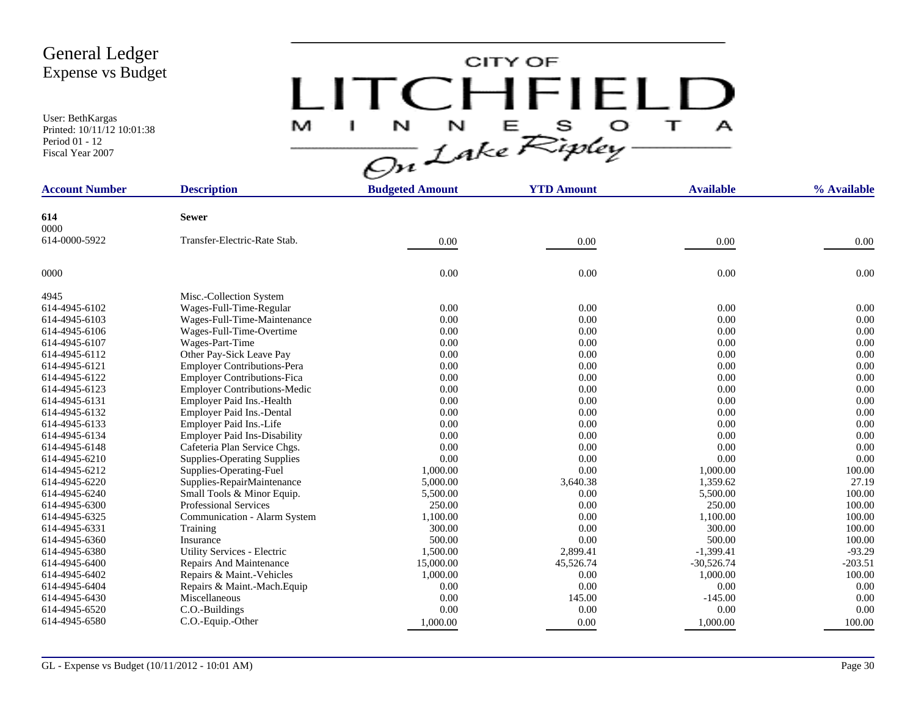User: BethKargas Printed: 10/11/12 10:01:38 Period 01 - 12 Fiscal Year 2007

| CITY OF                                                      |   |
|--------------------------------------------------------------|---|
| $\mathsf{C}^1$<br>HEIFL<br>$\overline{\mathbf{1}}$<br>M<br>I | А |
| $N$ $N$ $E$ $S$ $O$<br>On Lake Ripley-                       |   |

| <b>Account Number</b> | <b>Description</b>                  | <b>Budgeted Amount</b> | <b>YTD Amount</b> | <b>Available</b> | % Available |
|-----------------------|-------------------------------------|------------------------|-------------------|------------------|-------------|
|                       |                                     |                        |                   |                  |             |
| 614                   | <b>Sewer</b>                        |                        |                   |                  |             |
| 0000                  |                                     |                        |                   |                  |             |
| 614-0000-5922         | Transfer-Electric-Rate Stab.        | 0.00                   | 0.00              | $0.00\,$         | 0.00        |
| 0000                  |                                     | 0.00                   | 0.00              | 0.00             | 0.00        |
| 4945                  | Misc.-Collection System             |                        |                   |                  |             |
| 614-4945-6102         | Wages-Full-Time-Regular             | 0.00                   | 0.00              | 0.00             | 0.00        |
| 614-4945-6103         | Wages-Full-Time-Maintenance         | 0.00                   | 0.00              | 0.00             | 0.00        |
| 614-4945-6106         | Wages-Full-Time-Overtime            | 0.00                   | 0.00              | 0.00             | 0.00        |
| 614-4945-6107         | Wages-Part-Time                     | 0.00                   | 0.00              | 0.00             | 0.00        |
| 614-4945-6112         | Other Pay-Sick Leave Pay            | 0.00                   | 0.00              | 0.00             | 0.00        |
| 614-4945-6121         | <b>Employer Contributions-Pera</b>  | 0.00                   | 0.00              | 0.00             | 0.00        |
| 614-4945-6122         | <b>Employer Contributions-Fica</b>  | 0.00                   | 0.00              | 0.00             | 0.00        |
| 614-4945-6123         | <b>Employer Contributions-Medic</b> | 0.00                   | 0.00              | 0.00             | 0.00        |
| 614-4945-6131         | Employer Paid Ins.-Health           | 0.00                   | 0.00              | 0.00             | 0.00        |
| 614-4945-6132         | <b>Employer Paid Ins.-Dental</b>    | 0.00                   | 0.00              | 0.00             | 0.00        |
| 614-4945-6133         | Employer Paid Ins.-Life             | 0.00                   | 0.00              | 0.00             | 0.00        |
| 614-4945-6134         | Employer Paid Ins-Disability        | 0.00                   | 0.00              | 0.00             | 0.00        |
| 614-4945-6148         | Cafeteria Plan Service Chgs.        | 0.00                   | 0.00              | 0.00             | 0.00        |
| 614-4945-6210         | <b>Supplies-Operating Supplies</b>  | 0.00                   | 0.00              | 0.00             | 0.00        |
| 614-4945-6212         | Supplies-Operating-Fuel             | 1,000.00               | 0.00              | 1,000.00         | 100.00      |
| 614-4945-6220         | Supplies-RepairMaintenance          | 5,000.00               | 3,640.38          | 1,359.62         | 27.19       |
| 614-4945-6240         | Small Tools & Minor Equip.          | 5,500.00               | 0.00              | 5,500.00         | 100.00      |
| 614-4945-6300         | <b>Professional Services</b>        | 250.00                 | 0.00              | 250.00           | 100.00      |
| 614-4945-6325         | Communication - Alarm System        | 1,100.00               | 0.00              | 1,100.00         | 100.00      |
| 614-4945-6331         | Training                            | 300.00                 | 0.00              | 300.00           | 100.00      |
| 614-4945-6360         | Insurance                           | 500.00                 | 0.00              | 500.00           | 100.00      |
| 614-4945-6380         | Utility Services - Electric         | 1,500.00               | 2,899.41          | $-1,399.41$      | $-93.29$    |
| 614-4945-6400         | Repairs And Maintenance             | 15,000.00              | 45,526.74         | $-30,526.74$     | $-203.51$   |
| 614-4945-6402         | Repairs & Maint.-Vehicles           | 1,000.00               | 0.00              | 1,000.00         | 100.00      |
| 614-4945-6404         | Repairs & Maint.-Mach. Equip        | 0.00                   | 0.00              | 0.00             | 0.00        |
| 614-4945-6430         | Miscellaneous                       | 0.00                   | 145.00            | $-145.00$        | 0.00        |
| 614-4945-6520         | C.O.-Buildings                      | 0.00                   | 0.00              | 0.00             | 0.00        |
| 614-4945-6580         | C.O.-Equip.-Other                   | 1,000.00               | 0.00              | 1,000.00         | 100.00      |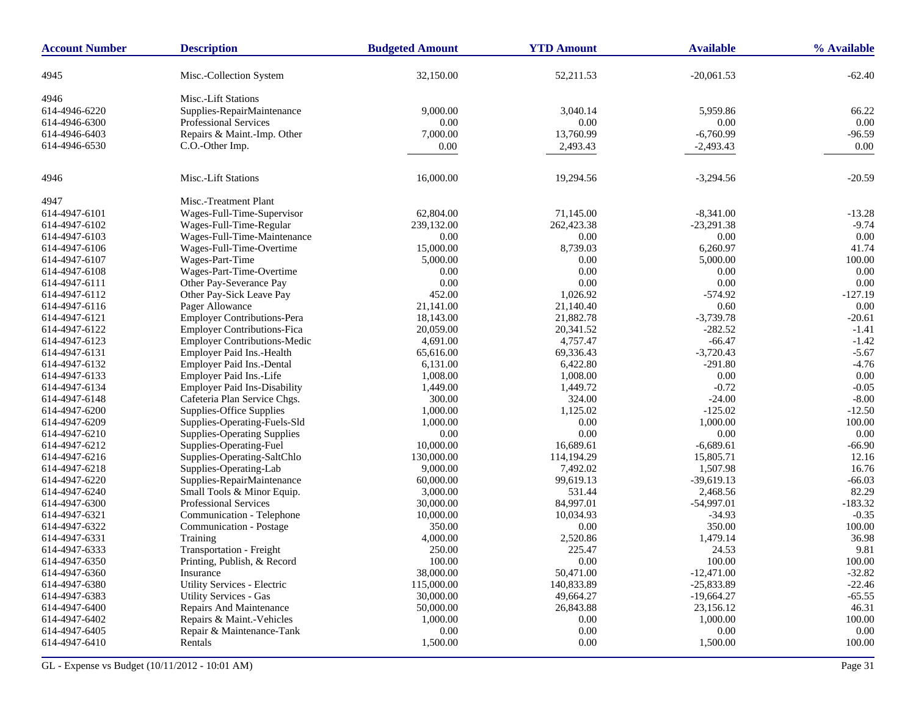| <b>Account Number</b> | <b>Description</b>                  | <b>Budgeted Amount</b> | <b>YTD Amount</b> | <b>Available</b> | % Available |
|-----------------------|-------------------------------------|------------------------|-------------------|------------------|-------------|
| 4945                  | Misc.-Collection System             | 32,150.00              | 52,211.53         | $-20,061.53$     | $-62.40$    |
| 4946                  | Misc.-Lift Stations                 |                        |                   |                  |             |
| 614-4946-6220         | Supplies-RepairMaintenance          | 9,000.00               | 3,040.14          | 5,959.86         | 66.22       |
| 614-4946-6300         | <b>Professional Services</b>        | 0.00                   | 0.00              | 0.00             | 0.00        |
| 614-4946-6403         | Repairs & Maint.-Imp. Other         | 7,000.00               | 13,760.99         | $-6,760.99$      | $-96.59$    |
| 614-4946-6530         | C.O.-Other Imp.                     | 0.00                   | 2,493.43          | $-2,493.43$      | 0.00        |
| 4946                  | Misc.-Lift Stations                 | 16,000.00              | 19,294.56         | $-3,294.56$      | $-20.59$    |
| 4947                  | Misc.-Treatment Plant               |                        |                   |                  |             |
| 614-4947-6101         | Wages-Full-Time-Supervisor          | 62,804.00              | 71,145.00         | $-8,341.00$      | $-13.28$    |
| 614-4947-6102         | Wages-Full-Time-Regular             | 239,132.00             | 262,423.38        | $-23,291.38$     | $-9.74$     |
| 614-4947-6103         | Wages-Full-Time-Maintenance         | 0.00                   | 0.00              | 0.00             | 0.00        |
| 614-4947-6106         | Wages-Full-Time-Overtime            | 15,000.00              | 8,739.03          | 6,260.97         | 41.74       |
| 614-4947-6107         | Wages-Part-Time                     | 5,000.00               | 0.00              | 5,000.00         | 100.00      |
| 614-4947-6108         | Wages-Part-Time-Overtime            | 0.00                   | 0.00              | 0.00             | 0.00        |
| 614-4947-6111         | Other Pay-Severance Pay             | 0.00                   | 0.00              | $0.00\,$         | 0.00        |
| 614-4947-6112         | Other Pay-Sick Leave Pay            | 452.00                 | 1,026.92          | $-574.92$        | $-127.19$   |
| 614-4947-6116         | Pager Allowance                     | 21,141.00              | 21,140.40         | 0.60             | 0.00        |
| 614-4947-6121         | Employer Contributions-Pera         | 18,143.00              | 21,882.78         | $-3,739.78$      | $-20.61$    |
| 614-4947-6122         | <b>Employer Contributions-Fica</b>  | 20,059.00              | 20,341.52         | $-282.52$        | $-1.41$     |
| 614-4947-6123         | <b>Employer Contributions-Medic</b> | 4,691.00               | 4,757.47          | $-66.47$         | $-1.42$     |
| 614-4947-6131         | Employer Paid Ins.-Health           | 65,616.00              | 69,336.43         | $-3,720.43$      | $-5.67$     |
| 614-4947-6132         | Employer Paid Ins.-Dental           | 6,131.00               | 6,422.80          | $-291.80$        | $-4.76$     |
| 614-4947-6133         | Employer Paid Ins.-Life             | 1,008.00               | 1,008.00          | 0.00             | 0.00        |
| 614-4947-6134         | <b>Employer Paid Ins-Disability</b> | 1,449.00               | 1,449.72          | $-0.72$          | $-0.05$     |
| 614-4947-6148         | Cafeteria Plan Service Chgs.        | 300.00                 | 324.00            | $-24.00$         | $-8.00$     |
| 614-4947-6200         | Supplies-Office Supplies            | 1,000.00               | 1,125.02          | $-125.02$        | $-12.50$    |
| 614-4947-6209         | Supplies-Operating-Fuels-Sld        | 1,000.00               | 0.00              | 1,000.00         | 100.00      |
| 614-4947-6210         | <b>Supplies-Operating Supplies</b>  | 0.00                   | 0.00              | 0.00             | 0.00        |
| 614-4947-6212         | Supplies-Operating-Fuel             | 10,000.00              | 16,689.61         | $-6,689.61$      | $-66.90$    |
| 614-4947-6216         | Supplies-Operating-SaltChlo         | 130,000.00             | 114,194.29        | 15,805.71        | 12.16       |
| 614-4947-6218         | Supplies-Operating-Lab              | 9,000.00               | 7,492.02          | 1,507.98         | 16.76       |
| 614-4947-6220         | Supplies-RepairMaintenance          | 60,000.00              | 99,619.13         | $-39,619.13$     | $-66.03$    |
| 614-4947-6240         | Small Tools & Minor Equip.          | 3,000.00               | 531.44            | 2.468.56         | 82.29       |
| 614-4947-6300         | Professional Services               | 30,000.00              | 84,997.01         | $-54,997.01$     | $-183.32$   |
| 614-4947-6321         | Communication - Telephone           | 10,000.00              | 10,034.93         | $-34.93$         | $-0.35$     |
| 614-4947-6322         | Communication - Postage             | 350.00                 | 0.00              | 350.00           | 100.00      |
| 614-4947-6331         | Training                            | 4,000.00               | 2,520.86          | 1,479.14         | 36.98       |
| 614-4947-6333         | Transportation - Freight            | 250.00                 | 225.47            | 24.53            | 9.81        |
| 614-4947-6350         | Printing, Publish, & Record         | 100.00                 | 0.00              | 100.00           | 100.00      |
| 614-4947-6360         | Insurance                           | 38,000.00              | 50,471.00         | $-12,471.00$     | $-32.82$    |
| 614-4947-6380         | Utility Services - Electric         | 115,000.00             | 140,833.89        | $-25,833.89$     | $-22.46$    |
| 614-4947-6383         | <b>Utility Services - Gas</b>       | 30,000.00              | 49,664.27         | $-19,664.27$     | $-65.55$    |
| 614-4947-6400         | <b>Repairs And Maintenance</b>      | 50,000.00              | 26,843.88         | 23,156.12        | 46.31       |
| 614-4947-6402         | Repairs & Maint.-Vehicles           | 1,000.00               | 0.00              | 1,000.00         | 100.00      |
| 614-4947-6405         | Repair & Maintenance-Tank           | 0.00                   | 0.00              | $0.00\,$         | 0.00        |
| 614-4947-6410         | Rentals                             | 1,500.00               | $0.00\,$          | 1,500.00         | 100.00      |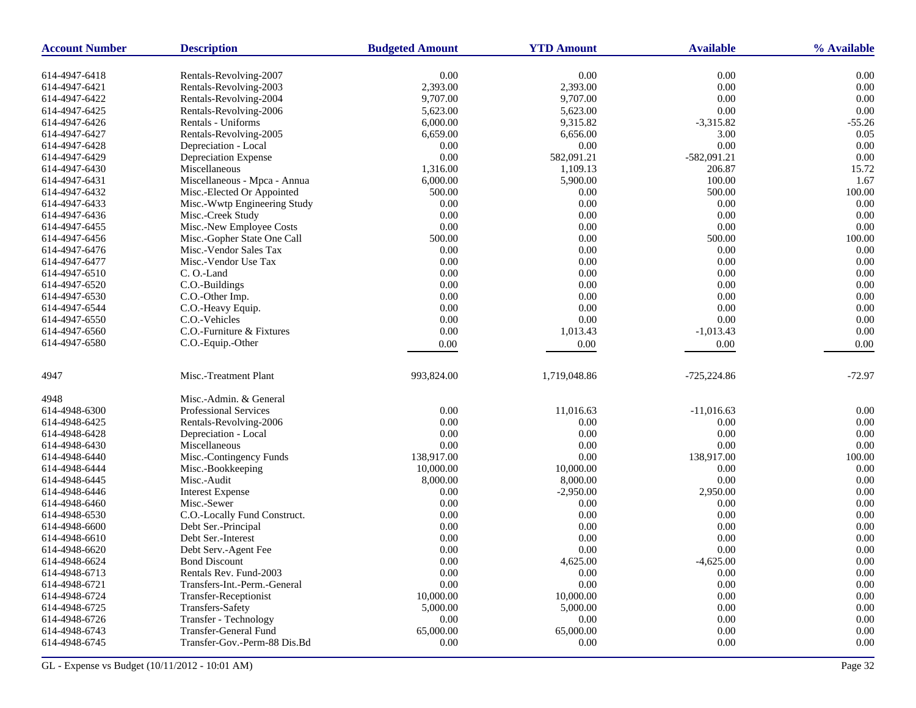| <b>Account Number</b> | <b>Description</b>           | <b>Budgeted Amount</b> | <b>YTD Amount</b> | <b>Available</b> | % Available |
|-----------------------|------------------------------|------------------------|-------------------|------------------|-------------|
| 614-4947-6418         | Rentals-Revolving-2007       | 0.00                   | 0.00              | 0.00             | 0.00        |
| 614-4947-6421         | Rentals-Revolving-2003       | 2,393.00               | 2,393.00          | 0.00             | 0.00        |
| 614-4947-6422         | Rentals-Revolving-2004       | 9,707.00               | 9,707.00          | 0.00             | 0.00        |
| 614-4947-6425         | Rentals-Revolving-2006       | 5,623.00               | 5,623.00          | 0.00             | 0.00        |
| 614-4947-6426         | Rentals - Uniforms           | 6,000.00               | 9,315.82          | $-3,315.82$      | $-55.26$    |
| 614-4947-6427         | Rentals-Revolving-2005       | 6,659.00               | 6,656.00          | 3.00             | 0.05        |
| 614-4947-6428         | Depreciation - Local         | 0.00                   | 0.00              | 0.00             | 0.00        |
| 614-4947-6429         | Depreciation Expense         | 0.00                   | 582,091.21        | $-582,091.21$    | 0.00        |
| 614-4947-6430         | Miscellaneous                | 1,316.00               | 1,109.13          | 206.87           | 15.72       |
| 614-4947-6431         | Miscellaneous - Mpca - Annua | 6,000.00               | 5,900.00          | 100.00           | 1.67        |
| 614-4947-6432         | Misc.-Elected Or Appointed   | 500.00                 | 0.00              | 500.00           | 100.00      |
| 614-4947-6433         | Misc.-Wwtp Engineering Study | 0.00                   | $0.00\,$          | 0.00             | $0.00\,$    |
| 614-4947-6436         | Misc.-Creek Study            | 0.00                   | $0.00\,$          | 0.00             | 0.00        |
| 614-4947-6455         | Misc.-New Employee Costs     | 0.00                   | $0.00\,$          | 0.00             | 0.00        |
| 614-4947-6456         | Misc.-Gopher State One Call  | 500.00                 | 0.00              | 500.00           | 100.00      |
| 614-4947-6476         | Misc.-Vendor Sales Tax       | 0.00                   | 0.00              | 0.00             | 0.00        |
| 614-4947-6477         | Misc.-Vendor Use Tax         | 0.00                   | 0.00              | 0.00             | 0.00        |
| 614-4947-6510         | C.O.-Land                    | 0.00                   | 0.00              | 0.00             | 0.00        |
| 614-4947-6520         | C.O.-Buildings               | 0.00                   | 0.00              | 0.00             | 0.00        |
| 614-4947-6530         | C.O.-Other Imp.              | 0.00                   | 0.00              | 0.00             | 0.00        |
| 614-4947-6544         | C.O.-Heavy Equip.            | 0.00                   | 0.00              | 0.00             | 0.00        |
| 614-4947-6550         | C.O.-Vehicles                | 0.00                   | 0.00              | 0.00             | 0.00        |
| 614-4947-6560         | C.O.-Furniture & Fixtures    | 0.00                   | 1,013.43          | $-1,013.43$      | 0.00        |
| 614-4947-6580         | C.O.-Equip.-Other            | 0.00                   | 0.00              | 0.00             | 0.00        |
|                       |                              |                        |                   |                  |             |
| 4947                  | Misc.-Treatment Plant        | 993,824.00             | 1,719,048.86      | $-725,224.86$    | $-72.97$    |
| 4948                  | Misc.-Admin. & General       |                        |                   |                  |             |
| 614-4948-6300         | Professional Services        | 0.00                   | 11,016.63         | $-11,016.63$     | 0.00        |
| 614-4948-6425         | Rentals-Revolving-2006       | 0.00                   | 0.00              | 0.00             | 0.00        |
| 614-4948-6428         | Depreciation - Local         | 0.00                   | 0.00              | 0.00             | 0.00        |
| 614-4948-6430         | Miscellaneous                | 0.00                   | 0.00              | 0.00             | 0.00        |
| 614-4948-6440         | Misc.-Contingency Funds      | 138,917.00             | 0.00              | 138,917.00       | 100.00      |
| 614-4948-6444         | Misc.-Bookkeeping            | 10,000.00              | 10,000.00         | 0.00             | 0.00        |
| 614-4948-6445         | Misc.-Audit                  | 8,000.00               | 8,000.00          | 0.00             | 0.00        |
| 614-4948-6446         | <b>Interest Expense</b>      | 0.00                   | $-2,950.00$       | 2,950.00         | 0.00        |
| 614-4948-6460         | Misc.-Sewer                  | 0.00                   | 0.00              | 0.00             | 0.00        |
| 614-4948-6530         | C.O.-Locally Fund Construct. | 0.00                   | 0.00              | 0.00             | 0.00        |
| 614-4948-6600         | Debt Ser.-Principal          | 0.00                   | 0.00              | 0.00             | 0.00        |
| 614-4948-6610         | Debt Ser.-Interest           | 0.00                   | 0.00              | 0.00             | 0.00        |
| 614-4948-6620         | Debt Serv.-Agent Fee         | 0.00                   | 0.00              | 0.00             | 0.00        |
| 614-4948-6624         | <b>Bond Discount</b>         | 0.00                   | 4,625.00          | $-4,625.00$      | 0.00        |
| 614-4948-6713         | Rentals Rev. Fund-2003       | 0.00                   | 0.00              | 0.00             | 0.00        |
| 614-4948-6721         | Transfers-Int.-Perm.-General | 0.00                   | $0.00\,$          | 0.00             | 0.00        |
| 614-4948-6724         | Transfer-Receptionist        | 10,000.00              | 10,000.00         | 0.00             | 0.00        |
| 614-4948-6725         | Transfers-Safety             | 5,000.00               | 5,000.00          | 0.00             | 0.00        |
| 614-4948-6726         | Transfer - Technology        | 0.00                   | 0.00              | 0.00             | $0.00\,$    |
| 614-4948-6743         | Transfer-General Fund        | 65,000.00              | 65,000.00         | 0.00             | 0.00        |
| 614-4948-6745         | Transfer-Gov.-Perm-88 Dis.Bd | 0.00                   | 0.00              | 0.00             | 0.00        |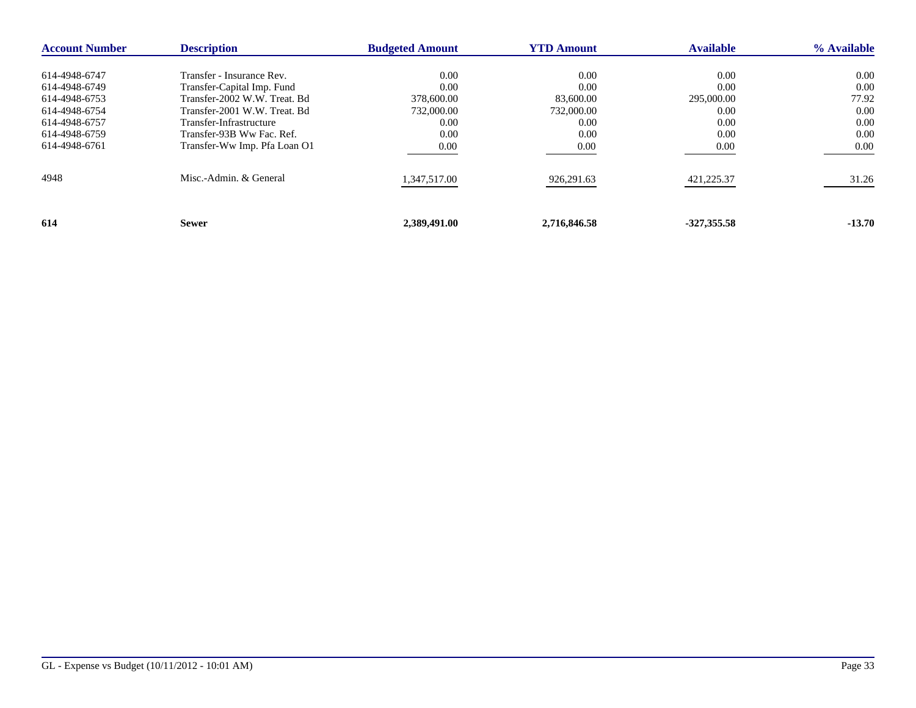| <b>Account Number</b> | <b>Description</b>           | <b>Budgeted Amount</b> | <b>YTD Amount</b> | <b>Available</b> | % Available |
|-----------------------|------------------------------|------------------------|-------------------|------------------|-------------|
| 614-4948-6747         | Transfer - Insurance Rev.    | 0.00                   | 0.00              | 0.00             | $0.00\,$    |
| 614-4948-6749         | Transfer-Capital Imp. Fund   | 0.00                   | 0.00              | 0.00             | 0.00        |
| 614-4948-6753         | Transfer-2002 W.W. Treat. Bd | 378,600.00             | 83,600.00         | 295,000.00       | 77.92       |
| 614-4948-6754         | Transfer-2001 W.W. Treat. Bd | 732,000.00             | 732,000.00        | 0.00             | 0.00        |
| 614-4948-6757         | Transfer-Infrastructure      | 0.00                   | 0.00              | 0.00             | 0.00        |
| 614-4948-6759         | Transfer-93B Ww Fac. Ref.    | 0.00                   | 0.00              | 0.00             | 0.00        |
| 614-4948-6761         | Transfer-Ww Imp. Pfa Loan O1 | 0.00                   | 0.00              | 0.00             | 0.00        |
| 4948                  | Misc.-Admin. & General       | 1,347,517.00           | 926,291.63        | 421,225.37       | 31.26       |
| 614                   | <b>Sewer</b>                 | 2,389,491.00           | 2,716,846.58      | $-327,355.58$    | $-13.70$    |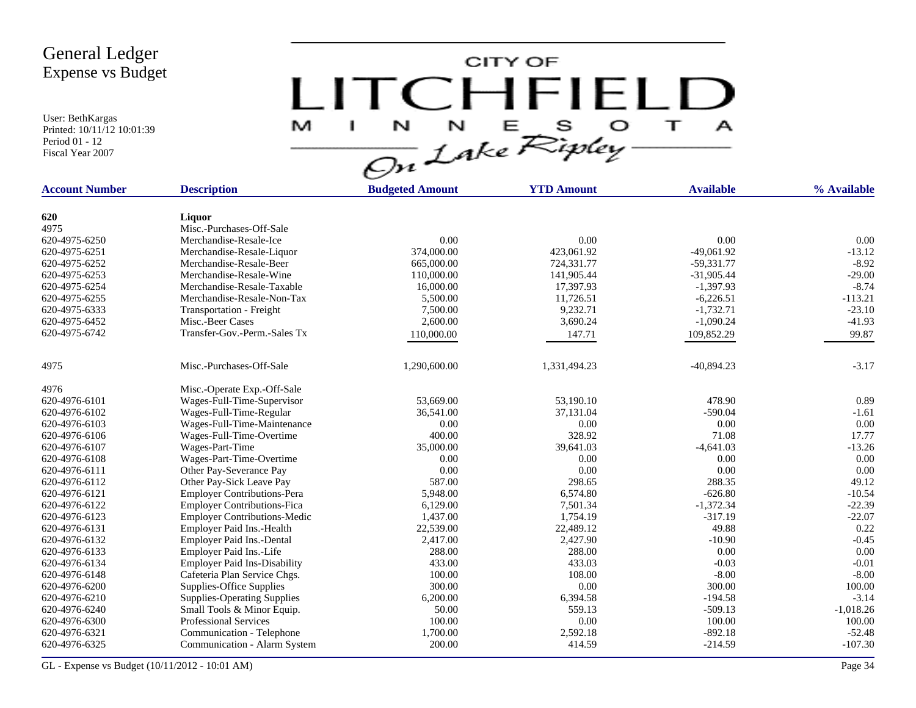User: BethKargas Printed: 10/11/12 10:01:39 Period 01 - 12 Fiscal Year 2007

 $LITCHTFIELD<sub>a</sub>  
\n $\frac{M-T}{\sqrt{2n}}\frac{1}{2abc}\sum_{k}^{N}E_{k}^{S}D_{k}^{S} + \frac{1}{2}$$ 

| <b>Account Number</b> | <b>Description</b>                  | <b>Budgeted Amount</b> | <b>YTD Amount</b> | <b>Available</b> | % Available |
|-----------------------|-------------------------------------|------------------------|-------------------|------------------|-------------|
|                       |                                     |                        |                   |                  |             |
| 620                   | Liquor                              |                        |                   |                  |             |
| 4975                  | Misc.-Purchases-Off-Sale            |                        |                   |                  |             |
| 620-4975-6250         | Merchandise-Resale-Ice              | 0.00                   | 0.00              | 0.00             | 0.00        |
| 620-4975-6251         | Merchandise-Resale-Liquor           | 374,000.00             | 423,061.92        | $-49,061.92$     | $-13.12$    |
| 620-4975-6252         | Merchandise-Resale-Beer             | 665,000.00             | 724,331.77        | $-59,331.77$     | $-8.92$     |
| 620-4975-6253         | Merchandise-Resale-Wine             | 110,000.00             | 141,905.44        | $-31,905.44$     | $-29.00$    |
| 620-4975-6254         | Merchandise-Resale-Taxable          | 16,000.00              | 17,397.93         | $-1,397.93$      | $-8.74$     |
| 620-4975-6255         | Merchandise-Resale-Non-Tax          | 5,500.00               | 11,726.51         | $-6,226.51$      | $-113.21$   |
| 620-4975-6333         | <b>Transportation - Freight</b>     | 7,500.00               | 9,232.71          | $-1,732.71$      | $-23.10$    |
| 620-4975-6452         | Misc.-Beer Cases                    | 2,600.00               | 3,690.24          | $-1,090.24$      | $-41.93$    |
| 620-4975-6742         | Transfer-Gov.-Perm.-Sales Tx        | 110,000.00             | 147.71            | 109,852.29       | 99.87       |
| 4975                  | Misc.-Purchases-Off-Sale            | 1,290,600.00           | 1,331,494.23      | $-40,894.23$     | $-3.17$     |
|                       |                                     |                        |                   |                  |             |
| 4976                  | Misc.-Operate Exp.-Off-Sale         |                        |                   |                  |             |
| 620-4976-6101         | Wages-Full-Time-Supervisor          | 53,669.00              | 53,190.10         | 478.90           | 0.89        |
| 620-4976-6102         | Wages-Full-Time-Regular             | 36,541.00              | 37.131.04         | $-590.04$        | $-1.61$     |
| 620-4976-6103         | Wages-Full-Time-Maintenance         | 0.00                   | 0.00              | 0.00             | 0.00        |
| 620-4976-6106         | Wages-Full-Time-Overtime            | 400.00                 | 328.92            | 71.08            | 17.77       |
| 620-4976-6107         | Wages-Part-Time                     | 35,000.00              | 39,641.03         | $-4,641.03$      | $-13.26$    |
| 620-4976-6108         | Wages-Part-Time-Overtime            | 0.00                   | 0.00              | 0.00             | 0.00        |
| 620-4976-6111         | Other Pay-Severance Pay             | 0.00                   | 0.00              | 0.00             | 0.00        |
| 620-4976-6112         | Other Pay-Sick Leave Pay            | 587.00                 | 298.65            | 288.35           | 49.12       |
| 620-4976-6121         | <b>Employer Contributions-Pera</b>  | 5,948.00               | 6,574.80          | $-626.80$        | $-10.54$    |
| 620-4976-6122         | <b>Employer Contributions-Fica</b>  | 6,129.00               | 7,501.34          | $-1,372.34$      | $-22.39$    |
| 620-4976-6123         | <b>Employer Contributions-Medic</b> | 1,437.00               | 1,754.19          | $-317.19$        | $-22.07$    |
| 620-4976-6131         | Employer Paid Ins.-Health           | 22,539.00              | 22,489.12         | 49.88            | 0.22        |
| 620-4976-6132         | Employer Paid Ins.-Dental           | 2,417.00               | 2,427.90          | $-10.90$         | $-0.45$     |
| 620-4976-6133         | Employer Paid Ins.-Life             | 288.00                 | 288.00            | $0.00\,$         | 0.00        |
| 620-4976-6134         | <b>Employer Paid Ins-Disability</b> | 433.00                 | 433.03            | $-0.03$          | $-0.01$     |
| 620-4976-6148         | Cafeteria Plan Service Chgs.        | 100.00                 | 108.00            | $-8.00$          | $-8.00$     |
| 620-4976-6200         | Supplies-Office Supplies            | 300.00                 | 0.00              | 300.00           | 100.00      |
| 620-4976-6210         | <b>Supplies-Operating Supplies</b>  | 6,200.00               | 6,394.58          | $-194.58$        | $-3.14$     |
| 620-4976-6240         | Small Tools & Minor Equip.          | 50.00                  | 559.13            | $-509.13$        | $-1,018.26$ |
| 620-4976-6300         | <b>Professional Services</b>        | 100.00                 | 0.00              | 100.00           | 100.00      |
| 620-4976-6321         | Communication - Telephone           | 1,700.00               | 2,592.18          | $-892.18$        | $-52.48$    |
| 620-4976-6325         | Communication - Alarm System        | 200.00                 | 414.59            | $-214.59$        | $-107.30$   |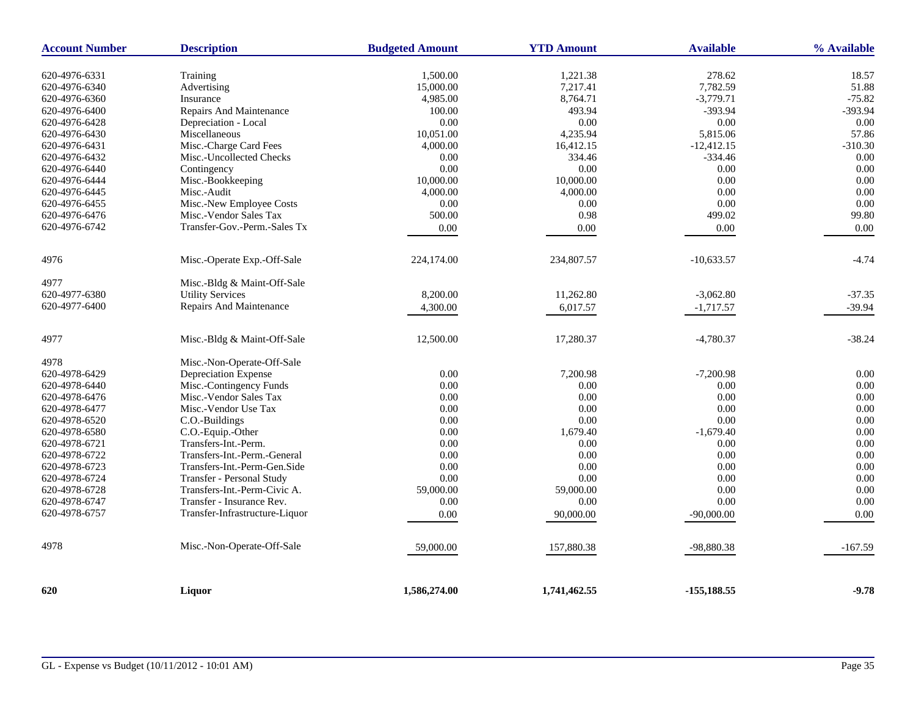| <b>Account Number</b> | <b>Description</b>             | <b>Budgeted Amount</b> | <b>YTD Amount</b> | <b>Available</b> | % Available |
|-----------------------|--------------------------------|------------------------|-------------------|------------------|-------------|
| 620-4976-6331         | Training                       | 1,500.00               | 1,221.38          | 278.62           | 18.57       |
| 620-4976-6340         | Advertising                    | 15,000.00              | 7,217.41          | 7,782.59         | 51.88       |
| 620-4976-6360         | Insurance                      | 4,985.00               | 8,764.71          | $-3,779.71$      | $-75.82$    |
| 620-4976-6400         | Repairs And Maintenance        | 100.00                 | 493.94            | -393.94          | $-393.94$   |
| 620-4976-6428         | Depreciation - Local           | 0.00                   | 0.00              | 0.00             | 0.00        |
| 620-4976-6430         | Miscellaneous                  | 10,051.00              | 4,235.94          | 5,815.06         | 57.86       |
| 620-4976-6431         | Misc.-Charge Card Fees         | 4,000.00               | 16,412.15         | $-12,412.15$     | $-310.30$   |
| 620-4976-6432         | Misc.-Uncollected Checks       | 0.00                   | 334.46            | $-334.46$        | 0.00        |
| 620-4976-6440         | Contingency                    | 0.00                   | $0.00\,$          | $0.00\,$         | 0.00        |
| 620-4976-6444         | Misc.-Bookkeeping              | 10,000.00              | 10,000.00         | 0.00             | 0.00        |
|                       |                                |                        |                   | 0.00             | 0.00        |
| 620-4976-6445         | Misc.-Audit                    | 4,000.00               | 4,000.00          |                  |             |
| 620-4976-6455         | Misc.-New Employee Costs       | 0.00                   | 0.00              | 0.00             | 0.00        |
| 620-4976-6476         | Misc.-Vendor Sales Tax         | 500.00                 | 0.98              | 499.02           | 99.80       |
| 620-4976-6742         | Transfer-Gov.-Perm.-Sales Tx   | $0.00\,$               | 0.00              | 0.00             | 0.00        |
| 4976                  | Misc.-Operate Exp.-Off-Sale    | 224,174.00             | 234,807.57        | $-10,633.57$     | $-4.74$     |
| 4977                  | Misc.-Bldg & Maint-Off-Sale    |                        |                   |                  |             |
| 620-4977-6380         | <b>Utility Services</b>        | 8,200.00               | 11,262.80         | $-3,062.80$      | $-37.35$    |
| 620-4977-6400         | Repairs And Maintenance        | 4,300.00               | 6,017.57          | $-1,717.57$      | $-39.94$    |
| 4977                  | Misc.-Bldg & Maint-Off-Sale    | 12,500.00              | 17,280.37         | $-4,780.37$      | $-38.24$    |
| 4978                  | Misc.-Non-Operate-Off-Sale     |                        |                   |                  |             |
| 620-4978-6429         | Depreciation Expense           | 0.00                   | 7,200.98          | $-7,200.98$      | 0.00        |
| 620-4978-6440         | Misc.-Contingency Funds        | 0.00                   | 0.00              | 0.00             | 0.00        |
| 620-4978-6476         | Misc.-Vendor Sales Tax         | 0.00                   | 0.00              | 0.00             | 0.00        |
| 620-4978-6477         | Misc.-Vendor Use Tax           | 0.00                   | 0.00              | $0.00\,$         | 0.00        |
| 620-4978-6520         | C.O.-Buildings                 | 0.00                   | 0.00              | $0.00\,$         | 0.00        |
| 620-4978-6580         | C.O.-Equip.-Other              | 0.00                   | 1,679.40          | $-1,679.40$      | 0.00        |
| 620-4978-6721         | Transfers-Int.-Perm.           | 0.00                   | 0.00              | 0.00             | 0.00        |
| 620-4978-6722         | Transfers-Int.-Perm.-General   | 0.00                   | 0.00              | 0.00             | 0.00        |
| 620-4978-6723         | Transfers-Int.-Perm-Gen.Side   | 0.00                   | 0.00              | 0.00             | 0.00        |
| 620-4978-6724         | Transfer - Personal Study      | 0.00                   | 0.00              | 0.00             | 0.00        |
| 620-4978-6728         | Transfers-Int.-Perm-Civic A.   | 59,000.00              | 59,000.00         | 0.00             | 0.00        |
| 620-4978-6747         | Transfer - Insurance Rev.      | 0.00                   | $0.00\,$          | 0.00             | 0.00        |
| 620-4978-6757         | Transfer-Infrastructure-Liquor | 0.00                   | 90,000.00         | $-90,000.00$     | 0.00        |
| 4978                  | Misc.-Non-Operate-Off-Sale     | 59,000.00              | 157,880.38        | -98,880.38       | $-167.59$   |
| 620                   | Liquor                         | 1,586,274.00           | 1,741,462.55      | $-155,188.55$    | $-9.78$     |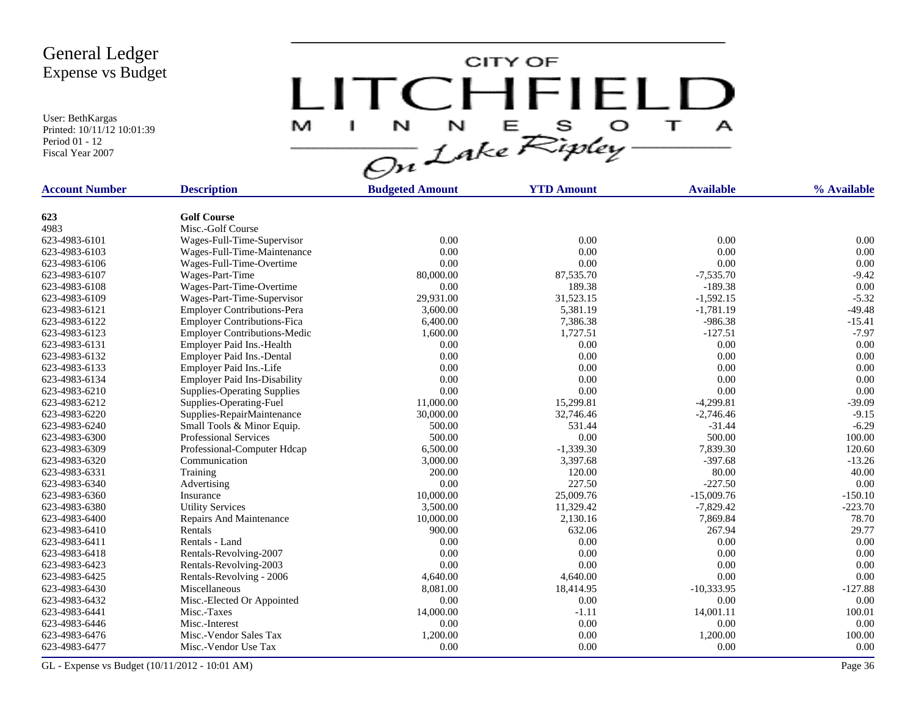User: BethKargas Printed: 10/11/12 10:01:39 Period 01 - 12 Fiscal Year 2007

LITCHFIELD

| 623<br><b>Golf Course</b><br>4983<br>Misc.-Golf Course<br>0.00<br>623-4983-6101<br>Wages-Full-Time-Supervisor<br>0.00<br>0.00<br>0.00<br>0.00<br>623-4983-6103<br>0.00<br>0.00<br>0.00<br>Wages-Full-Time-Maintenance<br>0.00<br>0.00<br>0.00<br>0.00<br>623-4983-6106<br>Wages-Full-Time-Overtime<br>80,000.00<br>$-9.42$<br>623-4983-6107<br>Wages-Part-Time<br>87,535.70<br>$-7,535.70$<br>623-4983-6108<br>Wages-Part-Time-Overtime<br>0.00<br>189.38<br>$-189.38$<br>0.00<br>$-5.32$<br>Wages-Part-Time-Supervisor<br>29,931.00<br>31,523.15<br>623-4983-6109<br>$-1,592.15$<br>$-49.48$<br>623-4983-6121<br><b>Employer Contributions-Pera</b><br>3,600.00<br>5,381.19<br>$-1,781.19$<br>623-4983-6122<br><b>Employer Contributions-Fica</b><br>6,400.00<br>7,386.38<br>$-986.38$<br>$-15.41$<br>$-7.97$<br>623-4983-6123<br><b>Employer Contributions-Medic</b><br>1,600.00<br>1,727.51<br>$-127.51$<br>0.00<br>0.00<br>623-4983-6131<br>Employer Paid Ins.-Health<br>0.00<br>0.00<br>623-4983-6132<br>0.00<br>0.00<br>0.00<br>0.00<br>Employer Paid Ins.-Dental<br>Employer Paid Ins.-Life<br>0.00<br>0.00<br>0.00<br>0.00<br>623-4983-6133<br>0.00<br>0.00<br>623-4983-6134<br><b>Employer Paid Ins-Disability</b><br>0.00<br>0.00<br>0.00<br>0.00<br>0.00<br>0.00<br>623-4983-6210<br><b>Supplies-Operating Supplies</b><br>623-4983-6212<br>11,000.00<br>15,299.81<br>$-4,299.81$<br>$-39.09$<br>Supplies-Operating-Fuel<br>$-9.15$<br>623-4983-6220<br>Supplies-RepairMaintenance<br>30,000.00<br>32,746.46<br>$-2,746.46$<br>500.00<br>531.44<br>$-31.44$<br>$-6.29$<br>623-4983-6240<br>Small Tools & Minor Equip.<br>500.00<br>623-4983-6300<br><b>Professional Services</b><br>0.00<br>500.00<br>100.00<br>6,500.00<br>$-1,339.30$<br>7,839.30<br>120.60<br>623-4983-6309<br>Professional-Computer Hdcap<br>Communication<br>3,000.00<br>3,397.68<br>$-13.26$<br>623-4983-6320<br>$-397.68$<br>623-4983-6331<br>200.00<br>120.00<br>80.00<br>40.00<br>Training<br>0.00<br>227.50<br>$-227.50$<br>0.00<br>623-4983-6340<br>Advertising<br>10,000.00<br>25,009.76<br>$-15,009.76$<br>$-150.10$<br>623-4983-6360<br>Insurance<br>623-4983-6380<br>3,500.00<br>11,329.42<br>$-223.70$<br><b>Utility Services</b><br>$-7,829.42$<br>10,000.00<br>2,130.16<br>7,869.84<br>78.70<br>623-4983-6400<br>Repairs And Maintenance<br>900.00<br>632.06<br>267.94<br>29.77<br>623-4983-6410<br>Rentals<br>0.00<br>0.00<br>623-4983-6411<br>Rentals - Land<br>0.00<br>0.00<br>0.00<br>0.00<br>0.00<br>623-4983-6418<br>Rentals-Revolving-2007<br>0.00<br>0.00<br>0.00<br>0.00<br>0.00<br>623-4983-6423<br>Rentals-Revolving-2003<br>4,640.00<br>0.00<br>0.00<br>623-4983-6425<br>Rentals-Revolving - 2006<br>4,640.00<br>623-4983-6430<br>Miscellaneous<br>8,081.00<br>18,414.95<br>$-10,333.95$<br>$-127.88$<br>0.00<br>623-4983-6432<br>Misc.-Elected Or Appointed<br>0.00<br>0.00<br>0.00<br>623-4983-6441<br>Misc.-Taxes<br>14,000.00<br>$-1.11$<br>14,001.11<br>100.01<br>623-4983-6446<br>Misc.-Interest<br>0.00<br>0.00<br>0.00<br>0.00<br>1,200.00<br>0.00<br>623-4983-6476<br>Misc.-Vendor Sales Tax<br>1,200.00<br>100.00<br>0.00<br>0.00<br>0.00<br>0.00<br>623-4983-6477<br>Misc.-Vendor Use Tax | <b>Account Number</b> | <b>Description</b> | <b>Budgeted Amount</b> | <b>YTD Amount</b> | <b>Available</b> | % Available |
|---------------------------------------------------------------------------------------------------------------------------------------------------------------------------------------------------------------------------------------------------------------------------------------------------------------------------------------------------------------------------------------------------------------------------------------------------------------------------------------------------------------------------------------------------------------------------------------------------------------------------------------------------------------------------------------------------------------------------------------------------------------------------------------------------------------------------------------------------------------------------------------------------------------------------------------------------------------------------------------------------------------------------------------------------------------------------------------------------------------------------------------------------------------------------------------------------------------------------------------------------------------------------------------------------------------------------------------------------------------------------------------------------------------------------------------------------------------------------------------------------------------------------------------------------------------------------------------------------------------------------------------------------------------------------------------------------------------------------------------------------------------------------------------------------------------------------------------------------------------------------------------------------------------------------------------------------------------------------------------------------------------------------------------------------------------------------------------------------------------------------------------------------------------------------------------------------------------------------------------------------------------------------------------------------------------------------------------------------------------------------------------------------------------------------------------------------------------------------------------------------------------------------------------------------------------------------------------------------------------------------------------------------------------------------------------------------------------------------------------------------------------------------------------------------------------------------------------------------------------------------------------------------------------------------------------------------------------------------------------------------------------------------------------------------------------------------------------------------------------------------------------------------------------------------------------------------------------|-----------------------|--------------------|------------------------|-------------------|------------------|-------------|
|                                                                                                                                                                                                                                                                                                                                                                                                                                                                                                                                                                                                                                                                                                                                                                                                                                                                                                                                                                                                                                                                                                                                                                                                                                                                                                                                                                                                                                                                                                                                                                                                                                                                                                                                                                                                                                                                                                                                                                                                                                                                                                                                                                                                                                                                                                                                                                                                                                                                                                                                                                                                                                                                                                                                                                                                                                                                                                                                                                                                                                                                                                                                                                                                               |                       |                    |                        |                   |                  |             |
|                                                                                                                                                                                                                                                                                                                                                                                                                                                                                                                                                                                                                                                                                                                                                                                                                                                                                                                                                                                                                                                                                                                                                                                                                                                                                                                                                                                                                                                                                                                                                                                                                                                                                                                                                                                                                                                                                                                                                                                                                                                                                                                                                                                                                                                                                                                                                                                                                                                                                                                                                                                                                                                                                                                                                                                                                                                                                                                                                                                                                                                                                                                                                                                                               |                       |                    |                        |                   |                  |             |
|                                                                                                                                                                                                                                                                                                                                                                                                                                                                                                                                                                                                                                                                                                                                                                                                                                                                                                                                                                                                                                                                                                                                                                                                                                                                                                                                                                                                                                                                                                                                                                                                                                                                                                                                                                                                                                                                                                                                                                                                                                                                                                                                                                                                                                                                                                                                                                                                                                                                                                                                                                                                                                                                                                                                                                                                                                                                                                                                                                                                                                                                                                                                                                                                               |                       |                    |                        |                   |                  |             |
|                                                                                                                                                                                                                                                                                                                                                                                                                                                                                                                                                                                                                                                                                                                                                                                                                                                                                                                                                                                                                                                                                                                                                                                                                                                                                                                                                                                                                                                                                                                                                                                                                                                                                                                                                                                                                                                                                                                                                                                                                                                                                                                                                                                                                                                                                                                                                                                                                                                                                                                                                                                                                                                                                                                                                                                                                                                                                                                                                                                                                                                                                                                                                                                                               |                       |                    |                        |                   |                  |             |
|                                                                                                                                                                                                                                                                                                                                                                                                                                                                                                                                                                                                                                                                                                                                                                                                                                                                                                                                                                                                                                                                                                                                                                                                                                                                                                                                                                                                                                                                                                                                                                                                                                                                                                                                                                                                                                                                                                                                                                                                                                                                                                                                                                                                                                                                                                                                                                                                                                                                                                                                                                                                                                                                                                                                                                                                                                                                                                                                                                                                                                                                                                                                                                                                               |                       |                    |                        |                   |                  |             |
|                                                                                                                                                                                                                                                                                                                                                                                                                                                                                                                                                                                                                                                                                                                                                                                                                                                                                                                                                                                                                                                                                                                                                                                                                                                                                                                                                                                                                                                                                                                                                                                                                                                                                                                                                                                                                                                                                                                                                                                                                                                                                                                                                                                                                                                                                                                                                                                                                                                                                                                                                                                                                                                                                                                                                                                                                                                                                                                                                                                                                                                                                                                                                                                                               |                       |                    |                        |                   |                  |             |
|                                                                                                                                                                                                                                                                                                                                                                                                                                                                                                                                                                                                                                                                                                                                                                                                                                                                                                                                                                                                                                                                                                                                                                                                                                                                                                                                                                                                                                                                                                                                                                                                                                                                                                                                                                                                                                                                                                                                                                                                                                                                                                                                                                                                                                                                                                                                                                                                                                                                                                                                                                                                                                                                                                                                                                                                                                                                                                                                                                                                                                                                                                                                                                                                               |                       |                    |                        |                   |                  |             |
|                                                                                                                                                                                                                                                                                                                                                                                                                                                                                                                                                                                                                                                                                                                                                                                                                                                                                                                                                                                                                                                                                                                                                                                                                                                                                                                                                                                                                                                                                                                                                                                                                                                                                                                                                                                                                                                                                                                                                                                                                                                                                                                                                                                                                                                                                                                                                                                                                                                                                                                                                                                                                                                                                                                                                                                                                                                                                                                                                                                                                                                                                                                                                                                                               |                       |                    |                        |                   |                  |             |
|                                                                                                                                                                                                                                                                                                                                                                                                                                                                                                                                                                                                                                                                                                                                                                                                                                                                                                                                                                                                                                                                                                                                                                                                                                                                                                                                                                                                                                                                                                                                                                                                                                                                                                                                                                                                                                                                                                                                                                                                                                                                                                                                                                                                                                                                                                                                                                                                                                                                                                                                                                                                                                                                                                                                                                                                                                                                                                                                                                                                                                                                                                                                                                                                               |                       |                    |                        |                   |                  |             |
|                                                                                                                                                                                                                                                                                                                                                                                                                                                                                                                                                                                                                                                                                                                                                                                                                                                                                                                                                                                                                                                                                                                                                                                                                                                                                                                                                                                                                                                                                                                                                                                                                                                                                                                                                                                                                                                                                                                                                                                                                                                                                                                                                                                                                                                                                                                                                                                                                                                                                                                                                                                                                                                                                                                                                                                                                                                                                                                                                                                                                                                                                                                                                                                                               |                       |                    |                        |                   |                  |             |
|                                                                                                                                                                                                                                                                                                                                                                                                                                                                                                                                                                                                                                                                                                                                                                                                                                                                                                                                                                                                                                                                                                                                                                                                                                                                                                                                                                                                                                                                                                                                                                                                                                                                                                                                                                                                                                                                                                                                                                                                                                                                                                                                                                                                                                                                                                                                                                                                                                                                                                                                                                                                                                                                                                                                                                                                                                                                                                                                                                                                                                                                                                                                                                                                               |                       |                    |                        |                   |                  |             |
|                                                                                                                                                                                                                                                                                                                                                                                                                                                                                                                                                                                                                                                                                                                                                                                                                                                                                                                                                                                                                                                                                                                                                                                                                                                                                                                                                                                                                                                                                                                                                                                                                                                                                                                                                                                                                                                                                                                                                                                                                                                                                                                                                                                                                                                                                                                                                                                                                                                                                                                                                                                                                                                                                                                                                                                                                                                                                                                                                                                                                                                                                                                                                                                                               |                       |                    |                        |                   |                  |             |
|                                                                                                                                                                                                                                                                                                                                                                                                                                                                                                                                                                                                                                                                                                                                                                                                                                                                                                                                                                                                                                                                                                                                                                                                                                                                                                                                                                                                                                                                                                                                                                                                                                                                                                                                                                                                                                                                                                                                                                                                                                                                                                                                                                                                                                                                                                                                                                                                                                                                                                                                                                                                                                                                                                                                                                                                                                                                                                                                                                                                                                                                                                                                                                                                               |                       |                    |                        |                   |                  |             |
|                                                                                                                                                                                                                                                                                                                                                                                                                                                                                                                                                                                                                                                                                                                                                                                                                                                                                                                                                                                                                                                                                                                                                                                                                                                                                                                                                                                                                                                                                                                                                                                                                                                                                                                                                                                                                                                                                                                                                                                                                                                                                                                                                                                                                                                                                                                                                                                                                                                                                                                                                                                                                                                                                                                                                                                                                                                                                                                                                                                                                                                                                                                                                                                                               |                       |                    |                        |                   |                  |             |
|                                                                                                                                                                                                                                                                                                                                                                                                                                                                                                                                                                                                                                                                                                                                                                                                                                                                                                                                                                                                                                                                                                                                                                                                                                                                                                                                                                                                                                                                                                                                                                                                                                                                                                                                                                                                                                                                                                                                                                                                                                                                                                                                                                                                                                                                                                                                                                                                                                                                                                                                                                                                                                                                                                                                                                                                                                                                                                                                                                                                                                                                                                                                                                                                               |                       |                    |                        |                   |                  |             |
|                                                                                                                                                                                                                                                                                                                                                                                                                                                                                                                                                                                                                                                                                                                                                                                                                                                                                                                                                                                                                                                                                                                                                                                                                                                                                                                                                                                                                                                                                                                                                                                                                                                                                                                                                                                                                                                                                                                                                                                                                                                                                                                                                                                                                                                                                                                                                                                                                                                                                                                                                                                                                                                                                                                                                                                                                                                                                                                                                                                                                                                                                                                                                                                                               |                       |                    |                        |                   |                  |             |
|                                                                                                                                                                                                                                                                                                                                                                                                                                                                                                                                                                                                                                                                                                                                                                                                                                                                                                                                                                                                                                                                                                                                                                                                                                                                                                                                                                                                                                                                                                                                                                                                                                                                                                                                                                                                                                                                                                                                                                                                                                                                                                                                                                                                                                                                                                                                                                                                                                                                                                                                                                                                                                                                                                                                                                                                                                                                                                                                                                                                                                                                                                                                                                                                               |                       |                    |                        |                   |                  |             |
|                                                                                                                                                                                                                                                                                                                                                                                                                                                                                                                                                                                                                                                                                                                                                                                                                                                                                                                                                                                                                                                                                                                                                                                                                                                                                                                                                                                                                                                                                                                                                                                                                                                                                                                                                                                                                                                                                                                                                                                                                                                                                                                                                                                                                                                                                                                                                                                                                                                                                                                                                                                                                                                                                                                                                                                                                                                                                                                                                                                                                                                                                                                                                                                                               |                       |                    |                        |                   |                  |             |
|                                                                                                                                                                                                                                                                                                                                                                                                                                                                                                                                                                                                                                                                                                                                                                                                                                                                                                                                                                                                                                                                                                                                                                                                                                                                                                                                                                                                                                                                                                                                                                                                                                                                                                                                                                                                                                                                                                                                                                                                                                                                                                                                                                                                                                                                                                                                                                                                                                                                                                                                                                                                                                                                                                                                                                                                                                                                                                                                                                                                                                                                                                                                                                                                               |                       |                    |                        |                   |                  |             |
|                                                                                                                                                                                                                                                                                                                                                                                                                                                                                                                                                                                                                                                                                                                                                                                                                                                                                                                                                                                                                                                                                                                                                                                                                                                                                                                                                                                                                                                                                                                                                                                                                                                                                                                                                                                                                                                                                                                                                                                                                                                                                                                                                                                                                                                                                                                                                                                                                                                                                                                                                                                                                                                                                                                                                                                                                                                                                                                                                                                                                                                                                                                                                                                                               |                       |                    |                        |                   |                  |             |
|                                                                                                                                                                                                                                                                                                                                                                                                                                                                                                                                                                                                                                                                                                                                                                                                                                                                                                                                                                                                                                                                                                                                                                                                                                                                                                                                                                                                                                                                                                                                                                                                                                                                                                                                                                                                                                                                                                                                                                                                                                                                                                                                                                                                                                                                                                                                                                                                                                                                                                                                                                                                                                                                                                                                                                                                                                                                                                                                                                                                                                                                                                                                                                                                               |                       |                    |                        |                   |                  |             |
|                                                                                                                                                                                                                                                                                                                                                                                                                                                                                                                                                                                                                                                                                                                                                                                                                                                                                                                                                                                                                                                                                                                                                                                                                                                                                                                                                                                                                                                                                                                                                                                                                                                                                                                                                                                                                                                                                                                                                                                                                                                                                                                                                                                                                                                                                                                                                                                                                                                                                                                                                                                                                                                                                                                                                                                                                                                                                                                                                                                                                                                                                                                                                                                                               |                       |                    |                        |                   |                  |             |
|                                                                                                                                                                                                                                                                                                                                                                                                                                                                                                                                                                                                                                                                                                                                                                                                                                                                                                                                                                                                                                                                                                                                                                                                                                                                                                                                                                                                                                                                                                                                                                                                                                                                                                                                                                                                                                                                                                                                                                                                                                                                                                                                                                                                                                                                                                                                                                                                                                                                                                                                                                                                                                                                                                                                                                                                                                                                                                                                                                                                                                                                                                                                                                                                               |                       |                    |                        |                   |                  |             |
|                                                                                                                                                                                                                                                                                                                                                                                                                                                                                                                                                                                                                                                                                                                                                                                                                                                                                                                                                                                                                                                                                                                                                                                                                                                                                                                                                                                                                                                                                                                                                                                                                                                                                                                                                                                                                                                                                                                                                                                                                                                                                                                                                                                                                                                                                                                                                                                                                                                                                                                                                                                                                                                                                                                                                                                                                                                                                                                                                                                                                                                                                                                                                                                                               |                       |                    |                        |                   |                  |             |
|                                                                                                                                                                                                                                                                                                                                                                                                                                                                                                                                                                                                                                                                                                                                                                                                                                                                                                                                                                                                                                                                                                                                                                                                                                                                                                                                                                                                                                                                                                                                                                                                                                                                                                                                                                                                                                                                                                                                                                                                                                                                                                                                                                                                                                                                                                                                                                                                                                                                                                                                                                                                                                                                                                                                                                                                                                                                                                                                                                                                                                                                                                                                                                                                               |                       |                    |                        |                   |                  |             |
|                                                                                                                                                                                                                                                                                                                                                                                                                                                                                                                                                                                                                                                                                                                                                                                                                                                                                                                                                                                                                                                                                                                                                                                                                                                                                                                                                                                                                                                                                                                                                                                                                                                                                                                                                                                                                                                                                                                                                                                                                                                                                                                                                                                                                                                                                                                                                                                                                                                                                                                                                                                                                                                                                                                                                                                                                                                                                                                                                                                                                                                                                                                                                                                                               |                       |                    |                        |                   |                  |             |
|                                                                                                                                                                                                                                                                                                                                                                                                                                                                                                                                                                                                                                                                                                                                                                                                                                                                                                                                                                                                                                                                                                                                                                                                                                                                                                                                                                                                                                                                                                                                                                                                                                                                                                                                                                                                                                                                                                                                                                                                                                                                                                                                                                                                                                                                                                                                                                                                                                                                                                                                                                                                                                                                                                                                                                                                                                                                                                                                                                                                                                                                                                                                                                                                               |                       |                    |                        |                   |                  |             |
|                                                                                                                                                                                                                                                                                                                                                                                                                                                                                                                                                                                                                                                                                                                                                                                                                                                                                                                                                                                                                                                                                                                                                                                                                                                                                                                                                                                                                                                                                                                                                                                                                                                                                                                                                                                                                                                                                                                                                                                                                                                                                                                                                                                                                                                                                                                                                                                                                                                                                                                                                                                                                                                                                                                                                                                                                                                                                                                                                                                                                                                                                                                                                                                                               |                       |                    |                        |                   |                  |             |
|                                                                                                                                                                                                                                                                                                                                                                                                                                                                                                                                                                                                                                                                                                                                                                                                                                                                                                                                                                                                                                                                                                                                                                                                                                                                                                                                                                                                                                                                                                                                                                                                                                                                                                                                                                                                                                                                                                                                                                                                                                                                                                                                                                                                                                                                                                                                                                                                                                                                                                                                                                                                                                                                                                                                                                                                                                                                                                                                                                                                                                                                                                                                                                                                               |                       |                    |                        |                   |                  |             |
|                                                                                                                                                                                                                                                                                                                                                                                                                                                                                                                                                                                                                                                                                                                                                                                                                                                                                                                                                                                                                                                                                                                                                                                                                                                                                                                                                                                                                                                                                                                                                                                                                                                                                                                                                                                                                                                                                                                                                                                                                                                                                                                                                                                                                                                                                                                                                                                                                                                                                                                                                                                                                                                                                                                                                                                                                                                                                                                                                                                                                                                                                                                                                                                                               |                       |                    |                        |                   |                  |             |
|                                                                                                                                                                                                                                                                                                                                                                                                                                                                                                                                                                                                                                                                                                                                                                                                                                                                                                                                                                                                                                                                                                                                                                                                                                                                                                                                                                                                                                                                                                                                                                                                                                                                                                                                                                                                                                                                                                                                                                                                                                                                                                                                                                                                                                                                                                                                                                                                                                                                                                                                                                                                                                                                                                                                                                                                                                                                                                                                                                                                                                                                                                                                                                                                               |                       |                    |                        |                   |                  |             |
|                                                                                                                                                                                                                                                                                                                                                                                                                                                                                                                                                                                                                                                                                                                                                                                                                                                                                                                                                                                                                                                                                                                                                                                                                                                                                                                                                                                                                                                                                                                                                                                                                                                                                                                                                                                                                                                                                                                                                                                                                                                                                                                                                                                                                                                                                                                                                                                                                                                                                                                                                                                                                                                                                                                                                                                                                                                                                                                                                                                                                                                                                                                                                                                                               |                       |                    |                        |                   |                  |             |
|                                                                                                                                                                                                                                                                                                                                                                                                                                                                                                                                                                                                                                                                                                                                                                                                                                                                                                                                                                                                                                                                                                                                                                                                                                                                                                                                                                                                                                                                                                                                                                                                                                                                                                                                                                                                                                                                                                                                                                                                                                                                                                                                                                                                                                                                                                                                                                                                                                                                                                                                                                                                                                                                                                                                                                                                                                                                                                                                                                                                                                                                                                                                                                                                               |                       |                    |                        |                   |                  |             |
|                                                                                                                                                                                                                                                                                                                                                                                                                                                                                                                                                                                                                                                                                                                                                                                                                                                                                                                                                                                                                                                                                                                                                                                                                                                                                                                                                                                                                                                                                                                                                                                                                                                                                                                                                                                                                                                                                                                                                                                                                                                                                                                                                                                                                                                                                                                                                                                                                                                                                                                                                                                                                                                                                                                                                                                                                                                                                                                                                                                                                                                                                                                                                                                                               |                       |                    |                        |                   |                  |             |
|                                                                                                                                                                                                                                                                                                                                                                                                                                                                                                                                                                                                                                                                                                                                                                                                                                                                                                                                                                                                                                                                                                                                                                                                                                                                                                                                                                                                                                                                                                                                                                                                                                                                                                                                                                                                                                                                                                                                                                                                                                                                                                                                                                                                                                                                                                                                                                                                                                                                                                                                                                                                                                                                                                                                                                                                                                                                                                                                                                                                                                                                                                                                                                                                               |                       |                    |                        |                   |                  |             |
|                                                                                                                                                                                                                                                                                                                                                                                                                                                                                                                                                                                                                                                                                                                                                                                                                                                                                                                                                                                                                                                                                                                                                                                                                                                                                                                                                                                                                                                                                                                                                                                                                                                                                                                                                                                                                                                                                                                                                                                                                                                                                                                                                                                                                                                                                                                                                                                                                                                                                                                                                                                                                                                                                                                                                                                                                                                                                                                                                                                                                                                                                                                                                                                                               |                       |                    |                        |                   |                  |             |
|                                                                                                                                                                                                                                                                                                                                                                                                                                                                                                                                                                                                                                                                                                                                                                                                                                                                                                                                                                                                                                                                                                                                                                                                                                                                                                                                                                                                                                                                                                                                                                                                                                                                                                                                                                                                                                                                                                                                                                                                                                                                                                                                                                                                                                                                                                                                                                                                                                                                                                                                                                                                                                                                                                                                                                                                                                                                                                                                                                                                                                                                                                                                                                                                               |                       |                    |                        |                   |                  |             |
|                                                                                                                                                                                                                                                                                                                                                                                                                                                                                                                                                                                                                                                                                                                                                                                                                                                                                                                                                                                                                                                                                                                                                                                                                                                                                                                                                                                                                                                                                                                                                                                                                                                                                                                                                                                                                                                                                                                                                                                                                                                                                                                                                                                                                                                                                                                                                                                                                                                                                                                                                                                                                                                                                                                                                                                                                                                                                                                                                                                                                                                                                                                                                                                                               |                       |                    |                        |                   |                  |             |
|                                                                                                                                                                                                                                                                                                                                                                                                                                                                                                                                                                                                                                                                                                                                                                                                                                                                                                                                                                                                                                                                                                                                                                                                                                                                                                                                                                                                                                                                                                                                                                                                                                                                                                                                                                                                                                                                                                                                                                                                                                                                                                                                                                                                                                                                                                                                                                                                                                                                                                                                                                                                                                                                                                                                                                                                                                                                                                                                                                                                                                                                                                                                                                                                               |                       |                    |                        |                   |                  |             |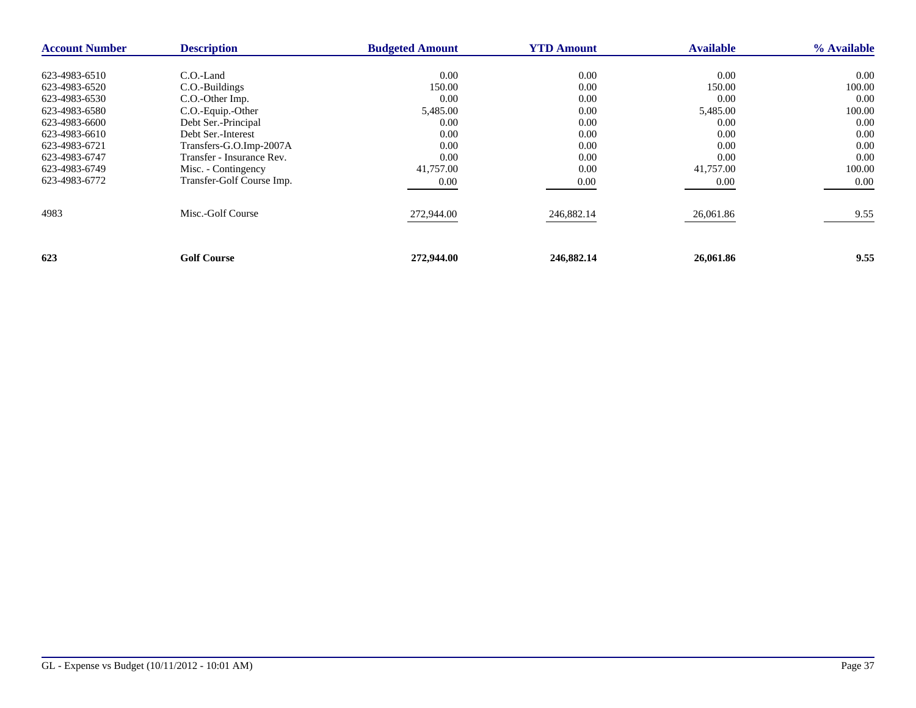| <b>Account Number</b> | <b>Description</b>        | <b>Budgeted Amount</b> | <b>YTD Amount</b> | <b>Available</b> | % Available |
|-----------------------|---------------------------|------------------------|-------------------|------------------|-------------|
|                       |                           |                        |                   |                  |             |
| 623-4983-6510         | C.O.-Land                 | 0.00                   | 0.00              | 0.00             | 0.00        |
| 623-4983-6520         | C.O.-Buildings            | 150.00                 | 0.00              | 150.00           | 100.00      |
| 623-4983-6530         | C.O.-Other Imp.           | 0.00                   | 0.00              | 0.00             | 0.00        |
| 623-4983-6580         | C.O.-Equip.-Other         | 5,485.00               | 0.00              | 5,485.00         | 100.00      |
| 623-4983-6600         | Debt Ser.-Principal       | 0.00                   | 0.00              | 0.00             | 0.00        |
| 623-4983-6610         | Debt Ser.-Interest        | 0.00                   | 0.00              | 0.00             | 0.00        |
| 623-4983-6721         | Transfers-G.O.Imp-2007A   | 0.00                   | 0.00              | 0.00             | 0.00        |
| 623-4983-6747         | Transfer - Insurance Rev. | 0.00                   | 0.00              | 0.00             | 0.00        |
| 623-4983-6749         | Misc. - Contingency       | 41,757.00              | 0.00              | 41,757.00        | 100.00      |
| 623-4983-6772         | Transfer-Golf Course Imp. | 0.00                   | 0.00              | 0.00             | $0.00\,$    |
|                       |                           |                        |                   |                  |             |
| 4983                  | Misc.-Golf Course         | 272,944.00             | 246,882.14        | 26,061.86        | 9.55        |
|                       |                           |                        |                   |                  |             |
| 623                   | <b>Golf Course</b>        | 272,944.00             | 246,882.14        | 26,061.86        | 9.55        |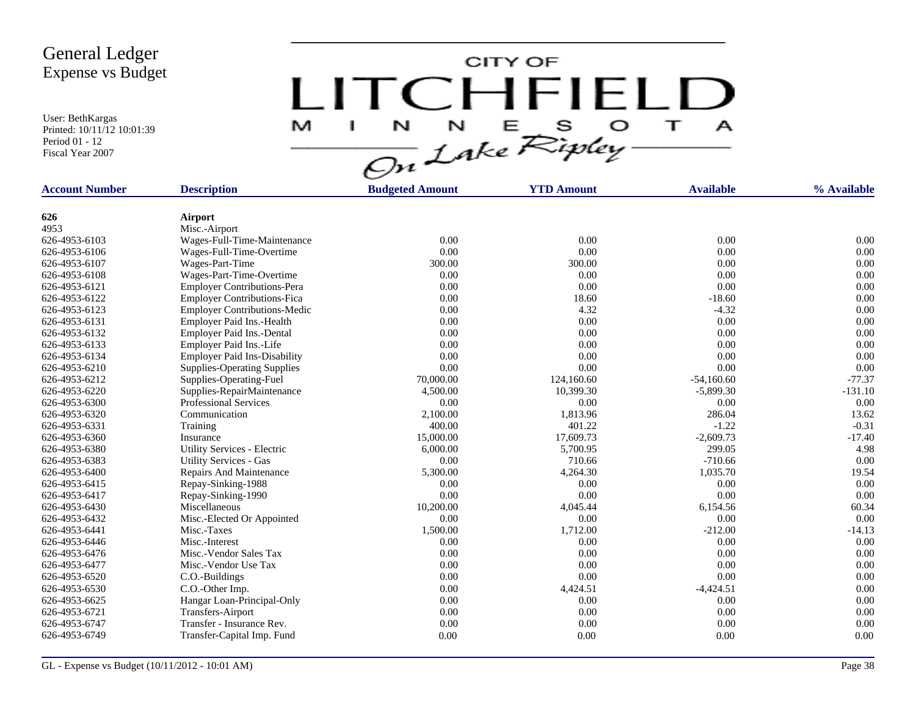User: BethKargas Printed: 10/11/12 10:01:39 Period 01 - 12 Fiscal Year 2007

LITCHFIELD

| <b>Account Number</b> | <b>Description</b>                  | <b>Budgeted Amount</b> | <b>YTD Amount</b> | <b>Available</b> | % Available |
|-----------------------|-------------------------------------|------------------------|-------------------|------------------|-------------|
| 626                   | <b>Airport</b>                      |                        |                   |                  |             |
| 4953                  | Misc.-Airport                       |                        |                   |                  |             |
| 626-4953-6103         | Wages-Full-Time-Maintenance         | 0.00                   | 0.00              | 0.00             | 0.00        |
| 626-4953-6106         | Wages-Full-Time-Overtime            | 0.00                   | 0.00              | 0.00             | 0.00        |
| 626-4953-6107         | Wages-Part-Time                     | 300.00                 | 300.00            | 0.00             | 0.00        |
| 626-4953-6108         | Wages-Part-Time-Overtime            | 0.00                   | 0.00              | 0.00             | 0.00        |
| 626-4953-6121         | <b>Employer Contributions-Pera</b>  | 0.00                   | 0.00              | 0.00             | 0.00        |
| 626-4953-6122         | <b>Employer Contributions-Fica</b>  | 0.00                   | 18.60             | $-18.60$         | 0.00        |
| 626-4953-6123         | <b>Employer Contributions-Medic</b> | 0.00                   | 4.32              | $-4.32$          | 0.00        |
| 626-4953-6131         | Employer Paid Ins.-Health           | 0.00                   | 0.00              | 0.00             | 0.00        |
| 626-4953-6132         | Employer Paid Ins.-Dental           | 0.00                   | 0.00              | 0.00             | 0.00        |
| 626-4953-6133         | Employer Paid Ins.-Life             | 0.00                   | 0.00              | 0.00             | 0.00        |
| 626-4953-6134         | <b>Employer Paid Ins-Disability</b> | 0.00                   | 0.00              | 0.00             | 0.00        |
| 626-4953-6210         | <b>Supplies-Operating Supplies</b>  | 0.00                   | 0.00              | 0.00             | 0.00        |
| 626-4953-6212         | Supplies-Operating-Fuel             | 70,000.00              | 124,160.60        | $-54,160.60$     | $-77.37$    |
| 626-4953-6220         | Supplies-RepairMaintenance          | 4,500.00               | 10,399.30         | $-5,899.30$      | $-131.10$   |
| 626-4953-6300         | <b>Professional Services</b>        | 0.00                   | 0.00              | 0.00             | 0.00        |
| 626-4953-6320         | Communication                       | 2,100.00               | 1,813.96          | 286.04           | 13.62       |
| 626-4953-6331         | Training                            | 400.00                 | 401.22            | $-1.22$          | $-0.31$     |
| 626-4953-6360         | Insurance                           | 15,000.00              | 17,609.73         | $-2,609.73$      | $-17.40$    |
| 626-4953-6380         | Utility Services - Electric         | 6,000.00               | 5,700.95          | 299.05           | 4.98        |
| 626-4953-6383         | Utility Services - Gas              | 0.00                   | 710.66            | $-710.66$        | 0.00        |
| 626-4953-6400         | <b>Repairs And Maintenance</b>      | 5,300.00               | 4,264.30          | 1,035.70         | 19.54       |
| 626-4953-6415         | Repay-Sinking-1988                  | 0.00                   | 0.00              | 0.00             | 0.00        |
| 626-4953-6417         | Repay-Sinking-1990                  | 0.00                   | 0.00              | 0.00             | 0.00        |
| 626-4953-6430         | Miscellaneous                       | 10,200.00              | 4,045.44          | 6,154.56         | 60.34       |
| 626-4953-6432         | Misc.-Elected Or Appointed          | 0.00                   | 0.00              | 0.00             | 0.00        |
| 626-4953-6441         | Misc.-Taxes                         | 1,500.00               | 1,712.00          | $-212.00$        | $-14.13$    |
| 626-4953-6446         | Misc.-Interest                      | 0.00                   | 0.00              | 0.00             | 0.00        |
| 626-4953-6476         | Misc.-Vendor Sales Tax              | 0.00                   | 0.00              | 0.00             | 0.00        |
| 626-4953-6477         | Misc.-Vendor Use Tax                | 0.00                   | 0.00              | 0.00             | 0.00        |
| 626-4953-6520         | C.O.-Buildings                      | 0.00                   | 0.00              | 0.00             | 0.00        |
| 626-4953-6530         | C.O.-Other Imp.                     | 0.00                   | 4,424.51          | $-4,424.51$      | 0.00        |
| 626-4953-6625         | Hangar Loan-Principal-Only          | 0.00                   | 0.00              | 0.00             | 0.00        |
| 626-4953-6721         | Transfers-Airport                   | 0.00                   | 0.00              | 0.00             | 0.00        |
| 626-4953-6747         | Transfer - Insurance Rev.           | 0.00                   | 0.00              | 0.00             | 0.00        |
| 626-4953-6749         | Transfer-Capital Imp. Fund          | 0.00                   | 0.00              | 0.00             | 0.00        |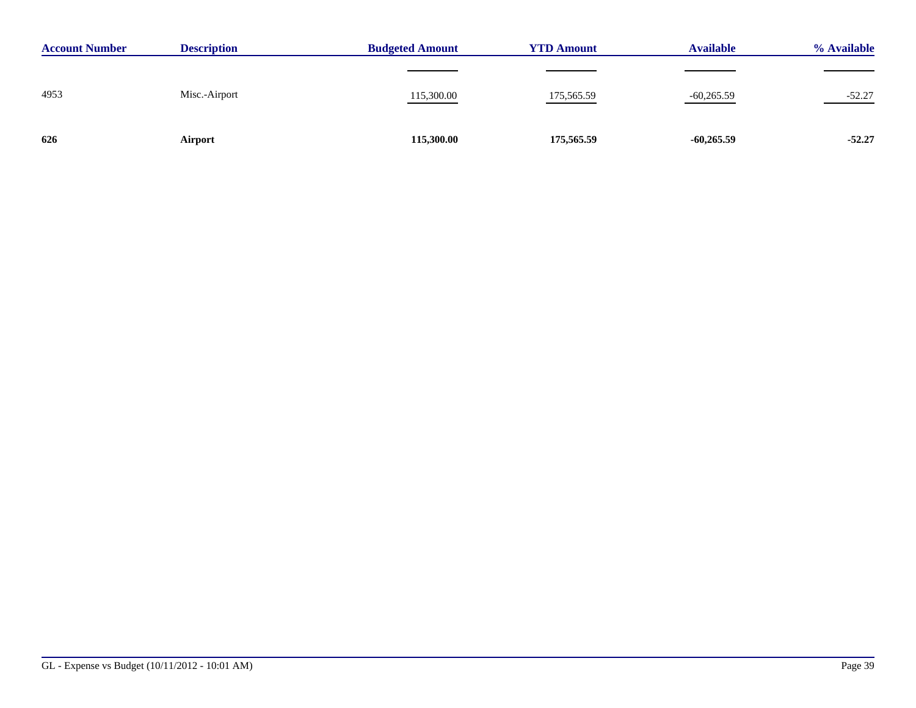| <b>Account Number</b> | <b>Description</b> | <b>Budgeted Amount</b> | <b>YTD Amount</b> | <b>Available</b> | % Available                                           |
|-----------------------|--------------------|------------------------|-------------------|------------------|-------------------------------------------------------|
|                       |                    |                        |                   |                  |                                                       |
| 4953                  | Misc.-Airport      | 115,300.00             | 175,565.59        | $-60,265.59$     | $-52.27$<br>$\sim$ $\sim$ $\sim$ $\sim$ $\sim$ $\sim$ |
| 626                   | Airport            | 115,300.00             | 175,565.59        | $-60,265.59$     | $-52.27$                                              |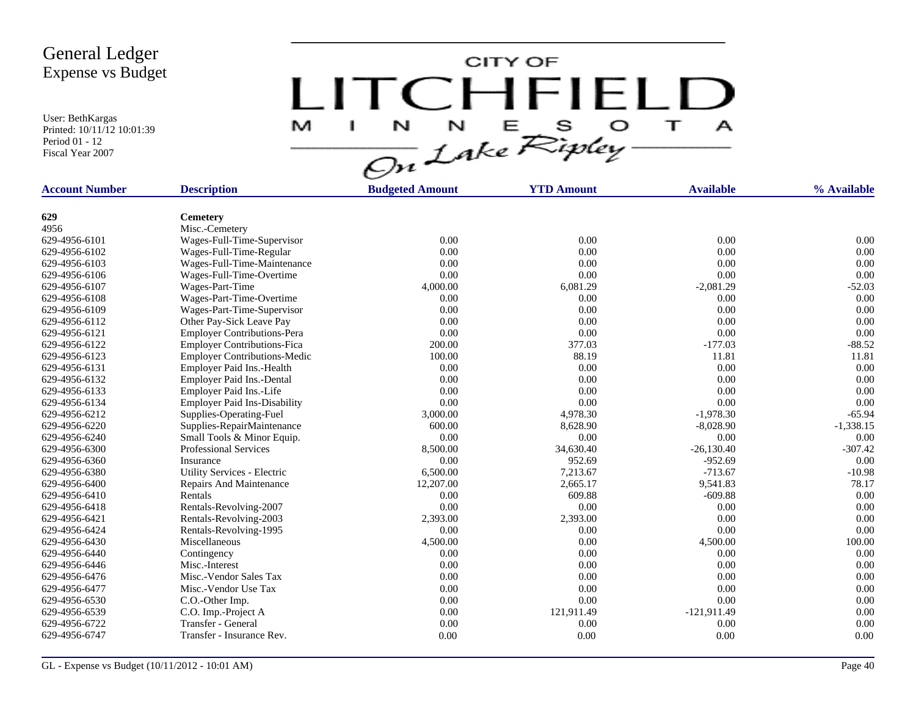User: BethKargas Printed: 10/11/12 10:01:39 Period 01 - 12 Fiscal Year 2007

LITCHFIELD

| <b>Account Number</b> | <b>Description</b>                  | <b>Budgeted Amount</b> | <b>YTD Amount</b> | <b>Available</b> | % Available |
|-----------------------|-------------------------------------|------------------------|-------------------|------------------|-------------|
|                       |                                     |                        |                   |                  |             |
| 629                   | <b>Cemetery</b>                     |                        |                   |                  |             |
| 4956                  | Misc.-Cemetery                      |                        |                   |                  |             |
| 629-4956-6101         | Wages-Full-Time-Supervisor          | 0.00                   | 0.00              | 0.00             | 0.00        |
| 629-4956-6102         | Wages-Full-Time-Regular             | 0.00                   | 0.00              | 0.00             | 0.00        |
| 629-4956-6103         | Wages-Full-Time-Maintenance         | 0.00                   | 0.00              | 0.00             | 0.00        |
| 629-4956-6106         | Wages-Full-Time-Overtime            | 0.00                   | 0.00              | 0.00             | 0.00        |
| 629-4956-6107         | Wages-Part-Time                     | 4,000.00               | 6,081.29          | $-2,081.29$      | $-52.03$    |
| 629-4956-6108         | Wages-Part-Time-Overtime            | 0.00                   | 0.00              | 0.00             | 0.00        |
| 629-4956-6109         | Wages-Part-Time-Supervisor          | 0.00                   | 0.00              | 0.00             | 0.00        |
| 629-4956-6112         | Other Pay-Sick Leave Pay            | 0.00                   | 0.00              | 0.00             | 0.00        |
| 629-4956-6121         | <b>Employer Contributions-Pera</b>  | 0.00                   | 0.00              | 0.00             | 0.00        |
| 629-4956-6122         | <b>Employer Contributions-Fica</b>  | 200.00                 | 377.03            | $-177.03$        | $-88.52$    |
| 629-4956-6123         | <b>Employer Contributions-Medic</b> | 100.00                 | 88.19             | 11.81            | 11.81       |
| 629-4956-6131         | Employer Paid Ins.-Health           | 0.00                   | 0.00              | 0.00             | 0.00        |
| 629-4956-6132         | <b>Employer Paid Ins.-Dental</b>    | 0.00                   | 0.00              | 0.00             | 0.00        |
| 629-4956-6133         | Employer Paid Ins.-Life             | 0.00                   | 0.00              | 0.00             | 0.00        |
| 629-4956-6134         | <b>Employer Paid Ins-Disability</b> | 0.00                   | 0.00              | 0.00             | 0.00        |
| 629-4956-6212         | Supplies-Operating-Fuel             | 3,000.00               | 4,978.30          | $-1,978.30$      | $-65.94$    |
| 629-4956-6220         | Supplies-RepairMaintenance          | 600.00                 | 8,628.90          | $-8,028.90$      | $-1,338.15$ |
| 629-4956-6240         | Small Tools & Minor Equip.          | 0.00                   | 0.00              | 0.00             | 0.00        |
| 629-4956-6300         | <b>Professional Services</b>        | 8,500.00               | 34,630.40         | $-26,130.40$     | $-307.42$   |
| 629-4956-6360         | Insurance                           | 0.00                   | 952.69            | $-952.69$        | 0.00        |
| 629-4956-6380         | Utility Services - Electric         | 6,500.00               | 7,213.67          | $-713.67$        | $-10.98$    |
| 629-4956-6400         | Repairs And Maintenance             | 12,207.00              | 2,665.17          | 9,541.83         | 78.17       |
| 629-4956-6410         | Rentals                             | 0.00                   | 609.88            | $-609.88$        | 0.00        |
| 629-4956-6418         | Rentals-Revolving-2007              | 0.00                   | 0.00              | 0.00             | 0.00        |
| 629-4956-6421         | Rentals-Revolving-2003              | 2,393.00               | 2,393.00          | 0.00             | 0.00        |
| 629-4956-6424         | Rentals-Revolving-1995              | 0.00                   | 0.00              | 0.00             | 0.00        |
| 629-4956-6430         | Miscellaneous                       | 4,500.00               | 0.00              | 4,500.00         | 100.00      |
| 629-4956-6440         | Contingency                         | 0.00                   | 0.00              | 0.00             | 0.00        |
| 629-4956-6446         | Misc.-Interest                      | 0.00                   | 0.00              | 0.00             | 0.00        |
| 629-4956-6476         | Misc.-Vendor Sales Tax              | 0.00                   | 0.00              | 0.00             | 0.00        |
| 629-4956-6477         | Misc.-Vendor Use Tax                | 0.00                   | 0.00              | 0.00             | 0.00        |
| 629-4956-6530         | C.O.-Other Imp.                     | 0.00                   | 0.00              | 0.00             | 0.00        |
| 629-4956-6539         | C.O. Imp.-Project A                 | 0.00                   | 121,911.49        | $-121,911.49$    | 0.00        |
| 629-4956-6722         | Transfer - General                  | 0.00                   | 0.00              | 0.00             | 0.00        |
| 629-4956-6747         | Transfer - Insurance Rev.           | 0.00                   | 0.00              | 0.00             | 0.00        |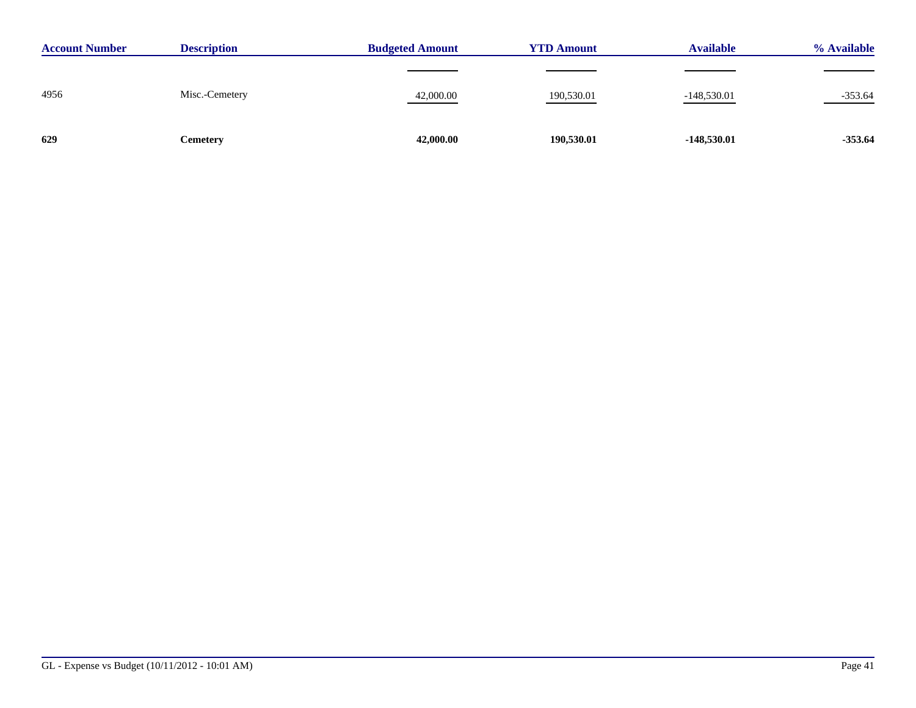| <b>Account Number</b> | <b>Description</b> | <b>Budgeted Amount</b> | <b>YTD Amount</b> | <b>Available</b> | % Available |
|-----------------------|--------------------|------------------------|-------------------|------------------|-------------|
|                       |                    |                        |                   |                  |             |
| 4956                  | Misc.-Cemetery     | 42,000.00              | 190,530.01        | $-148,530.01$    | $-353.64$   |
| 629                   | Cemetery           | 42,000.00              | 190,530.01        | $-148,530.01$    | $-353.64$   |